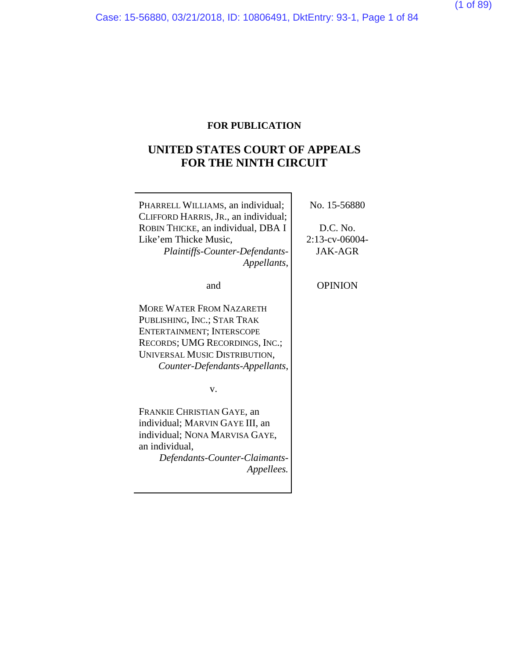# **FOR PUBLICATION**

# **UNITED STATES COURT OF APPEALS FOR THE NINTH CIRCUIT**

| PHARRELL WILLIAMS, an individual;<br>CLIFFORD HARRIS, JR., an individual;<br>ROBIN THICKE, an individual, DBA I<br>Like'em Thicke Music,<br>Plaintiffs-Counter-Defendants-<br>Appellants,        | No. 15-56880<br>D.C. No.<br>2:13-cv-06004-<br><b>JAK-AGR</b> |
|--------------------------------------------------------------------------------------------------------------------------------------------------------------------------------------------------|--------------------------------------------------------------|
| and                                                                                                                                                                                              | <b>OPINION</b>                                               |
| <b>MORE WATER FROM NAZARETH</b><br>PUBLISHING, INC.; STAR TRAK<br>ENTERTAINMENT; INTERSCOPE<br>RECORDS; UMG RECORDINGS, INC.;<br>UNIVERSAL MUSIC DISTRIBUTION,<br>Counter-Defendants-Appellants, |                                                              |
| V.                                                                                                                                                                                               |                                                              |
| FRANKIE CHRISTIAN GAYE, an<br>individual; MARVIN GAYE III, an<br>individual; NONA MARVISA GAYE,<br>an individual.<br>Defendants-Counter-Claimants-<br><i>Appellees.</i>                          |                                                              |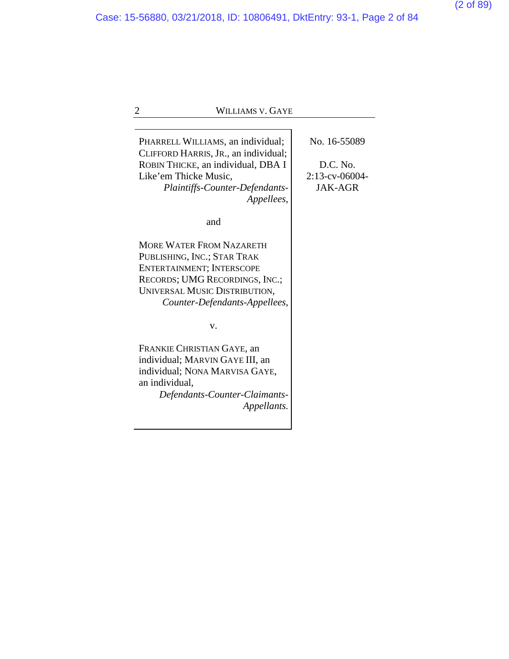2 WILLIAMS V. GAYE PHARRELL WILLIAMS, an individual; CLIFFORD HARRIS, JR., an individual; ROBIN THICKE, an individual, DBA I Like'em Thicke Music, *Plaintiffs-Counter-Defendants-Appellees*, and MORE WATER FROM NAZARETH PUBLISHING, INC.; STAR TRAK ENTERTAINMENT; INTERSCOPE RECORDS; UMG RECORDINGS, INC.; UNIVERSAL MUSIC DISTRIBUTION, *Counter-Defendants-Appellees*, v. FRANKIE CHRISTIAN GAYE, an individual; MARVIN GAYE III, an individual; NONA MARVISA GAYE, an individual, *Defendants-Counter-Claimants-Appellants.* No. 16-55089 D.C. No. 2:13-cv-06004- JAK-AGR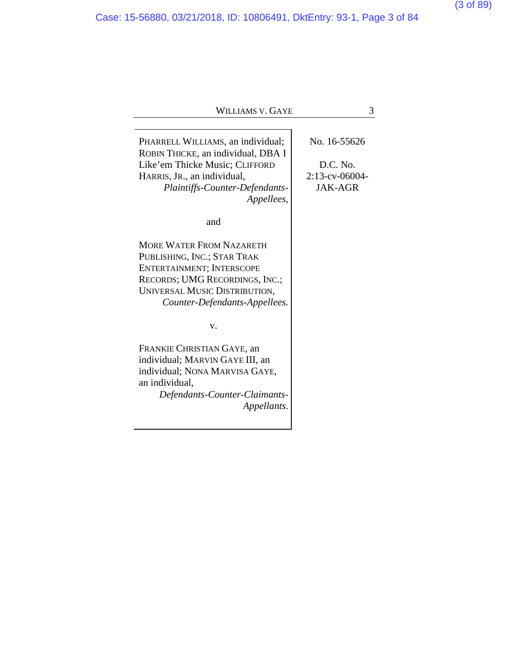Case: 15-56880, 03/21/2018, ID: 10806491, DktEntry: 93-1, Page 3 of 84

| PHARRELL WILLIAMS, an individual;  | No. 16-55626      |
|------------------------------------|-------------------|
| ROBIN THICKE, an individual, DBA I |                   |
| Like'em Thicke Music; CLIFFORD     | D.C. No.          |
| HARRIS, JR., an individual,        | $2:13$ -cv-06004- |
| Plaintiffs-Counter-Defendants-     | <b>JAK-AGR</b>    |
| Appellees,                         |                   |
| and                                |                   |
| <b>MORE WATER FROM NAZARETH</b>    |                   |
| PUBLISHING, INC.; STAR TRAK        |                   |
| ENTERTAINMENT; INTERSCOPE          |                   |
| RECORDS; UMG RECORDINGS, INC.;     |                   |
| UNIVERSAL MUSIC DISTRIBUTION,      |                   |
| Counter-Defendants-Appellees.      |                   |
| v.                                 |                   |
| FRANKIE CHRISTIAN GAYE, an         |                   |
| individual; MARVIN GAYE III, an    |                   |
| individual; NONA MARVISA GAYE,     |                   |
| an individual,                     |                   |
| Defendants-Counter-Claimants-      |                   |
| Appellants.                        |                   |

(3 of 89)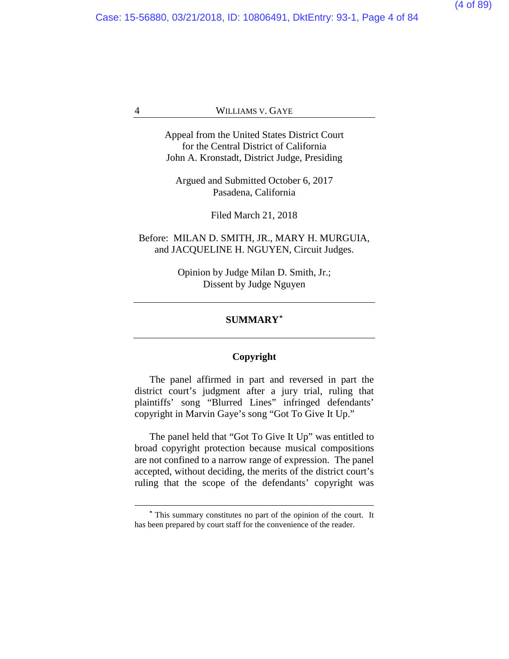Case: 15-56880, 03/21/2018, ID: 10806491, DktEntry: 93-1, Page 4 of 84

#### 4 WILLIAMS V. GAYE

Appeal from the United States District Court for the Central District of California John A. Kronstadt, District Judge, Presiding

Argued and Submitted October 6, 2017 Pasadena, California

Filed March 21, 2018

# Before: MILAN D. SMITH, JR., MARY H. MURGUIA, and JACQUELINE H. NGUYEN, Circuit Judges.

Opinion by Judge Milan D. Smith, Jr.; Dissent by Judge Nguyen

# **SUMMARY[\\*](#page-3-0)**

## **Copyright**

The panel affirmed in part and reversed in part the district court's judgment after a jury trial, ruling that plaintiffs' song "Blurred Lines" infringed defendants' copyright in Marvin Gaye's song "Got To Give It Up."

The panel held that "Got To Give It Up" was entitled to broad copyright protection because musical compositions are not confined to a narrow range of expression. The panel accepted, without deciding, the merits of the district court's ruling that the scope of the defendants' copyright was

<span id="page-3-0"></span>**<sup>\*</sup>** This summary constitutes no part of the opinion of the court. It has been prepared by court staff for the convenience of the reader.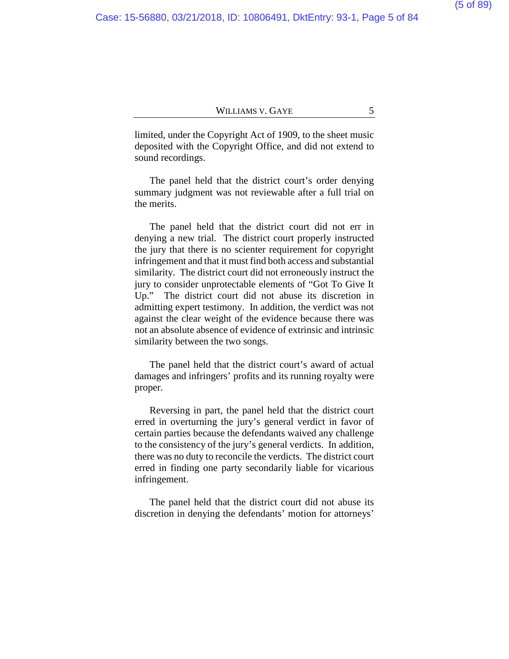limited, under the Copyright Act of 1909, to the sheet music deposited with the Copyright Office, and did not extend to sound recordings.

The panel held that the district court's order denying summary judgment was not reviewable after a full trial on the merits.

The panel held that the district court did not err in denying a new trial. The district court properly instructed the jury that there is no scienter requirement for copyright infringement and that it must find both access and substantial similarity. The district court did not erroneously instruct the jury to consider unprotectable elements of "Got To Give It Up." The district court did not abuse its discretion in admitting expert testimony. In addition, the verdict was not against the clear weight of the evidence because there was not an absolute absence of evidence of extrinsic and intrinsic similarity between the two songs.

The panel held that the district court's award of actual damages and infringers' profits and its running royalty were proper.

Reversing in part, the panel held that the district court erred in overturning the jury's general verdict in favor of certain parties because the defendants waived any challenge to the consistency of the jury's general verdicts. In addition, there was no duty to reconcile the verdicts. The district court erred in finding one party secondarily liable for vicarious infringement.

The panel held that the district court did not abuse its discretion in denying the defendants' motion for attorneys'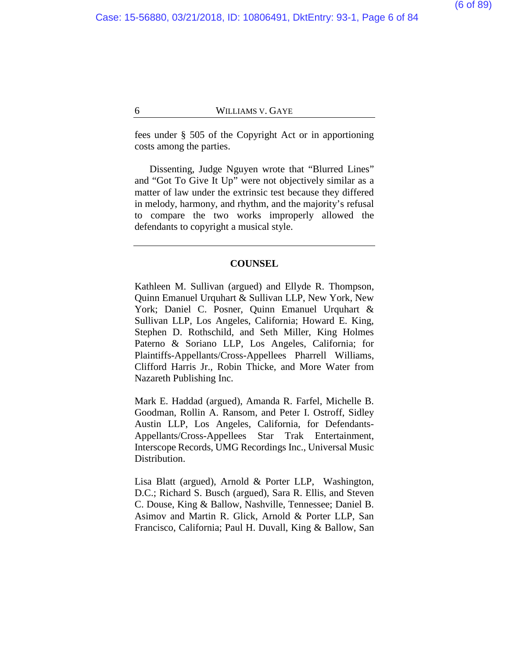fees under § 505 of the Copyright Act or in apportioning costs among the parties.

Dissenting, Judge Nguyen wrote that "Blurred Lines" and "Got To Give It Up" were not objectively similar as a matter of law under the extrinsic test because they differed in melody, harmony, and rhythm, and the majority's refusal to compare the two works improperly allowed the defendants to copyright a musical style.

#### **COUNSEL**

Kathleen M. Sullivan (argued) and Ellyde R. Thompson, Quinn Emanuel Urquhart & Sullivan LLP, New York, New York; Daniel C. Posner, Quinn Emanuel Urquhart & Sullivan LLP, Los Angeles, California; Howard E. King, Stephen D. Rothschild, and Seth Miller, King Holmes Paterno & Soriano LLP, Los Angeles, California; for Plaintiffs-Appellants/Cross-Appellees Pharrell Williams, Clifford Harris Jr., Robin Thicke, and More Water from Nazareth Publishing Inc.

Mark E. Haddad (argued), Amanda R. Farfel, Michelle B. Goodman, Rollin A. Ransom, and Peter I. Ostroff, Sidley Austin LLP, Los Angeles, California, for Defendants-Appellants/Cross-Appellees Star Trak Entertainment, Interscope Records, UMG Recordings Inc., Universal Music Distribution.

Lisa Blatt (argued), Arnold & Porter LLP, Washington, D.C.; Richard S. Busch (argued), Sara R. Ellis, and Steven C. Douse, King & Ballow, Nashville, Tennessee; Daniel B. Asimov and Martin R. Glick, Arnold & Porter LLP, San Francisco, California; Paul H. Duvall, King & Ballow, San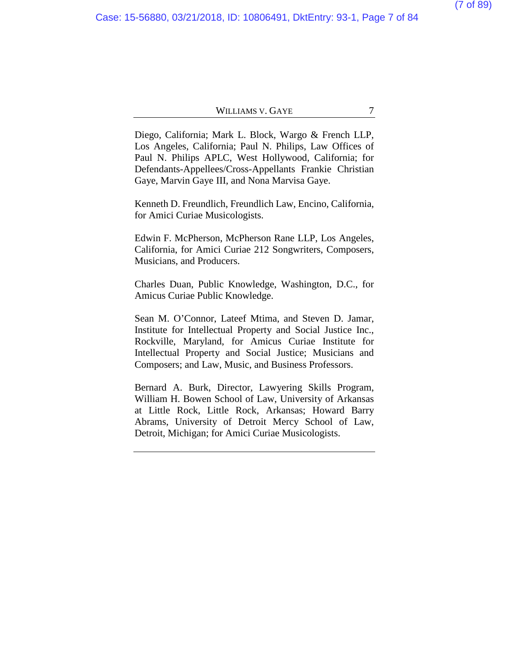Diego, California; Mark L. Block, Wargo & French LLP, Los Angeles, California; Paul N. Philips, Law Offices of Paul N. Philips APLC, West Hollywood, California; for Defendants-Appellees/Cross-Appellants Frankie Christian Gaye, Marvin Gaye III, and Nona Marvisa Gaye.

Kenneth D. Freundlich, Freundlich Law, Encino, California, for Amici Curiae Musicologists.

Edwin F. McPherson, McPherson Rane LLP, Los Angeles, California, for Amici Curiae 212 Songwriters, Composers, Musicians, and Producers.

Charles Duan, Public Knowledge, Washington, D.C., for Amicus Curiae Public Knowledge.

Sean M. O'Connor, Lateef Mtima, and Steven D. Jamar, Institute for Intellectual Property and Social Justice Inc., Rockville, Maryland, for Amicus Curiae Institute for Intellectual Property and Social Justice; Musicians and Composers; and Law, Music, and Business Professors.

Bernard A. Burk, Director, Lawyering Skills Program, William H. Bowen School of Law, University of Arkansas at Little Rock, Little Rock, Arkansas; Howard Barry Abrams, University of Detroit Mercy School of Law, Detroit, Michigan; for Amici Curiae Musicologists.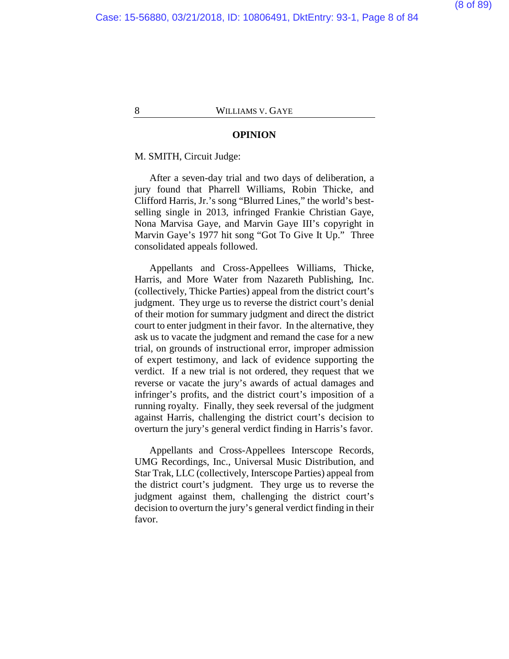#### **OPINION**

M. SMITH, Circuit Judge:

After a seven-day trial and two days of deliberation, a jury found that Pharrell Williams, Robin Thicke, and Clifford Harris, Jr.'s song "Blurred Lines," the world's bestselling single in 2013, infringed Frankie Christian Gaye, Nona Marvisa Gaye, and Marvin Gaye III's copyright in Marvin Gaye's 1977 hit song "Got To Give It Up." Three consolidated appeals followed.

Appellants and Cross-Appellees Williams, Thicke, Harris, and More Water from Nazareth Publishing, Inc. (collectively, Thicke Parties) appeal from the district court's judgment. They urge us to reverse the district court's denial of their motion for summary judgment and direct the district court to enter judgment in their favor. In the alternative, they ask us to vacate the judgment and remand the case for a new trial, on grounds of instructional error, improper admission of expert testimony, and lack of evidence supporting the verdict. If a new trial is not ordered, they request that we reverse or vacate the jury's awards of actual damages and infringer's profits, and the district court's imposition of a running royalty. Finally, they seek reversal of the judgment against Harris, challenging the district court's decision to overturn the jury's general verdict finding in Harris's favor.

Appellants and Cross-Appellees Interscope Records, UMG Recordings, Inc., Universal Music Distribution, and Star Trak, LLC (collectively, Interscope Parties) appeal from the district court's judgment. They urge us to reverse the judgment against them, challenging the district court's decision to overturn the jury's general verdict finding in their favor.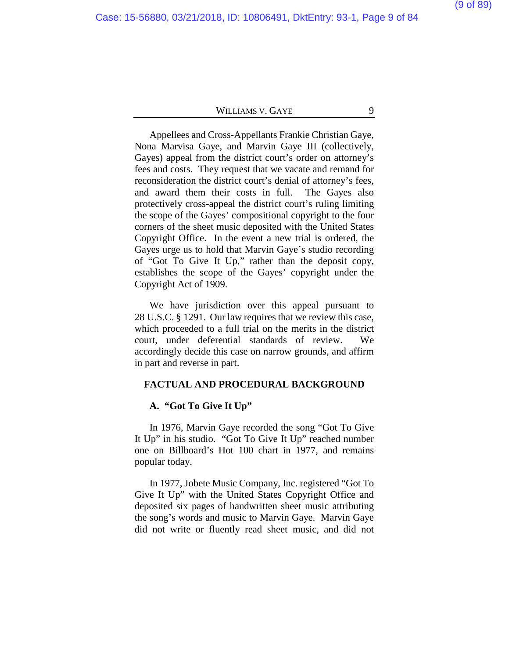Appellees and Cross-Appellants Frankie Christian Gaye, Nona Marvisa Gaye, and Marvin Gaye III (collectively, Gayes) appeal from the district court's order on attorney's fees and costs. They request that we vacate and remand for reconsideration the district court's denial of attorney's fees, and award them their costs in full. The Gayes also protectively cross-appeal the district court's ruling limiting the scope of the Gayes' compositional copyright to the four corners of the sheet music deposited with the United States Copyright Office. In the event a new trial is ordered, the Gayes urge us to hold that Marvin Gaye's studio recording of "Got To Give It Up," rather than the deposit copy, establishes the scope of the Gayes' copyright under the Copyright Act of 1909.

We have jurisdiction over this appeal pursuant to 28 U.S.C. § 1291. Our law requires that we review this case, which proceeded to a full trial on the merits in the district court, under deferential standards of review. We accordingly decide this case on narrow grounds, and affirm in part and reverse in part.

### **FACTUAL AND PROCEDURAL BACKGROUND**

#### **A. "Got To Give It Up"**

In 1976, Marvin Gaye recorded the song "Got To Give It Up" in his studio. "Got To Give It Up" reached number one on Billboard's Hot 100 chart in 1977, and remains popular today.

In 1977, Jobete Music Company, Inc. registered "Got To Give It Up" with the United States Copyright Office and deposited six pages of handwritten sheet music attributing the song's words and music to Marvin Gaye. Marvin Gaye did not write or fluently read sheet music, and did not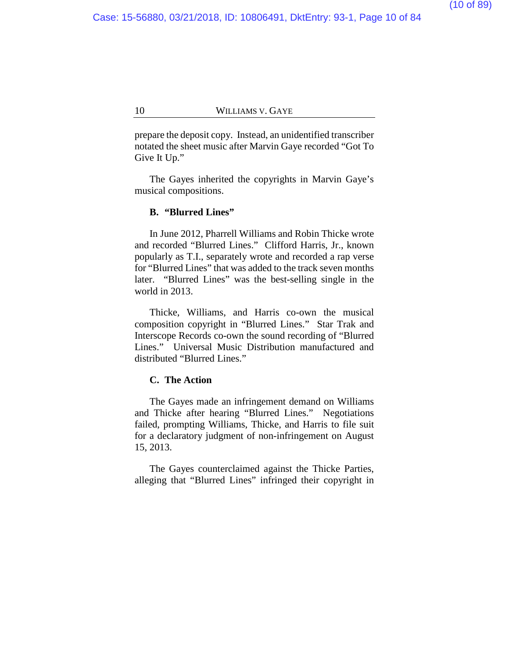prepare the deposit copy. Instead, an unidentified transcriber notated the sheet music after Marvin Gaye recorded "Got To Give It Up."

The Gayes inherited the copyrights in Marvin Gaye's musical compositions.

#### **B. "Blurred Lines"**

In June 2012, Pharrell Williams and Robin Thicke wrote and recorded "Blurred Lines." Clifford Harris, Jr., known popularly as T.I., separately wrote and recorded a rap verse for "Blurred Lines" that was added to the track seven months later. "Blurred Lines" was the best-selling single in the world in 2013.

Thicke, Williams, and Harris co-own the musical composition copyright in "Blurred Lines." Star Trak and Interscope Records co-own the sound recording of "Blurred Lines." Universal Music Distribution manufactured and distributed "Blurred Lines."

# **C. The Action**

The Gayes made an infringement demand on Williams and Thicke after hearing "Blurred Lines." Negotiations failed, prompting Williams, Thicke, and Harris to file suit for a declaratory judgment of non-infringement on August 15, 2013.

The Gayes counterclaimed against the Thicke Parties, alleging that "Blurred Lines" infringed their copyright in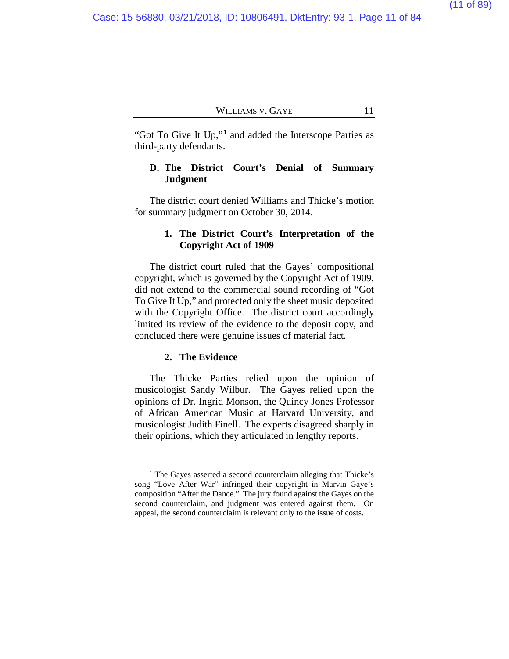"Got To Give It Up,"**[1](#page-10-0)** and added the Interscope Parties as third-party defendants.

# **D. The District Court's Denial of Summary Judgment**

The district court denied Williams and Thicke's motion for summary judgment on October 30, 2014.

# **1. The District Court's Interpretation of the Copyright Act of 1909**

The district court ruled that the Gayes' compositional copyright, which is governed by the Copyright Act of 1909, did not extend to the commercial sound recording of "Got To Give It Up," and protected only the sheet music deposited with the Copyright Office. The district court accordingly limited its review of the evidence to the deposit copy, and concluded there were genuine issues of material fact.

# **2. The Evidence**

 $\overline{a}$ 

The Thicke Parties relied upon the opinion of musicologist Sandy Wilbur. The Gayes relied upon the opinions of Dr. Ingrid Monson, the Quincy Jones Professor of African American Music at Harvard University, and musicologist Judith Finell. The experts disagreed sharply in their opinions, which they articulated in lengthy reports.

<span id="page-10-0"></span>**<sup>1</sup>** The Gayes asserted a second counterclaim alleging that Thicke's song "Love After War" infringed their copyright in Marvin Gaye's composition "After the Dance." The jury found against the Gayes on the second counterclaim, and judgment was entered against them. On appeal, the second counterclaim is relevant only to the issue of costs.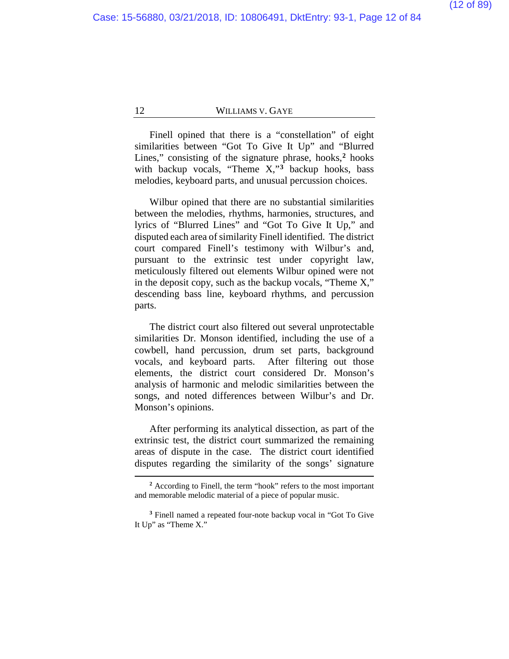Finell opined that there is a "constellation" of eight similarities between "Got To Give It Up" and "Blurred Lines," consisting of the signature phrase, hooks,**[2](#page-11-0)** hooks with backup vocals, "Theme X,"**[3](#page-11-1)** backup hooks, bass melodies, keyboard parts, and unusual percussion choices.

Wilbur opined that there are no substantial similarities between the melodies, rhythms, harmonies, structures, and lyrics of "Blurred Lines" and "Got To Give It Up," and disputed each area of similarity Finell identified. The district court compared Finell's testimony with Wilbur's and, pursuant to the extrinsic test under copyright law, meticulously filtered out elements Wilbur opined were not in the deposit copy, such as the backup vocals, "Theme X," descending bass line, keyboard rhythms, and percussion parts.

The district court also filtered out several unprotectable similarities Dr. Monson identified, including the use of a cowbell, hand percussion, drum set parts, background vocals, and keyboard parts. After filtering out those elements, the district court considered Dr. Monson's analysis of harmonic and melodic similarities between the songs, and noted differences between Wilbur's and Dr. Monson's opinions.

After performing its analytical dissection, as part of the extrinsic test, the district court summarized the remaining areas of dispute in the case. The district court identified disputes regarding the similarity of the songs' signature

**<sup>2</sup>** According to Finell, the term "hook" refers to the most important and memorable melodic material of a piece of popular music.

<span id="page-11-1"></span><span id="page-11-0"></span>**<sup>3</sup>** Finell named a repeated four-note backup vocal in "Got To Give It Up" as "Theme X."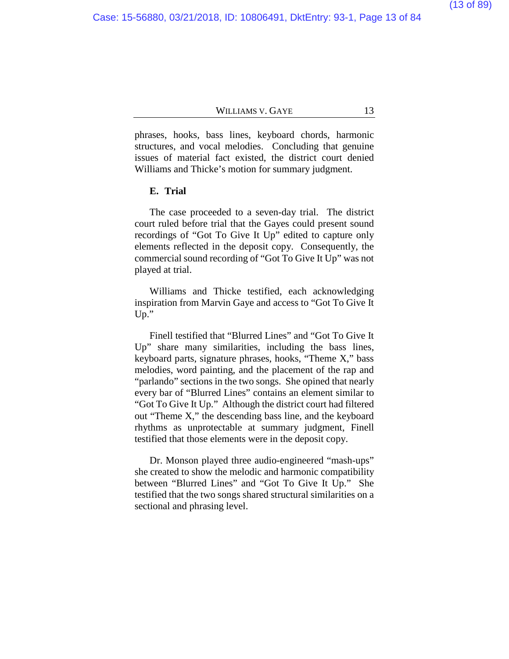phrases, hooks, bass lines, keyboard chords, harmonic structures, and vocal melodies. Concluding that genuine issues of material fact existed, the district court denied Williams and Thicke's motion for summary judgment.

#### **E. Trial**

The case proceeded to a seven-day trial. The district court ruled before trial that the Gayes could present sound recordings of "Got To Give It Up" edited to capture only elements reflected in the deposit copy. Consequently, the commercial sound recording of "Got To Give It Up" was not played at trial.

Williams and Thicke testified, each acknowledging inspiration from Marvin Gaye and access to "Got To Give It Up."

Finell testified that "Blurred Lines" and "Got To Give It Up" share many similarities, including the bass lines, keyboard parts, signature phrases, hooks, "Theme X," bass melodies, word painting, and the placement of the rap and "parlando" sections in the two songs. She opined that nearly every bar of "Blurred Lines" contains an element similar to "Got To Give It Up." Although the district court had filtered out "Theme X," the descending bass line, and the keyboard rhythms as unprotectable at summary judgment, Finell testified that those elements were in the deposit copy.

Dr. Monson played three audio-engineered "mash-ups" she created to show the melodic and harmonic compatibility between "Blurred Lines" and "Got To Give It Up." She testified that the two songs shared structural similarities on a sectional and phrasing level.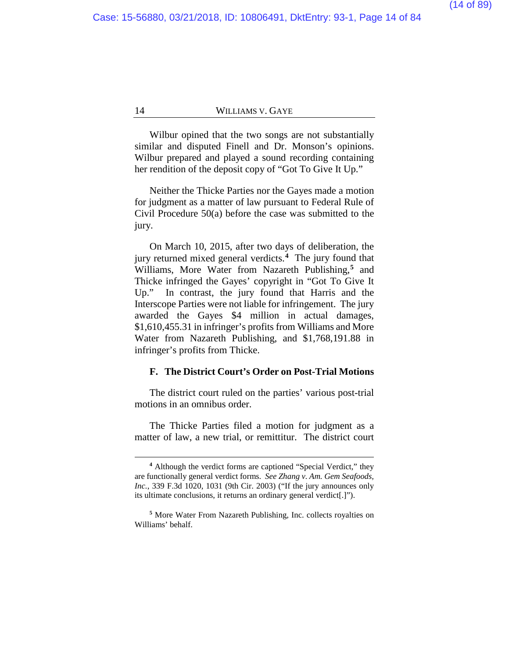Wilbur opined that the two songs are not substantially similar and disputed Finell and Dr. Monson's opinions. Wilbur prepared and played a sound recording containing her rendition of the deposit copy of "Got To Give It Up."

Neither the Thicke Parties nor the Gayes made a motion for judgment as a matter of law pursuant to Federal Rule of Civil Procedure 50(a) before the case was submitted to the jury.

On March 10, 2015, after two days of deliberation, the jury returned mixed general verdicts.**[4](#page-13-0)** The jury found that Williams, More Water from Nazareth Publishing,**[5](#page-13-1)** and Thicke infringed the Gayes' copyright in "Got To Give It Up." In contrast, the jury found that Harris and the Interscope Parties were not liable for infringement. The jury awarded the Gayes \$4 million in actual damages, \$1,610,455.31 in infringer's profits from Williams and More Water from Nazareth Publishing, and \$1,768,191.88 in infringer's profits from Thicke.

#### **F. The District Court's Order on Post-Trial Motions**

The district court ruled on the parties' various post-trial motions in an omnibus order.

The Thicke Parties filed a motion for judgment as a matter of law, a new trial, or remittitur. The district court

**<sup>4</sup>** Although the verdict forms are captioned "Special Verdict," they are functionally general verdict forms. *See Zhang v. Am. Gem Seafoods, Inc.*, 339 F.3d 1020, 1031 (9th Cir. 2003) ("If the jury announces only its ultimate conclusions, it returns an ordinary general verdict[.]").

<span id="page-13-1"></span><span id="page-13-0"></span>**<sup>5</sup>** More Water From Nazareth Publishing, Inc. collects royalties on Williams' behalf.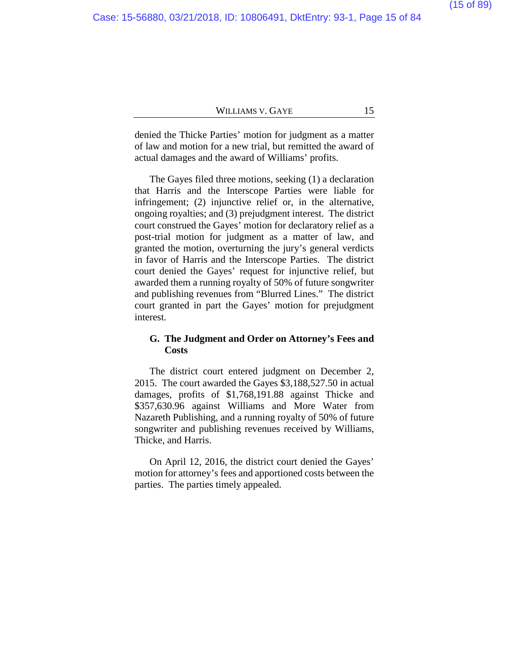denied the Thicke Parties' motion for judgment as a matter of law and motion for a new trial, but remitted the award of actual damages and the award of Williams' profits.

The Gayes filed three motions, seeking (1) a declaration that Harris and the Interscope Parties were liable for infringement; (2) injunctive relief or, in the alternative, ongoing royalties; and (3) prejudgment interest. The district court construed the Gayes' motion for declaratory relief as a post-trial motion for judgment as a matter of law, and granted the motion, overturning the jury's general verdicts in favor of Harris and the Interscope Parties. The district court denied the Gayes' request for injunctive relief, but awarded them a running royalty of 50% of future songwriter and publishing revenues from "Blurred Lines." The district court granted in part the Gayes' motion for prejudgment interest.

# **G. The Judgment and Order on Attorney's Fees and Costs**

The district court entered judgment on December 2, 2015. The court awarded the Gayes \$3,188,527.50 in actual damages, profits of \$1,768,191.88 against Thicke and \$357,630.96 against Williams and More Water from Nazareth Publishing, and a running royalty of 50% of future songwriter and publishing revenues received by Williams, Thicke, and Harris.

On April 12, 2016, the district court denied the Gayes' motion for attorney's fees and apportioned costs between the parties. The parties timely appealed.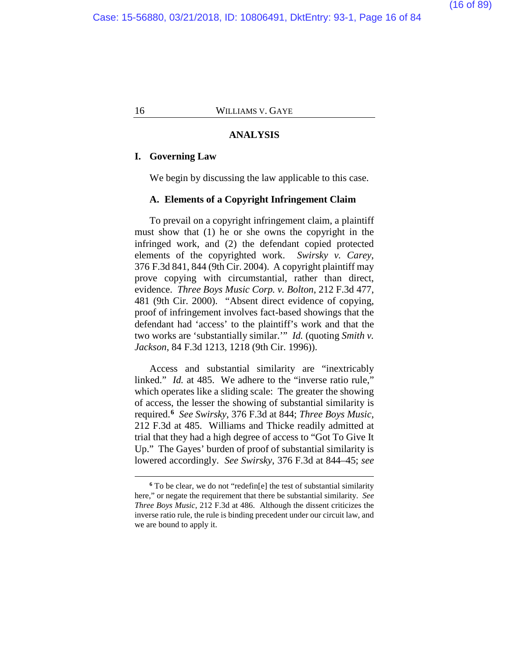#### **ANALYSIS**

#### **I. Governing Law**

 $\overline{a}$ 

We begin by discussing the law applicable to this case.

#### **A. Elements of a Copyright Infringement Claim**

To prevail on a copyright infringement claim, a plaintiff must show that (1) he or she owns the copyright in the infringed work, and (2) the defendant copied protected elements of the copyrighted work. *Swirsky v. Carey*, 376 F.3d 841, 844 (9th Cir. 2004). A copyright plaintiff may prove copying with circumstantial, rather than direct, evidence. *Three Boys Music Corp. v. Bolton*, 212 F.3d 477, 481 (9th Cir. 2000)."Absent direct evidence of copying, proof of infringement involves fact-based showings that the defendant had 'access' to the plaintiff's work and that the two works are 'substantially similar.'" *Id.* (quoting *Smith v. Jackson*, 84 F.3d 1213, 1218 (9th Cir. 1996)).

Access and substantial similarity are "inextricably linked." *Id.* at 485. We adhere to the "inverse ratio rule," which operates like a sliding scale: The greater the showing of access, the lesser the showing of substantial similarity is required.**[6](#page-15-0)** *See Swirsky*, 376 F.3d at 844; *Three Boys Music*, 212 F.3d at 485. Williams and Thicke readily admitted at trial that they had a high degree of access to "Got To Give It Up." The Gayes' burden of proof of substantial similarity is lowered accordingly. *See Swirsky*, 376 F.3d at 844–45; *see* 

<span id="page-15-0"></span>**<sup>6</sup>** To be clear, we do not "redefin[e] the test of substantial similarity here," or negate the requirement that there be substantial similarity. *See Three Boys Music*, 212 F.3d at 486. Although the dissent criticizes the inverse ratio rule, the rule is binding precedent under our circuit law, and we are bound to apply it.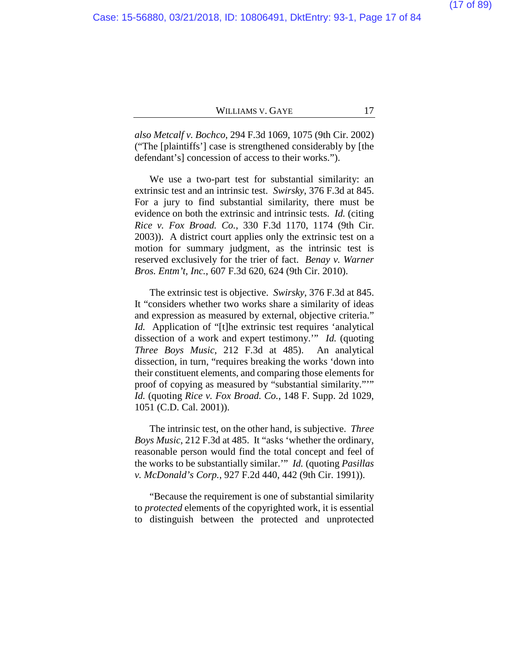*also Metcalf v. Bochco*, 294 F.3d 1069, 1075 (9th Cir. 2002) ("The [plaintiffs'] case is strengthened considerably by [the defendant's] concession of access to their works.").

We use a two-part test for substantial similarity: an extrinsic test and an intrinsic test. *Swirsky*, 376 F.3d at 845. For a jury to find substantial similarity, there must be evidence on both the extrinsic and intrinsic tests. *Id.* (citing *Rice v. Fox Broad. Co.*, 330 F.3d 1170, 1174 (9th Cir. 2003)). A district court applies only the extrinsic test on a motion for summary judgment, as the intrinsic test is reserved exclusively for the trier of fact. *Benay v. Warner Bros. Entm't, Inc.*, 607 F.3d 620, 624 (9th Cir. 2010).

The extrinsic test is objective. *Swirsky*, 376 F.3d at 845. It "considers whether two works share a similarity of ideas and expression as measured by external, objective criteria." *Id.* Application of "[t]he extrinsic test requires 'analytical dissection of a work and expert testimony.'" *Id.* (quoting *Three Boys Music*, 212 F.3d at 485). An analytical dissection, in turn, "requires breaking the works 'down into their constituent elements, and comparing those elements for proof of copying as measured by "substantial similarity."'" *Id.* (quoting *Rice v. Fox Broad. Co.*, 148 F. Supp. 2d 1029, 1051 (C.D. Cal. 2001)).

The intrinsic test, on the other hand, is subjective. *Three Boys Music*, 212 F.3d at 485. It "asks 'whether the ordinary, reasonable person would find the total concept and feel of the works to be substantially similar.'" *Id.* (quoting *Pasillas v. McDonald's Corp.*, 927 F.2d 440, 442 (9th Cir. 1991)).

"Because the requirement is one of substantial similarity to *protected* elements of the copyrighted work, it is essential to distinguish between the protected and unprotected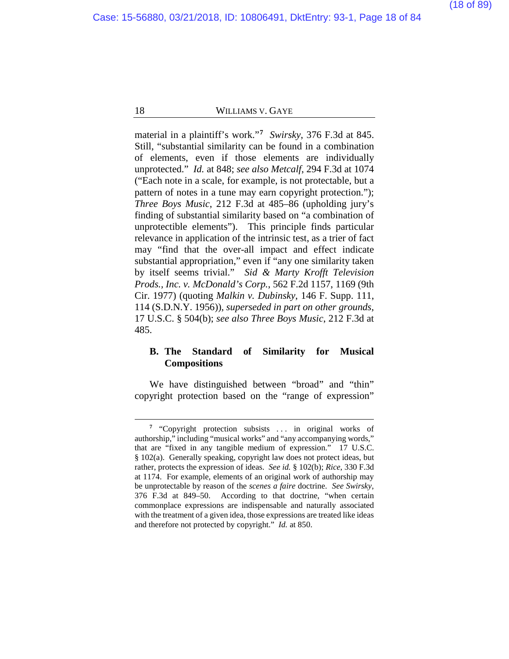material in a plaintiff's work."**[7](#page-17-0)** *Swirsky*, 376 F.3d at 845. Still, "substantial similarity can be found in a combination of elements, even if those elements are individually unprotected." *Id.* at 848; *see also Metcalf*, 294 F.3d at 1074 ("Each note in a scale, for example, is not protectable, but a pattern of notes in a tune may earn copyright protection."); *Three Boys Music*, 212 F.3d at 485–86 (upholding jury's finding of substantial similarity based on "a combination of unprotectible elements"). This principle finds particular relevance in application of the intrinsic test, as a trier of fact may "find that the over-all impact and effect indicate substantial appropriation," even if "any one similarity taken by itself seems trivial." *Sid & Marty Krofft Television Prods., Inc. v. McDonald's Corp.*, 562 F.2d 1157, 1169 (9th Cir. 1977) (quoting *Malkin v. Dubinsky*, 146 F. Supp. 111, 114 (S.D.N.Y. 1956)), *superseded in part on other grounds*, 17 U.S.C. § 504(b); *see also Three Boys Music*, 212 F.3d at 485.

# **B. The Standard of Similarity for Musical Compositions**

We have distinguished between "broad" and "thin" copyright protection based on the "range of expression"

<span id="page-17-0"></span><sup>&</sup>lt;sup>7</sup> "Copyright protection subsists ... in original works of authorship," including "musical works" and "any accompanying words," that are "fixed in any tangible medium of expression." 17 U.S.C. § 102(a). Generally speaking, copyright law does not protect ideas, but rather, protects the expression of ideas. *See id.* § 102(b); *Rice*, 330 F.3d at 1174. For example, elements of an original work of authorship may be unprotectable by reason of the *scenes a faire* doctrine. *See Swirsky*, 376 F.3d at 849–50. According to that doctrine, "when certain commonplace expressions are indispensable and naturally associated with the treatment of a given idea, those expressions are treated like ideas and therefore not protected by copyright." *Id.* at 850.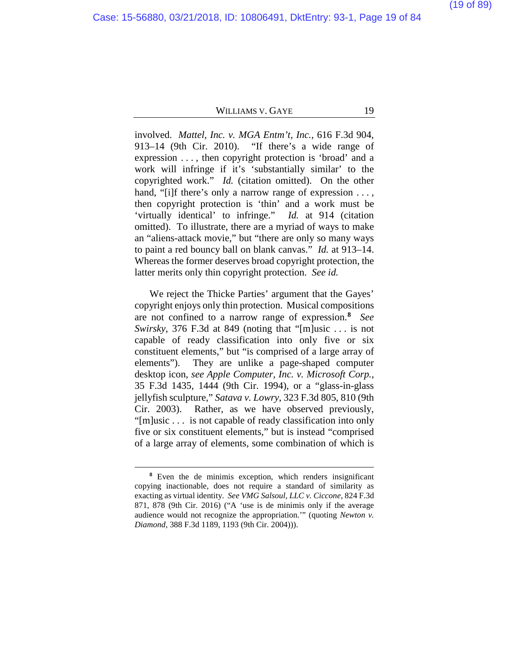involved. *Mattel, Inc. v. MGA Entm't, Inc.*, 616 F.3d 904, 913–14 (9th Cir. 2010). "If there's a wide range of expression . . . , then copyright protection is 'broad' and a work will infringe if it's 'substantially similar' to the copyrighted work." *Id.* (citation omitted).On the other hand, "[i]f there's only a narrow range of expression ..., then copyright protection is 'thin' and a work must be 'virtually identical' to infringe." *Id.* at 914 (citation omitted). To illustrate, there are a myriad of ways to make an "aliens-attack movie," but "there are only so many ways to paint a red bouncy ball on blank canvas." *Id.* at 913–14. Whereas the former deserves broad copyright protection, the latter merits only thin copyright protection. *See id.*

We reject the Thicke Parties' argument that the Gayes' copyright enjoys only thin protection. Musical compositions are not confined to a narrow range of expression.**[8](#page-18-0)** *See Swirsky*, 376 F.3d at 849 (noting that "[m]usic . . . is not capable of ready classification into only five or six constituent elements," but "is comprised of a large array of elements"). They are unlike a page-shaped computer desktop icon, *see Apple Computer, Inc. v. Microsoft Corp.*, 35 F.3d 1435, 1444 (9th Cir. 1994), or a "glass-in-glass jellyfish sculpture," *Satava v. Lowry*, 323 F.3d 805, 810 (9th Cir. 2003). Rather, as we have observed previously, "[m]usic . . . is not capable of ready classification into only five or six constituent elements," but is instead "comprised of a large array of elements, some combination of which is

<span id="page-18-0"></span>**<sup>8</sup>** Even the de minimis exception, which renders insignificant copying inactionable, does not require a standard of similarity as exacting as virtual identity. *See VMG Salsoul, LLC v. Ciccone*, 824 F.3d 871, 878 (9th Cir. 2016) ("A 'use is de minimis only if the average audience would not recognize the appropriation.'" (quoting *Newton v. Diamond*, 388 F.3d 1189, 1193 (9th Cir. 2004))).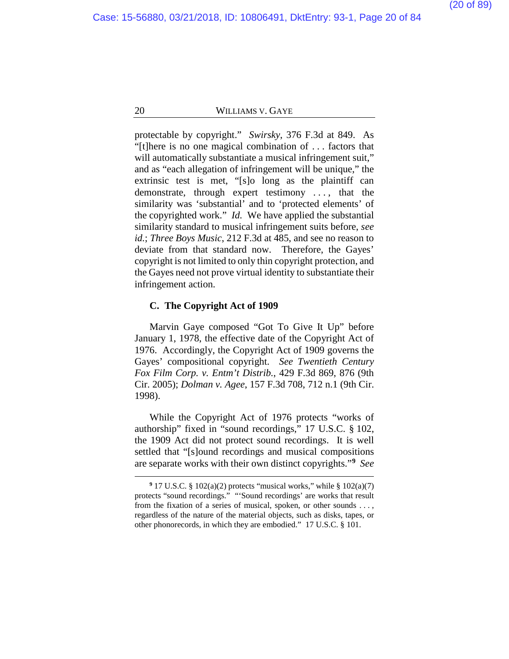protectable by copyright." *Swirsky*, 376 F.3d at 849. As "[t]here is no one magical combination of . . . factors that will automatically substantiate a musical infringement suit," and as "each allegation of infringement will be unique," the extrinsic test is met, "[s]o long as the plaintiff can demonstrate, through expert testimony . . . , that the similarity was 'substantial' and to 'protected elements' of the copyrighted work." *Id.* We have applied the substantial similarity standard to musical infringement suits before, *see id.*; *Three Boys Music*, 212 F.3d at 485, and see no reason to deviate from that standard now. Therefore, the Gayes' copyright is not limited to only thin copyright protection, and the Gayes need not prove virtual identity to substantiate their infringement action.

#### **C. The Copyright Act of 1909**

 $\overline{a}$ 

Marvin Gaye composed "Got To Give It Up" before January 1, 1978, the effective date of the Copyright Act of 1976. Accordingly, the Copyright Act of 1909 governs the Gayes' compositional copyright. *See Twentieth Century Fox Film Corp. v. Entm't Distrib.*, 429 F.3d 869, 876 (9th Cir. 2005); *Dolman v. Agee*, 157 F.3d 708, 712 n.1 (9th Cir. 1998).

While the Copyright Act of 1976 protects "works of authorship" fixed in "sound recordings," 17 U.S.C. § 102, the 1909 Act did not protect sound recordings. It is well settled that "[s]ound recordings and musical compositions are separate works with their own distinct copyrights."**[9](#page-19-0)** *See* 

<span id="page-19-0"></span>**<sup>9</sup>** 17 U.S.C. § 102(a)(2) protects "musical works," while § 102(a)(7) protects "sound recordings." "'Sound recordings' are works that result from the fixation of a series of musical, spoken, or other sounds . . . , regardless of the nature of the material objects, such as disks, tapes, or other phonorecords, in which they are embodied." 17 U.S.C. § 101.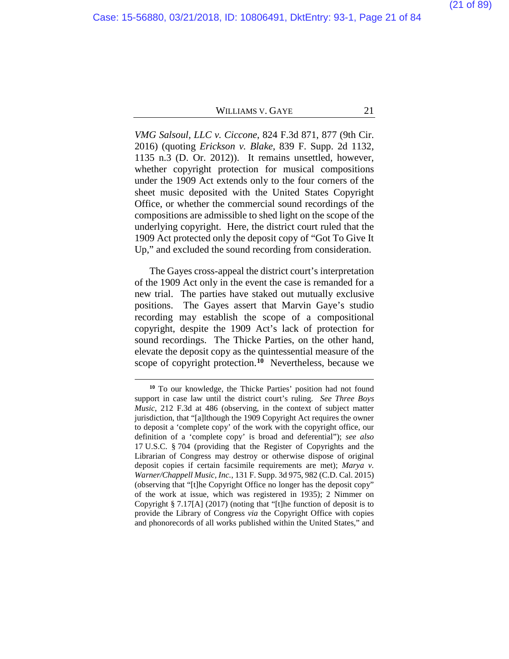*VMG Salsoul, LLC v. Ciccone*, 824 F.3d 871, 877 (9th Cir. 2016) (quoting *Erickson v. Blake*, 839 F. Supp. 2d 1132, 1135 n.3 (D. Or. 2012)). It remains unsettled, however, whether copyright protection for musical compositions under the 1909 Act extends only to the four corners of the sheet music deposited with the United States Copyright Office, or whether the commercial sound recordings of the compositions are admissible to shed light on the scope of the underlying copyright. Here, the district court ruled that the 1909 Act protected only the deposit copy of "Got To Give It Up," and excluded the sound recording from consideration.

The Gayes cross-appeal the district court's interpretation of the 1909 Act only in the event the case is remanded for a new trial. The parties have staked out mutually exclusive positions. The Gayes assert that Marvin Gaye's studio recording may establish the scope of a compositional copyright, despite the 1909 Act's lack of protection for sound recordings. The Thicke Parties, on the other hand, elevate the deposit copy as the quintessential measure of the scope of copyright protection.**[10](#page-20-0)** Nevertheless, because we

<span id="page-20-0"></span>**<sup>10</sup>** To our knowledge, the Thicke Parties' position had not found support in case law until the district court's ruling. *See Three Boys Music*, 212 F.3d at 486 (observing, in the context of subject matter jurisdiction, that "[a]lthough the 1909 Copyright Act requires the owner to deposit a 'complete copy' of the work with the copyright office, our definition of a 'complete copy' is broad and deferential"); *see also* 17 U.S.C. § 704 (providing that the Register of Copyrights and the Librarian of Congress may destroy or otherwise dispose of original deposit copies if certain facsimile requirements are met); *Marya v. Warner/Chappell Music, Inc.*, 131 F. Supp. 3d 975, 982 (C.D. Cal. 2015) (observing that "[t]he Copyright Office no longer has the deposit copy" of the work at issue, which was registered in 1935); 2 Nimmer on Copyright § 7.17[A] (2017) (noting that "[t]he function of deposit is to provide the Library of Congress *via* the Copyright Office with copies and phonorecords of all works published within the United States," and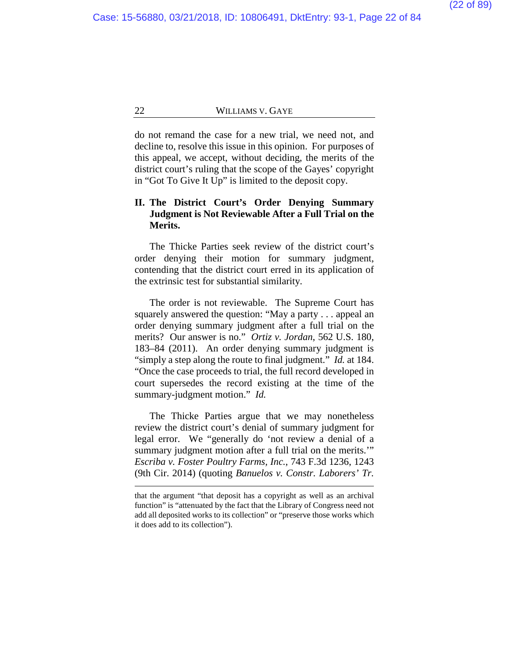do not remand the case for a new trial, we need not, and decline to, resolve this issue in this opinion. For purposes of this appeal, we accept, without deciding, the merits of the district court's ruling that the scope of the Gayes' copyright in "Got To Give It Up" is limited to the deposit copy.

# **II. The District Court's Order Denying Summary Judgment is Not Reviewable After a Full Trial on the Merits.**

The Thicke Parties seek review of the district court's order denying their motion for summary judgment, contending that the district court erred in its application of the extrinsic test for substantial similarity.

The order is not reviewable. The Supreme Court has squarely answered the question: "May a party . . . appeal an order denying summary judgment after a full trial on the merits? Our answer is no." *Ortiz v. Jordan*, 562 U.S. 180, 183–84 (2011). An order denying summary judgment is "simply a step along the route to final judgment." *Id.* at 184. "Once the case proceeds to trial, the full record developed in court supersedes the record existing at the time of the summary-judgment motion." *Id.*

The Thicke Parties argue that we may nonetheless review the district court's denial of summary judgment for legal error. We "generally do 'not review a denial of a summary judgment motion after a full trial on the merits." *Escriba v. Foster Poultry Farms, Inc.*, 743 F.3d 1236, 1243 (9th Cir. 2014) (quoting *Banuelos v. Constr. Laborers' Tr.* 

that the argument "that deposit has a copyright as well as an archival function" is "attenuated by the fact that the Library of Congress need not add all deposited works to its collection" or "preserve those works which it does add to its collection").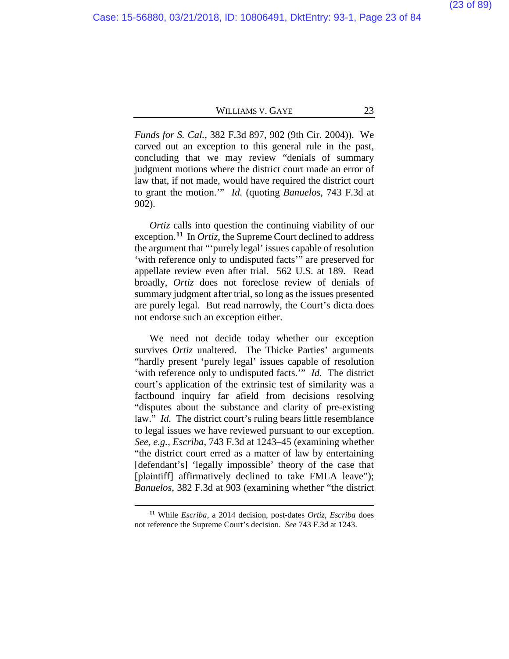*Funds for S. Cal.*, 382 F.3d 897, 902 (9th Cir. 2004)). We carved out an exception to this general rule in the past, concluding that we may review "denials of summary judgment motions where the district court made an error of law that, if not made, would have required the district court to grant the motion.'" *Id.* (quoting *Banuelos*, 743 F.3d at 902).

*Ortiz* calls into question the continuing viability of our exception.**[11](#page-22-0)** In *Ortiz*, the Supreme Court declined to address the argument that "'purely legal' issues capable of resolution 'with reference only to undisputed facts'" are preserved for appellate review even after trial. 562 U.S. at 189. Read broadly, *Ortiz* does not foreclose review of denials of summary judgment after trial, so long as the issues presented are purely legal. But read narrowly, the Court's dicta does not endorse such an exception either.

We need not decide today whether our exception survives *Ortiz* unaltered. The Thicke Parties' arguments "hardly present 'purely legal' issues capable of resolution 'with reference only to undisputed facts.'" *Id.* The district court's application of the extrinsic test of similarity was a factbound inquiry far afield from decisions resolving "disputes about the substance and clarity of pre-existing law." *Id.* The district court's ruling bears little resemblance to legal issues we have reviewed pursuant to our exception. *See, e.g.*, *Escriba*, 743 F.3d at 1243–45 (examining whether "the district court erred as a matter of law by entertaining [defendant's] 'legally impossible' theory of the case that [plaintiff] affirmatively declined to take FMLA leave"); *Banuelos*, 382 F.3d at 903 (examining whether "the district

<span id="page-22-0"></span>**<sup>11</sup>** While *Escriba*, a 2014 decision, post-dates *Ortiz*, *Escriba* does not reference the Supreme Court's decision. *See* 743 F.3d at 1243.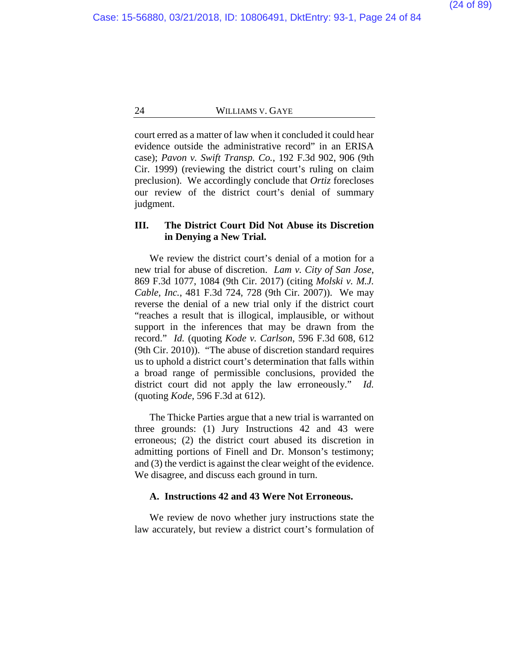court erred as a matter of law when it concluded it could hear evidence outside the administrative record" in an ERISA case); *Pavon v. Swift Transp. Co.*, 192 F.3d 902, 906 (9th Cir. 1999) (reviewing the district court's ruling on claim preclusion). We accordingly conclude that *Ortiz* forecloses our review of the district court's denial of summary judgment.

# **III. The District Court Did Not Abuse its Discretion in Denying a New Trial.**

We review the district court's denial of a motion for a new trial for abuse of discretion. *Lam v. City of San Jose*, 869 F.3d 1077, 1084 (9th Cir. 2017) (citing *Molski v. M.J. Cable, Inc.*, 481 F.3d 724, 728 (9th Cir. 2007)). We may reverse the denial of a new trial only if the district court "reaches a result that is illogical, implausible, or without support in the inferences that may be drawn from the record." *Id.* (quoting *Kode v. Carlson*, 596 F.3d 608, 612 (9th Cir. 2010)). "The abuse of discretion standard requires us to uphold a district court's determination that falls within a broad range of permissible conclusions, provided the district court did not apply the law erroneously." *Id.* (quoting *Kode*, 596 F.3d at 612).

The Thicke Parties argue that a new trial is warranted on three grounds: (1) Jury Instructions 42 and 43 were erroneous; (2) the district court abused its discretion in admitting portions of Finell and Dr. Monson's testimony; and (3) the verdict is against the clear weight of the evidence. We disagree, and discuss each ground in turn.

# **A. Instructions 42 and 43 Were Not Erroneous.**

We review de novo whether jury instructions state the law accurately, but review a district court's formulation of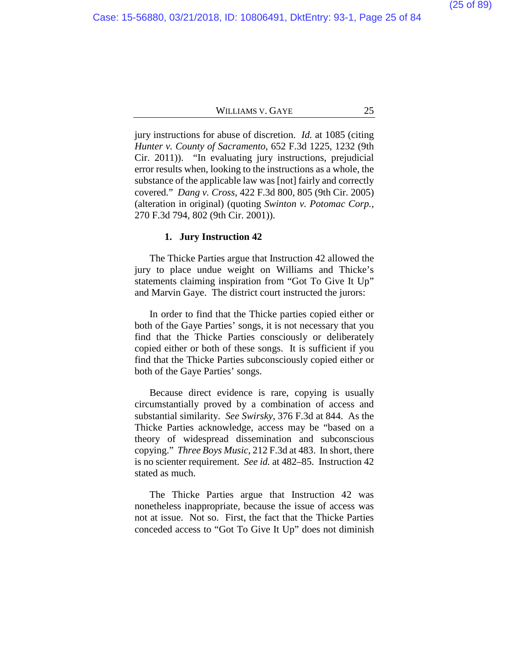jury instructions for abuse of discretion. *Id.* at 1085 (citing *Hunter v. County of Sacramento*, 652 F.3d 1225, 1232 (9th Cir. 2011)). "In evaluating jury instructions, prejudicial error results when, looking to the instructions as a whole, the substance of the applicable law was [not] fairly and correctly covered." *Dang v. Cross*, 422 F.3d 800, 805 (9th Cir. 2005) (alteration in original) (quoting *Swinton v. Potomac Corp.*, 270 F.3d 794, 802 (9th Cir. 2001)).

#### **1. Jury Instruction 42**

The Thicke Parties argue that Instruction 42 allowed the jury to place undue weight on Williams and Thicke's statements claiming inspiration from "Got To Give It Up" and Marvin Gaye. The district court instructed the jurors:

In order to find that the Thicke parties copied either or both of the Gaye Parties' songs, it is not necessary that you find that the Thicke Parties consciously or deliberately copied either or both of these songs. It is sufficient if you find that the Thicke Parties subconsciously copied either or both of the Gaye Parties' songs.

Because direct evidence is rare, copying is usually circumstantially proved by a combination of access and substantial similarity. *See Swirsky*, 376 F.3d at 844. As the Thicke Parties acknowledge, access may be "based on a theory of widespread dissemination and subconscious copying." *Three Boys Music*, 212 F.3d at 483. In short, there is no scienter requirement. *See id.* at 482–85. Instruction 42 stated as much.

The Thicke Parties argue that Instruction 42 was nonetheless inappropriate, because the issue of access was not at issue. Not so. First, the fact that the Thicke Parties conceded access to "Got To Give It Up" does not diminish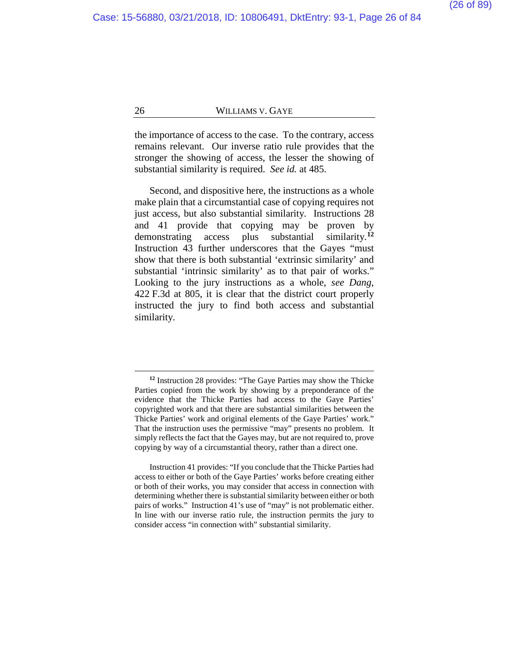the importance of access to the case. To the contrary, access remains relevant. Our inverse ratio rule provides that the stronger the showing of access, the lesser the showing of substantial similarity is required. *See id.* at 485.

Second, and dispositive here, the instructions as a whole make plain that a circumstantial case of copying requires not just access, but also substantial similarity. Instructions 28 and 41 provide that copying may be proven by demonstrating access plus substantial similarity.**[12](#page-25-0)** Instruction 43 further underscores that the Gayes "must show that there is both substantial 'extrinsic similarity' and substantial 'intrinsic similarity' as to that pair of works." Looking to the jury instructions as a whole, *see Dang*, 422 F.3d at 805, it is clear that the district court properly instructed the jury to find both access and substantial similarity.

**<sup>12</sup>** Instruction 28 provides: "The Gaye Parties may show the Thicke Parties copied from the work by showing by a preponderance of the evidence that the Thicke Parties had access to the Gaye Parties' copyrighted work and that there are substantial similarities between the Thicke Parties' work and original elements of the Gaye Parties' work." That the instruction uses the permissive "may" presents no problem. It simply reflects the fact that the Gayes may, but are not required to, prove copying by way of a circumstantial theory, rather than a direct one.

<span id="page-25-0"></span>Instruction 41 provides: "If you conclude that the Thicke Parties had access to either or both of the Gaye Parties' works before creating either or both of their works, you may consider that access in connection with determining whether there is substantial similarity between either or both pairs of works." Instruction 41's use of "may" is not problematic either. In line with our inverse ratio rule, the instruction permits the jury to consider access "in connection with" substantial similarity.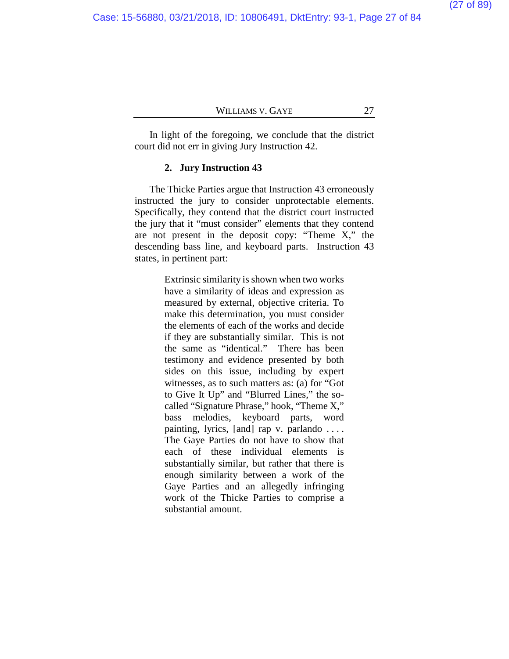In light of the foregoing, we conclude that the district court did not err in giving Jury Instruction 42.

#### **2. Jury Instruction 43**

The Thicke Parties argue that Instruction 43 erroneously instructed the jury to consider unprotectable elements. Specifically, they contend that the district court instructed the jury that it "must consider" elements that they contend are not present in the deposit copy: "Theme X," the descending bass line, and keyboard parts. Instruction 43 states, in pertinent part:

> Extrinsic similarity is shown when two works have a similarity of ideas and expression as measured by external, objective criteria. To make this determination, you must consider the elements of each of the works and decide if they are substantially similar. This is not the same as "identical." There has been testimony and evidence presented by both sides on this issue, including by expert witnesses, as to such matters as: (a) for "Got to Give It Up" and "Blurred Lines," the socalled "Signature Phrase," hook, "Theme X," bass melodies, keyboard parts, word painting, lyrics, [and] rap v. parlando . . . . The Gaye Parties do not have to show that each of these individual elements is substantially similar, but rather that there is enough similarity between a work of the Gaye Parties and an allegedly infringing work of the Thicke Parties to comprise a substantial amount.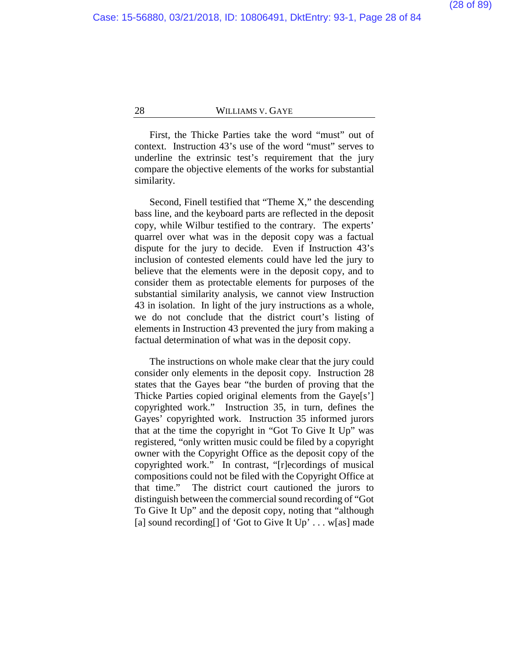First, the Thicke Parties take the word "must" out of context. Instruction 43's use of the word "must" serves to underline the extrinsic test's requirement that the jury compare the objective elements of the works for substantial similarity.

Second, Finell testified that "Theme X," the descending bass line, and the keyboard parts are reflected in the deposit copy, while Wilbur testified to the contrary. The experts' quarrel over what was in the deposit copy was a factual dispute for the jury to decide. Even if Instruction 43's inclusion of contested elements could have led the jury to believe that the elements were in the deposit copy, and to consider them as protectable elements for purposes of the substantial similarity analysis, we cannot view Instruction 43 in isolation. In light of the jury instructions as a whole, we do not conclude that the district court's listing of elements in Instruction 43 prevented the jury from making a factual determination of what was in the deposit copy.

The instructions on whole make clear that the jury could consider only elements in the deposit copy. Instruction 28 states that the Gayes bear "the burden of proving that the Thicke Parties copied original elements from the Gaye[s'] copyrighted work." Instruction 35, in turn, defines the Gayes' copyrighted work. Instruction 35 informed jurors that at the time the copyright in "Got To Give It Up" was registered, "only written music could be filed by a copyright owner with the Copyright Office as the deposit copy of the copyrighted work." In contrast, "[r]ecordings of musical compositions could not be filed with the Copyright Office at that time." The district court cautioned the jurors to distinguish between the commercial sound recording of "Got To Give It Up" and the deposit copy, noting that "although [a] sound recording [] of 'Got to Give It  $Up' \dots w[as]$  made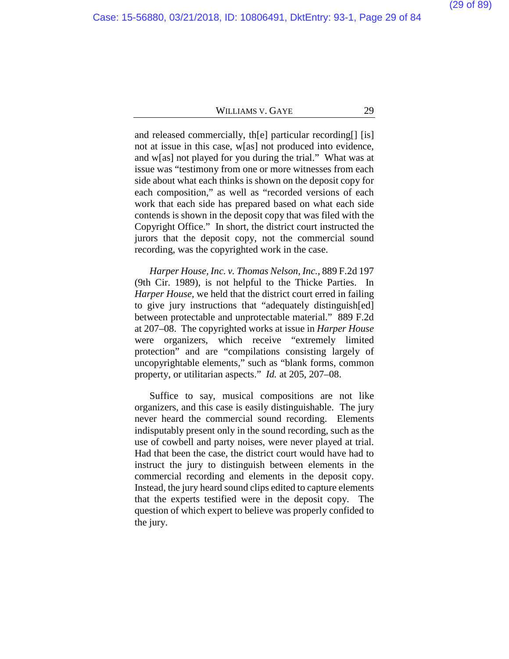and released commercially, th[e] particular recording[] [is] not at issue in this case, w[as] not produced into evidence, and w[as] not played for you during the trial." What was at issue was "testimony from one or more witnesses from each side about what each thinks is shown on the deposit copy for each composition," as well as "recorded versions of each work that each side has prepared based on what each side contends is shown in the deposit copy that was filed with the Copyright Office." In short, the district court instructed the jurors that the deposit copy, not the commercial sound recording, was the copyrighted work in the case.

*Harper House, Inc. v. Thomas Nelson, Inc.*, 889 F.2d 197 (9th Cir. 1989), is not helpful to the Thicke Parties. In *Harper House*, we held that the district court erred in failing to give jury instructions that "adequately distinguish[ed] between protectable and unprotectable material." 889 F.2d at 207–08.The copyrighted works at issue in *Harper House*  were organizers, which receive "extremely limited protection" and are "compilations consisting largely of uncopyrightable elements," such as "blank forms, common property, or utilitarian aspects." *Id.* at 205, 207–08.

Suffice to say, musical compositions are not like organizers, and this case is easily distinguishable. The jury never heard the commercial sound recording. Elements indisputably present only in the sound recording, such as the use of cowbell and party noises, were never played at trial. Had that been the case, the district court would have had to instruct the jury to distinguish between elements in the commercial recording and elements in the deposit copy. Instead, the jury heard sound clips edited to capture elements that the experts testified were in the deposit copy. The question of which expert to believe was properly confided to the jury.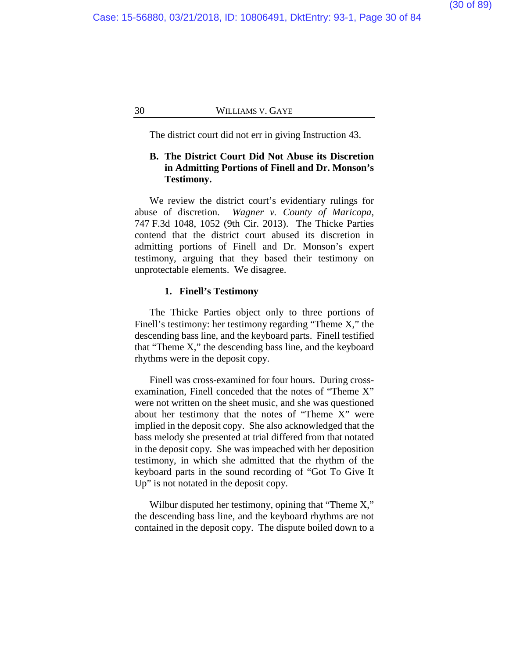The district court did not err in giving Instruction 43.

# **B. The District Court Did Not Abuse its Discretion in Admitting Portions of Finell and Dr. Monson's Testimony.**

We review the district court's evidentiary rulings for abuse of discretion. *Wagner v. County of Maricopa*, 747 F.3d 1048, 1052 (9th Cir. 2013). The Thicke Parties contend that the district court abused its discretion in admitting portions of Finell and Dr. Monson's expert testimony, arguing that they based their testimony on unprotectable elements. We disagree.

#### **1. Finell's Testimony**

The Thicke Parties object only to three portions of Finell's testimony: her testimony regarding "Theme X," the descending bass line, and the keyboard parts. Finell testified that "Theme X," the descending bass line, and the keyboard rhythms were in the deposit copy.

Finell was cross-examined for four hours. During crossexamination, Finell conceded that the notes of "Theme X" were not written on the sheet music, and she was questioned about her testimony that the notes of "Theme X" were implied in the deposit copy. She also acknowledged that the bass melody she presented at trial differed from that notated in the deposit copy. She was impeached with her deposition testimony, in which she admitted that the rhythm of the keyboard parts in the sound recording of "Got To Give It Up" is not notated in the deposit copy.

Wilbur disputed her testimony, opining that "Theme X," the descending bass line, and the keyboard rhythms are not contained in the deposit copy. The dispute boiled down to a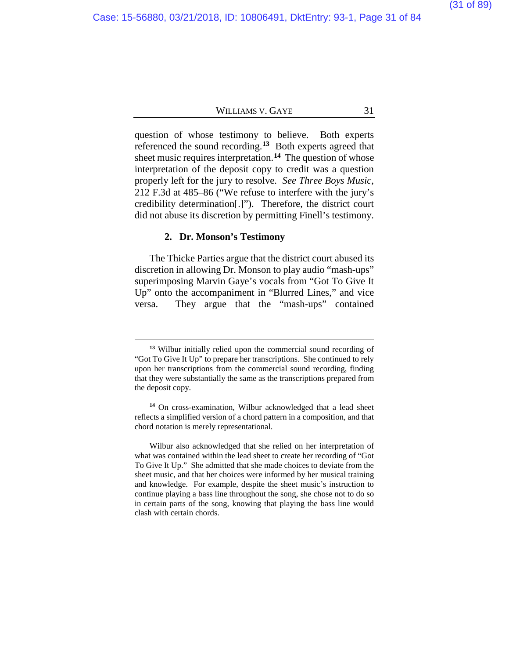question of whose testimony to believe. Both experts referenced the sound recording.**[13](#page-30-0)** Both experts agreed that sheet music requires interpretation.**[14](#page-30-1)** The question of whose interpretation of the deposit copy to credit was a question properly left for the jury to resolve. *See Three Boys Music*, 212 F.3d at 485–86 ("We refuse to interfere with the jury's credibility determination[.]"). Therefore, the district court did not abuse its discretion by permitting Finell's testimony.

#### **2. Dr. Monson's Testimony**

 $\overline{a}$ 

The Thicke Parties argue that the district court abused its discretion in allowing Dr. Monson to play audio "mash-ups" superimposing Marvin Gaye's vocals from "Got To Give It Up" onto the accompaniment in "Blurred Lines," and vice versa. They argue that the "mash-ups" contained

**<sup>13</sup>** Wilbur initially relied upon the commercial sound recording of "Got To Give It Up" to prepare her transcriptions. She continued to rely upon her transcriptions from the commercial sound recording, finding that they were substantially the same as the transcriptions prepared from the deposit copy.

<span id="page-30-0"></span>**<sup>14</sup>** On cross-examination, Wilbur acknowledged that a lead sheet reflects a simplified version of a chord pattern in a composition, and that chord notation is merely representational.

<span id="page-30-1"></span>Wilbur also acknowledged that she relied on her interpretation of what was contained within the lead sheet to create her recording of "Got To Give It Up." She admitted that she made choices to deviate from the sheet music, and that her choices were informed by her musical training and knowledge. For example, despite the sheet music's instruction to continue playing a bass line throughout the song, she chose not to do so in certain parts of the song, knowing that playing the bass line would clash with certain chords.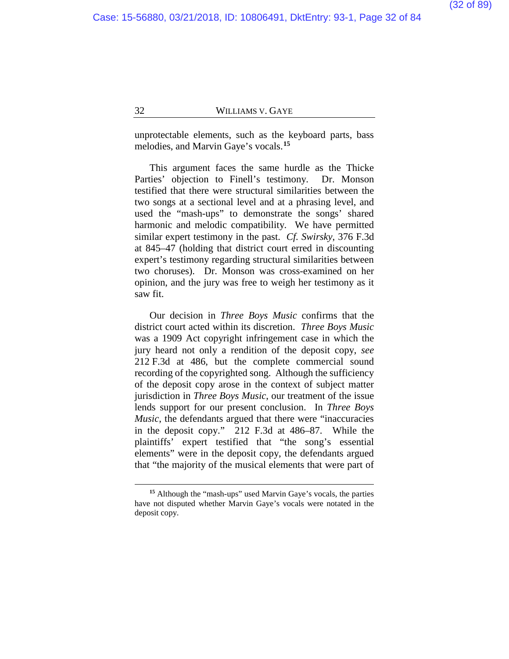unprotectable elements, such as the keyboard parts, bass melodies, and Marvin Gaye's vocals.**[15](#page-31-0)**

This argument faces the same hurdle as the Thicke Parties' objection to Finell's testimony. Dr. Monson testified that there were structural similarities between the two songs at a sectional level and at a phrasing level, and used the "mash-ups" to demonstrate the songs' shared harmonic and melodic compatibility. We have permitted similar expert testimony in the past. *Cf. Swirsky*, 376 F.3d at 845–47 (holding that district court erred in discounting expert's testimony regarding structural similarities between two choruses). Dr. Monson was cross-examined on her opinion, and the jury was free to weigh her testimony as it saw fit.

Our decision in *Three Boys Music* confirms that the district court acted within its discretion. *Three Boys Music* was a 1909 Act copyright infringement case in which the jury heard not only a rendition of the deposit copy, *see*  212 F.3d at 486, but the complete commercial sound recording of the copyrighted song. Although the sufficiency of the deposit copy arose in the context of subject matter jurisdiction in *Three Boys Music*, our treatment of the issue lends support for our present conclusion. In *Three Boys Music*, the defendants argued that there were "inaccuracies in the deposit copy." 212 F.3d at 486–87.While the plaintiffs' expert testified that "the song's essential elements" were in the deposit copy, the defendants argued that "the majority of the musical elements that were part of

<span id="page-31-0"></span>**<sup>15</sup>** Although the "mash-ups" used Marvin Gaye's vocals, the parties have not disputed whether Marvin Gaye's vocals were notated in the deposit copy.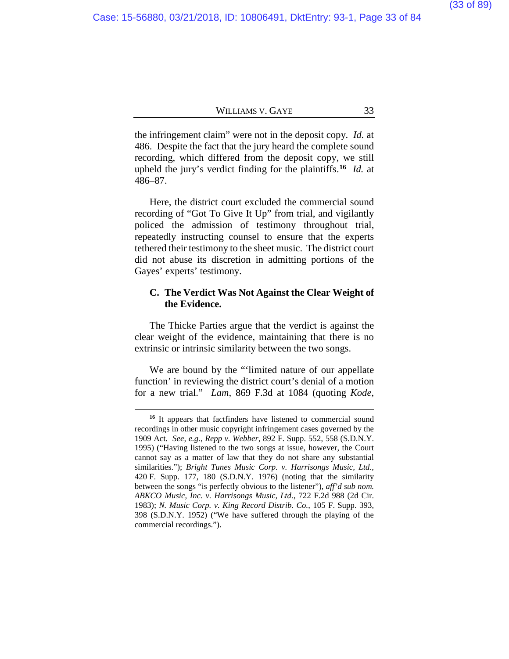the infringement claim" were not in the deposit copy. *Id.* at 486. Despite the fact that the jury heard the complete sound recording, which differed from the deposit copy, we still upheld the jury's verdict finding for the plaintiffs.**[16](#page-32-0)** *Id.* at 486–87.

Here, the district court excluded the commercial sound recording of "Got To Give It Up" from trial, and vigilantly policed the admission of testimony throughout trial, repeatedly instructing counsel to ensure that the experts tethered their testimony to the sheet music. The district court did not abuse its discretion in admitting portions of the Gayes' experts' testimony.

# **C. The Verdict Was Not Against the Clear Weight of the Evidence.**

The Thicke Parties argue that the verdict is against the clear weight of the evidence, maintaining that there is no extrinsic or intrinsic similarity between the two songs.

We are bound by the "'limited nature of our appellate function' in reviewing the district court's denial of a motion for a new trial." *Lam*, 869 F.3d at 1084 (quoting *Kode*,

<span id="page-32-0"></span>**<sup>16</sup>** It appears that factfinders have listened to commercial sound recordings in other music copyright infringement cases governed by the 1909 Act. *See, e.g.*, *Repp v. Webber*, 892 F. Supp. 552, 558 (S.D.N.Y. 1995) ("Having listened to the two songs at issue, however, the Court cannot say as a matter of law that they do not share any substantial similarities."); *Bright Tunes Music Corp. v. Harrisongs Music, Ltd.*, 420 F. Supp. 177, 180 (S.D.N.Y. 1976) (noting that the similarity between the songs "is perfectly obvious to the listener"), *aff'd sub nom. ABKCO Music, Inc. v. Harrisongs Music, Ltd.*, 722 F.2d 988 (2d Cir. 1983); *N. Music Corp. v. King Record Distrib. Co.*, 105 F. Supp. 393, 398 (S.D.N.Y. 1952) ("We have suffered through the playing of the commercial recordings.").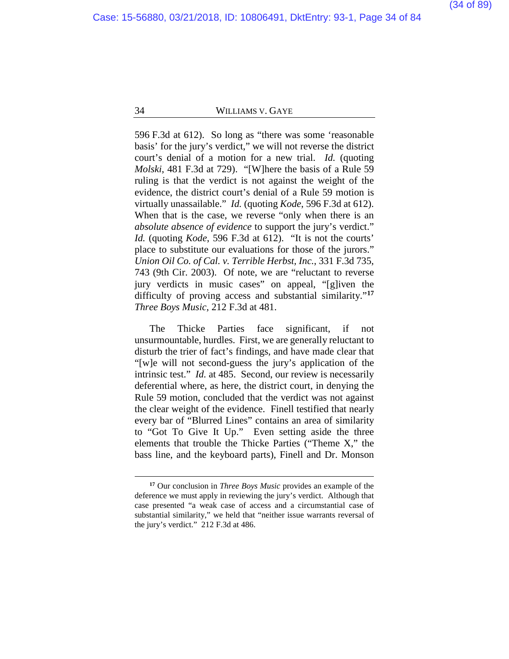596 F.3d at 612). So long as "there was some 'reasonable basis' for the jury's verdict," we will not reverse the district court's denial of a motion for a new trial. *Id.* (quoting *Molski*, 481 F.3d at 729). "[W]here the basis of a Rule 59 ruling is that the verdict is not against the weight of the evidence, the district court's denial of a Rule 59 motion is virtually unassailable." *Id.* (quoting *Kode*, 596 F.3d at 612). When that is the case, we reverse "only when there is an *absolute absence of evidence* to support the jury's verdict." *Id.* (quoting *Kode*, 596 F.3d at 612). "It is not the courts' place to substitute our evaluations for those of the jurors." *Union Oil Co. of Cal. v. Terrible Herbst, Inc.*, 331 F.3d 735, 743 (9th Cir. 2003). Of note, we are "reluctant to reverse jury verdicts in music cases" on appeal, "[g]iven the difficulty of proving access and substantial similarity."**[17](#page-33-0)** *Three Boys Music*, 212 F.3d at 481.

The Thicke Parties face significant, if not unsurmountable, hurdles. First, we are generally reluctant to disturb the trier of fact's findings, and have made clear that "[w]e will not second-guess the jury's application of the intrinsic test." *Id.* at 485. Second, our review is necessarily deferential where, as here, the district court, in denying the Rule 59 motion, concluded that the verdict was not against the clear weight of the evidence. Finell testified that nearly every bar of "Blurred Lines" contains an area of similarity to "Got To Give It Up." Even setting aside the three elements that trouble the Thicke Parties ("Theme X," the bass line, and the keyboard parts), Finell and Dr. Monson

<span id="page-33-0"></span>**<sup>17</sup>** Our conclusion in *Three Boys Music* provides an example of the deference we must apply in reviewing the jury's verdict. Although that case presented "a weak case of access and a circumstantial case of substantial similarity," we held that "neither issue warrants reversal of the jury's verdict." 212 F.3d at 486.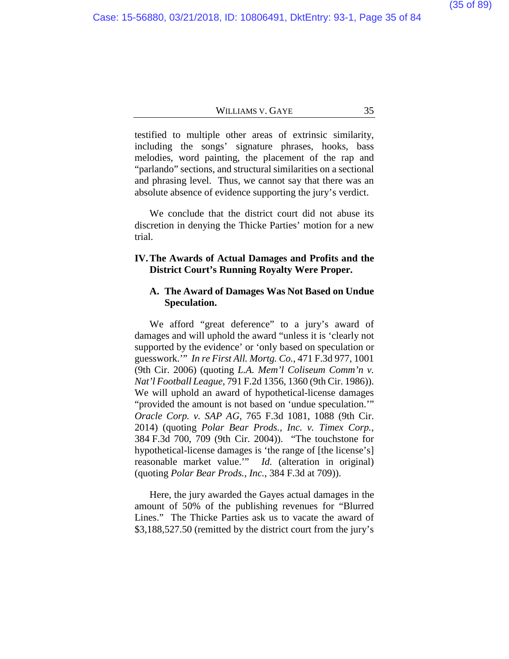testified to multiple other areas of extrinsic similarity, including the songs' signature phrases, hooks, bass melodies, word painting, the placement of the rap and "parlando" sections, and structural similarities on a sectional and phrasing level. Thus, we cannot say that there was an absolute absence of evidence supporting the jury's verdict.

We conclude that the district court did not abuse its discretion in denying the Thicke Parties' motion for a new trial.

# **IV.The Awards of Actual Damages and Profits and the District Court's Running Royalty Were Proper.**

#### **A. The Award of Damages Was Not Based on Undue Speculation.**

We afford "great deference" to a jury's award of damages and will uphold the award "unless it is 'clearly not supported by the evidence' or 'only based on speculation or guesswork.'" *In re First All. Mortg. Co.*, 471 F.3d 977, 1001 (9th Cir. 2006) (quoting *L.A. Mem'l Coliseum Comm'n v. Nat'l Football League*, 791 F.2d 1356, 1360 (9th Cir. 1986)). We will uphold an award of hypothetical-license damages "provided the amount is not based on 'undue speculation.'" *Oracle Corp. v. SAP AG*, 765 F.3d 1081, 1088 (9th Cir. 2014) (quoting *Polar Bear Prods., Inc. v. Timex Corp.*, 384 F.3d 700, 709 (9th Cir. 2004)). "The touchstone for hypothetical-license damages is 'the range of [the license's] reasonable market value.'" *Id.* (alteration in original) (quoting *Polar Bear Prods., Inc.*, 384 F.3d at 709)).

Here, the jury awarded the Gayes actual damages in the amount of 50% of the publishing revenues for "Blurred Lines." The Thicke Parties ask us to vacate the award of \$3,188,527.50 (remitted by the district court from the jury's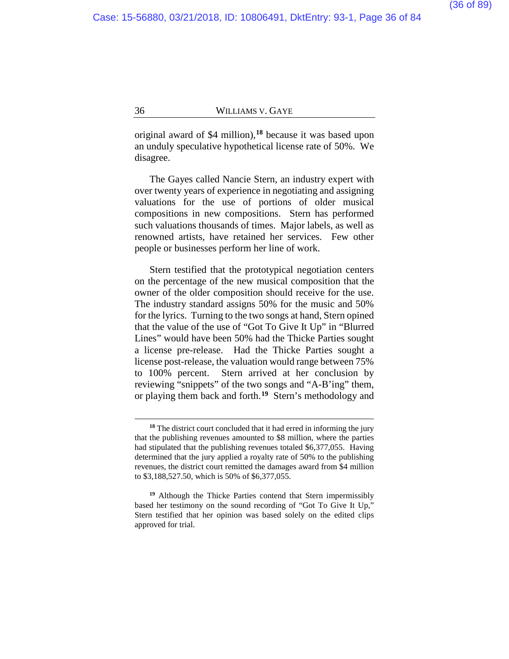original award of \$4 million),**[18](#page-35-0)** because it was based upon an unduly speculative hypothetical license rate of 50%. We disagree.

The Gayes called Nancie Stern, an industry expert with over twenty years of experience in negotiating and assigning valuations for the use of portions of older musical compositions in new compositions. Stern has performed such valuations thousands of times. Major labels, as well as renowned artists, have retained her services. Few other people or businesses perform her line of work.

Stern testified that the prototypical negotiation centers on the percentage of the new musical composition that the owner of the older composition should receive for the use. The industry standard assigns 50% for the music and 50% for the lyrics. Turning to the two songs at hand, Stern opined that the value of the use of "Got To Give It Up" in "Blurred Lines" would have been 50% had the Thicke Parties sought a license pre-release. Had the Thicke Parties sought a license post-release, the valuation would range between 75% to 100% percent. Stern arrived at her conclusion by reviewing "snippets" of the two songs and "A-B'ing" them, or playing them back and forth.**[19](#page-35-1)** Stern's methodology and

**<sup>18</sup>** The district court concluded that it had erred in informing the jury that the publishing revenues amounted to \$8 million, where the parties had stipulated that the publishing revenues totaled \$6,377,055. Having determined that the jury applied a royalty rate of 50% to the publishing revenues, the district court remitted the damages award from \$4 million to \$3,188,527.50, which is 50% of \$6,377,055.

<span id="page-35-1"></span><span id="page-35-0"></span>**<sup>19</sup>** Although the Thicke Parties contend that Stern impermissibly based her testimony on the sound recording of "Got To Give It Up," Stern testified that her opinion was based solely on the edited clips approved for trial.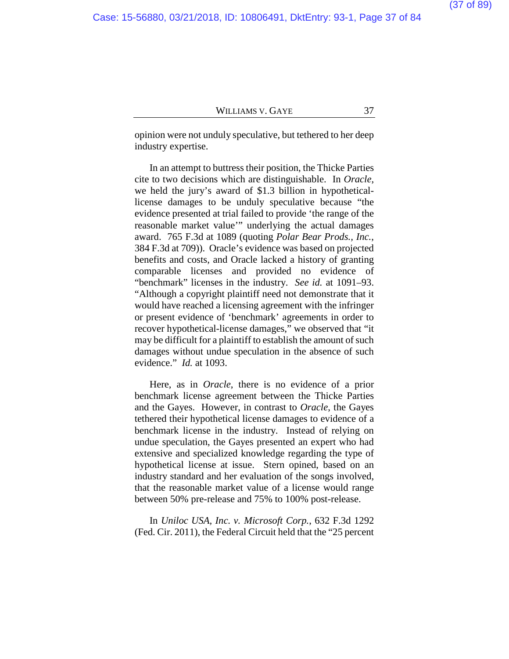opinion were not unduly speculative, but tethered to her deep industry expertise.

In an attempt to buttress their position, the Thicke Parties cite to two decisions which are distinguishable. In *Oracle*, we held the jury's award of \$1.3 billion in hypotheticallicense damages to be unduly speculative because "the evidence presented at trial failed to provide 'the range of the reasonable market value'" underlying the actual damages award. 765 F.3d at 1089 (quoting *Polar Bear Prods., Inc.*, 384 F.3d at 709)). Oracle's evidence was based on projected benefits and costs, and Oracle lacked a history of granting comparable licenses and provided no evidence of "benchmark" licenses in the industry. *See id.* at 1091–93. "Although a copyright plaintiff need not demonstrate that it would have reached a licensing agreement with the infringer or present evidence of 'benchmark' agreements in order to recover hypothetical-license damages," we observed that "it may be difficult for a plaintiff to establish the amount of such damages without undue speculation in the absence of such evidence." *Id.* at 1093.

Here, as in *Oracle*, there is no evidence of a prior benchmark license agreement between the Thicke Parties and the Gayes. However, in contrast to *Oracle*, the Gayes tethered their hypothetical license damages to evidence of a benchmark license in the industry. Instead of relying on undue speculation, the Gayes presented an expert who had extensive and specialized knowledge regarding the type of hypothetical license at issue. Stern opined, based on an industry standard and her evaluation of the songs involved, that the reasonable market value of a license would range between 50% pre-release and 75% to 100% post-release.

In *Uniloc USA, Inc. v. Microsoft Corp.*, 632 F.3d 1292 (Fed. Cir. 2011), the Federal Circuit held that the "25 percent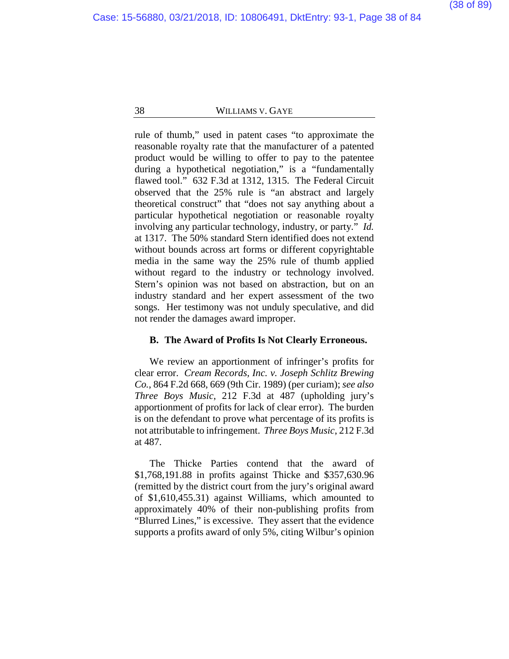rule of thumb," used in patent cases "to approximate the reasonable royalty rate that the manufacturer of a patented product would be willing to offer to pay to the patentee during a hypothetical negotiation," is a "fundamentally flawed tool." 632 F.3d at 1312, 1315. The Federal Circuit observed that the 25% rule is "an abstract and largely theoretical construct" that "does not say anything about a particular hypothetical negotiation or reasonable royalty involving any particular technology, industry, or party." *Id.*  at 1317. The 50% standard Stern identified does not extend without bounds across art forms or different copyrightable media in the same way the 25% rule of thumb applied without regard to the industry or technology involved. Stern's opinion was not based on abstraction, but on an industry standard and her expert assessment of the two songs. Her testimony was not unduly speculative, and did not render the damages award improper.

# **B. The Award of Profits Is Not Clearly Erroneous.**

We review an apportionment of infringer's profits for clear error. *Cream Records, Inc. v. Joseph Schlitz Brewing Co.*, 864 F.2d 668, 669 (9th Cir. 1989) (per curiam); *see also Three Boys Music*, 212 F.3d at 487 (upholding jury's apportionment of profits for lack of clear error). The burden is on the defendant to prove what percentage of its profits is not attributable to infringement. *Three Boys Music*, 212 F.3d at 487.

The Thicke Parties contend that the award of \$1,768,191.88 in profits against Thicke and \$357,630.96 (remitted by the district court from the jury's original award of \$1,610,455.31) against Williams, which amounted to approximately 40% of their non-publishing profits from "Blurred Lines," is excessive. They assert that the evidence supports a profits award of only 5%, citing Wilbur's opinion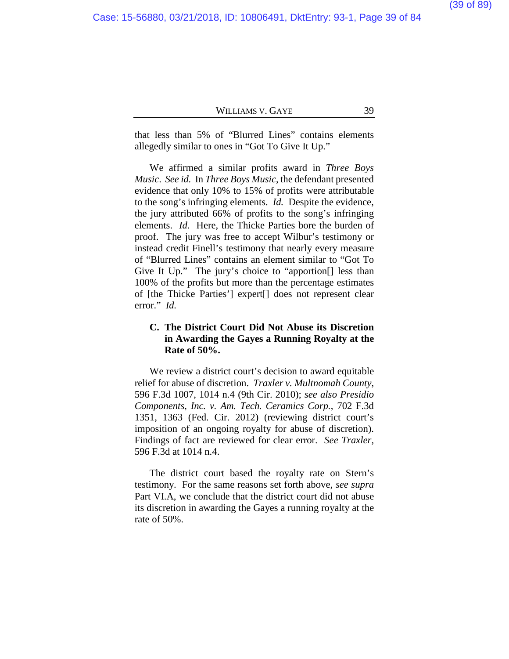that less than 5% of "Blurred Lines" contains elements allegedly similar to ones in "Got To Give It Up."

We affirmed a similar profits award in *Three Boys Music*. *See id.* In *Three Boys Music*, the defendant presented evidence that only 10% to 15% of profits were attributable to the song's infringing elements. *Id.* Despite the evidence, the jury attributed 66% of profits to the song's infringing elements. *Id.* Here, the Thicke Parties bore the burden of proof. The jury was free to accept Wilbur's testimony or instead credit Finell's testimony that nearly every measure of "Blurred Lines" contains an element similar to "Got To Give It Up." The jury's choice to "apportion<sup>[]</sup> less than 100% of the profits but more than the percentage estimates of [the Thicke Parties'] expert[] does not represent clear error." *Id.*

# **C. The District Court Did Not Abuse its Discretion in Awarding the Gayes a Running Royalty at the Rate of 50%.**

We review a district court's decision to award equitable relief for abuse of discretion. *Traxler v. Multnomah County*, 596 F.3d 1007, 1014 n.4 (9th Cir. 2010); *see also Presidio Components, Inc. v. Am. Tech. Ceramics Corp.*, 702 F.3d 1351, 1363 (Fed. Cir. 2012) (reviewing district court's imposition of an ongoing royalty for abuse of discretion). Findings of fact are reviewed for clear error. *See Traxler*, 596 F.3d at 1014 n.4.

The district court based the royalty rate on Stern's testimony. For the same reasons set forth above, *see supra*  Part VI.A, we conclude that the district court did not abuse its discretion in awarding the Gayes a running royalty at the rate of 50%.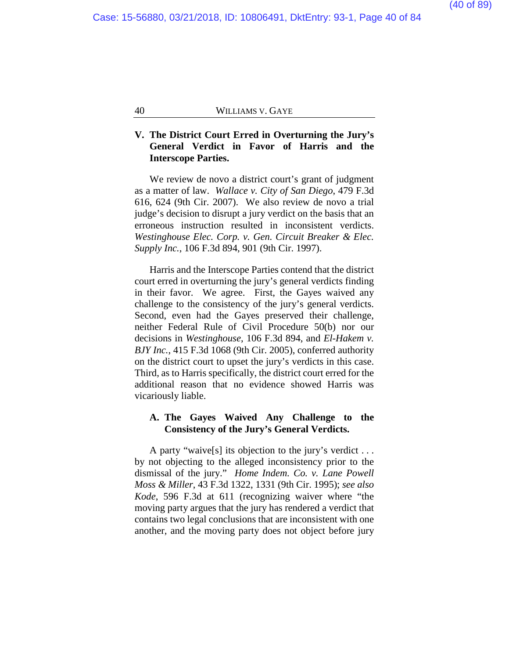# **V. The District Court Erred in Overturning the Jury's General Verdict in Favor of Harris and the Interscope Parties.**

We review de novo a district court's grant of judgment as a matter of law. *Wallace v. City of San Diego*, 479 F.3d 616, 624 (9th Cir. 2007). We also review de novo a trial judge's decision to disrupt a jury verdict on the basis that an erroneous instruction resulted in inconsistent verdicts. *Westinghouse Elec. Corp. v. Gen. Circuit Breaker & Elec. Supply Inc.*, 106 F.3d 894, 901 (9th Cir. 1997).

Harris and the Interscope Parties contend that the district court erred in overturning the jury's general verdicts finding in their favor. We agree. First, the Gayes waived any challenge to the consistency of the jury's general verdicts. Second, even had the Gayes preserved their challenge, neither Federal Rule of Civil Procedure 50(b) nor our decisions in *Westinghouse*, 106 F.3d 894, and *El-Hakem v. BJY Inc.*, 415 F.3d 1068 (9th Cir. 2005), conferred authority on the district court to upset the jury's verdicts in this case. Third, as to Harris specifically, the district court erred for the additional reason that no evidence showed Harris was vicariously liable.

# **A. The Gayes Waived Any Challenge to the Consistency of the Jury's General Verdicts.**

A party "waive[s] its objection to the jury's verdict . . . by not objecting to the alleged inconsistency prior to the dismissal of the jury." *Home Indem. Co. v. Lane Powell Moss & Miller*, 43 F.3d 1322, 1331 (9th Cir. 1995); *see also Kode*, 596 F.3d at 611 (recognizing waiver where "the moving party argues that the jury has rendered a verdict that contains two legal conclusions that are inconsistent with one another, and the moving party does not object before jury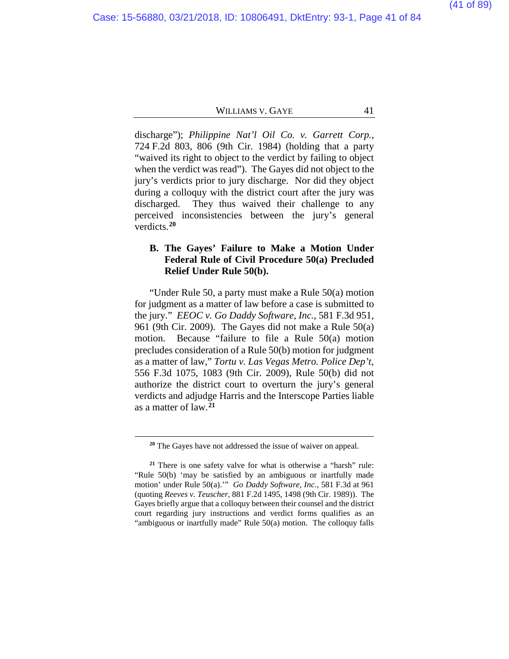discharge"); *Philippine Nat'l Oil Co. v. Garrett Corp.*, 724 F.2d 803, 806 (9th Cir. 1984) (holding that a party "waived its right to object to the verdict by failing to object when the verdict was read"). The Gayes did not object to the jury's verdicts prior to jury discharge. Nor did they object during a colloquy with the district court after the jury was discharged. They thus waived their challenge to any perceived inconsistencies between the jury's general verdicts.**[20](#page-40-0)**

# **B. The Gayes' Failure to Make a Motion Under Federal Rule of Civil Procedure 50(a) Precluded Relief Under Rule 50(b).**

"Under Rule 50, a party must make a Rule 50(a) motion for judgment as a matter of law before a case is submitted to the jury." *EEOC v. Go Daddy Software, Inc.*, 581 F.3d 951, 961 (9th Cir. 2009). The Gayes did not make a Rule 50(a) motion. Because "failure to file a Rule 50(a) motion precludes consideration of a Rule 50(b) motion for judgment as a matter of law," *Tortu v. Las Vegas Metro. Police Dep't*, 556 F.3d 1075, 1083 (9th Cir. 2009), Rule 50(b) did not authorize the district court to overturn the jury's general verdicts and adjudge Harris and the Interscope Parties liable as a matter of law.**[21](#page-40-1)**

**<sup>20</sup>** The Gayes have not addressed the issue of waiver on appeal.

<span id="page-40-1"></span><span id="page-40-0"></span>**<sup>21</sup>** There is one safety valve for what is otherwise a "harsh" rule: "Rule 50(b) 'may be satisfied by an ambiguous or inartfully made motion' under Rule 50(a).'" *Go Daddy Software, Inc.*, 581 F.3d at 961 (quoting *Reeves v. Teuscher*, 881 F.2d 1495, 1498 (9th Cir. 1989)). The Gayes briefly argue that a colloquy between their counsel and the district court regarding jury instructions and verdict forms qualifies as an "ambiguous or inartfully made" Rule 50(a) motion. The colloquy falls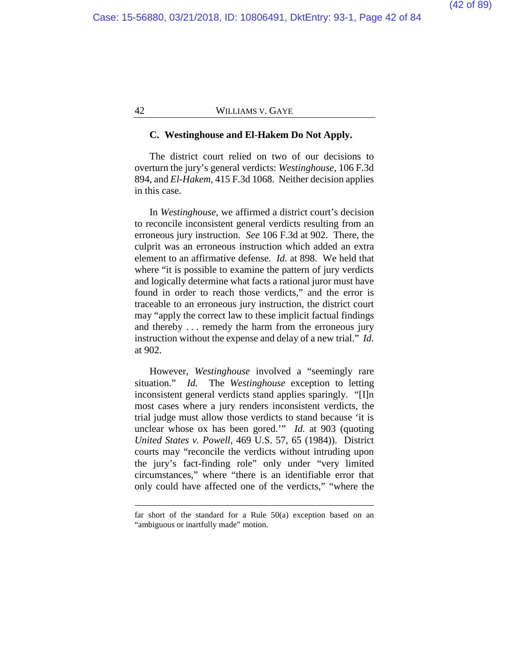#### **C. Westinghouse and El-Hakem Do Not Apply.**

The district court relied on two of our decisions to overturn the jury's general verdicts: *Westinghouse*, 106 F.3d 894, and *El-Hakem*, 415 F.3d 1068. Neither decision applies in this case.

In *Westinghouse*, we affirmed a district court's decision to reconcile inconsistent general verdicts resulting from an erroneous jury instruction. *See* 106 F.3d at 902. There, the culprit was an erroneous instruction which added an extra element to an affirmative defense. *Id.* at 898. We held that where "it is possible to examine the pattern of jury verdicts" and logically determine what facts a rational juror must have found in order to reach those verdicts," and the error is traceable to an erroneous jury instruction, the district court may "apply the correct law to these implicit factual findings and thereby . . . remedy the harm from the erroneous jury instruction without the expense and delay of a new trial." *Id.* at 902.

However, *Westinghouse* involved a "seemingly rare situation." *Id.* The *Westinghouse* exception to letting inconsistent general verdicts stand applies sparingly. "[I]n most cases where a jury renders inconsistent verdicts, the trial judge must allow those verdicts to stand because 'it is unclear whose ox has been gored.'" *Id.* at 903 (quoting *United States v. Powell*, 469 U.S. 57, 65 (1984)). District courts may "reconcile the verdicts without intruding upon the jury's fact-finding role" only under "very limited circumstances," where "there is an identifiable error that only could have affected one of the verdicts," "where the

far short of the standard for a Rule 50(a) exception based on an "ambiguous or inartfully made" motion.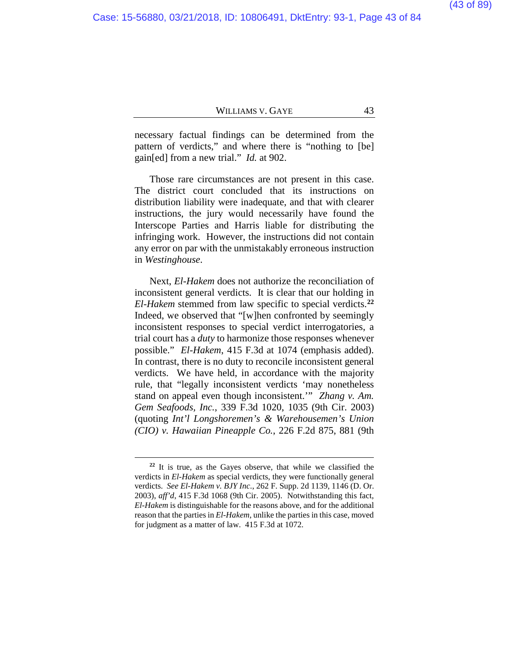necessary factual findings can be determined from the pattern of verdicts," and where there is "nothing to [be] gain[ed] from a new trial." *Id.* at 902.

Those rare circumstances are not present in this case. The district court concluded that its instructions on distribution liability were inadequate, and that with clearer instructions, the jury would necessarily have found the Interscope Parties and Harris liable for distributing the infringing work. However, the instructions did not contain any error on par with the unmistakably erroneous instruction in *Westinghouse*.

Next, *El-Hakem* does not authorize the reconciliation of inconsistent general verdicts. It is clear that our holding in *El-Hakem* stemmed from law specific to special verdicts.**[22](#page-42-0)** Indeed, we observed that "[w]hen confronted by seemingly inconsistent responses to special verdict interrogatories, a trial court has a *duty* to harmonize those responses whenever possible." *El-Hakem*, 415 F.3d at 1074 (emphasis added). In contrast, there is no duty to reconcile inconsistent general verdicts. We have held, in accordance with the majority rule, that "legally inconsistent verdicts 'may nonetheless stand on appeal even though inconsistent.'" *Zhang v. Am. Gem Seafoods, Inc.*, 339 F.3d 1020, 1035 (9th Cir. 2003) (quoting *Int'l Longshoremen's & Warehousemen's Union (CIO) v. Hawaiian Pineapple Co.*, 226 F.2d 875, 881 (9th

<span id="page-42-0"></span>**<sup>22</sup>** It is true, as the Gayes observe, that while we classified the verdicts in *El-Hakem* as special verdicts, they were functionally general verdicts. *See El-Hakem v. BJY Inc*., 262 F. Supp. 2d 1139, 1146 (D. Or. 2003), *aff'd*, 415 F.3d 1068 (9th Cir. 2005). Notwithstanding this fact, *El-Hakem* is distinguishable for the reasons above, and for the additional reason that the parties in *El-Hakem*, unlike the parties in this case, moved for judgment as a matter of law. 415 F.3d at 1072.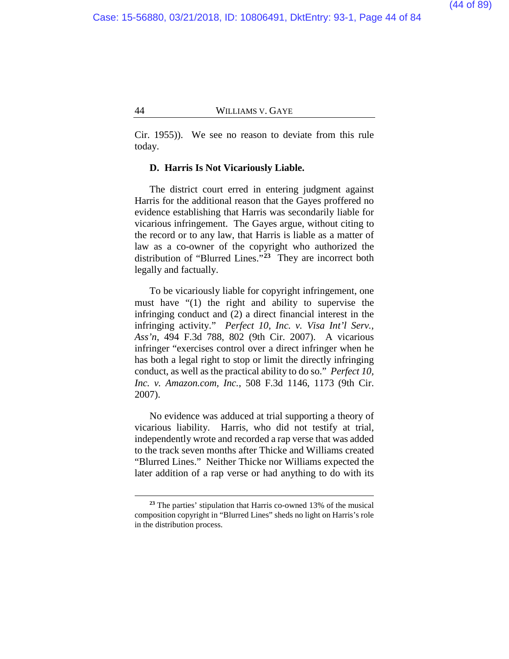Cir. 1955)). We see no reason to deviate from this rule today.

#### **D. Harris Is Not Vicariously Liable.**

The district court erred in entering judgment against Harris for the additional reason that the Gayes proffered no evidence establishing that Harris was secondarily liable for vicarious infringement. The Gayes argue, without citing to the record or to any law, that Harris is liable as a matter of law as a co-owner of the copyright who authorized the distribution of "Blurred Lines."**[23](#page-43-0)** They are incorrect both legally and factually.

To be vicariously liable for copyright infringement, one must have "(1) the right and ability to supervise the infringing conduct and (2) a direct financial interest in the infringing activity." *Perfect 10, Inc. v. Visa Int'l Serv., Ass'n*, 494 F.3d 788, 802 (9th Cir. 2007). A vicarious infringer "exercises control over a direct infringer when he has both a legal right to stop or limit the directly infringing conduct, as well as the practical ability to do so." *Perfect 10, Inc. v. Amazon.com, Inc.*, 508 F.3d 1146, 1173 (9th Cir. 2007).

No evidence was adduced at trial supporting a theory of vicarious liability. Harris, who did not testify at trial, independently wrote and recorded a rap verse that was added to the track seven months after Thicke and Williams created "Blurred Lines." Neither Thicke nor Williams expected the later addition of a rap verse or had anything to do with its

<span id="page-43-0"></span>**<sup>23</sup>** The parties' stipulation that Harris co-owned 13% of the musical composition copyright in "Blurred Lines" sheds no light on Harris's role in the distribution process.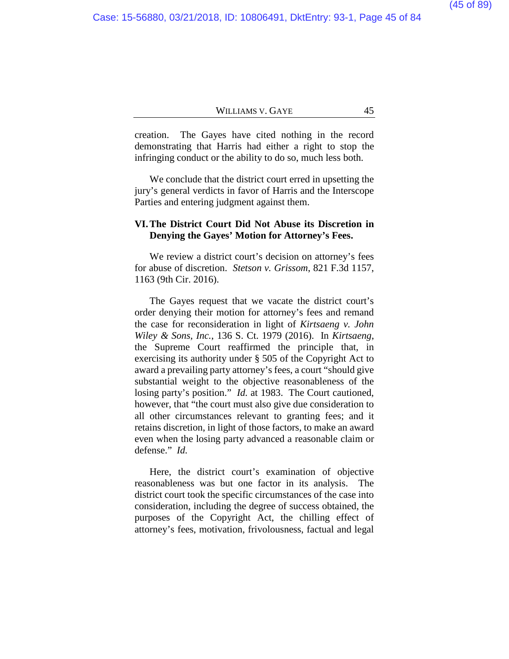creation. The Gayes have cited nothing in the record demonstrating that Harris had either a right to stop the infringing conduct or the ability to do so, much less both.

We conclude that the district court erred in upsetting the jury's general verdicts in favor of Harris and the Interscope Parties and entering judgment against them.

# **VI.The District Court Did Not Abuse its Discretion in Denying the Gayes' Motion for Attorney's Fees.**

We review a district court's decision on attorney's fees for abuse of discretion. *Stetson v. Grissom*, 821 F.3d 1157, 1163 (9th Cir. 2016).

The Gayes request that we vacate the district court's order denying their motion for attorney's fees and remand the case for reconsideration in light of *Kirtsaeng v. John Wiley & Sons, Inc.*, 136 S. Ct. 1979 (2016). In *Kirtsaeng*, the Supreme Court reaffirmed the principle that, in exercising its authority under § 505 of the Copyright Act to award a prevailing party attorney's fees, a court "should give substantial weight to the objective reasonableness of the losing party's position." *Id.* at 1983. The Court cautioned, however, that "the court must also give due consideration to all other circumstances relevant to granting fees; and it retains discretion, in light of those factors, to make an award even when the losing party advanced a reasonable claim or defense." *Id.*

Here, the district court's examination of objective reasonableness was but one factor in its analysis. The district court took the specific circumstances of the case into consideration, including the degree of success obtained, the purposes of the Copyright Act, the chilling effect of attorney's fees, motivation, frivolousness, factual and legal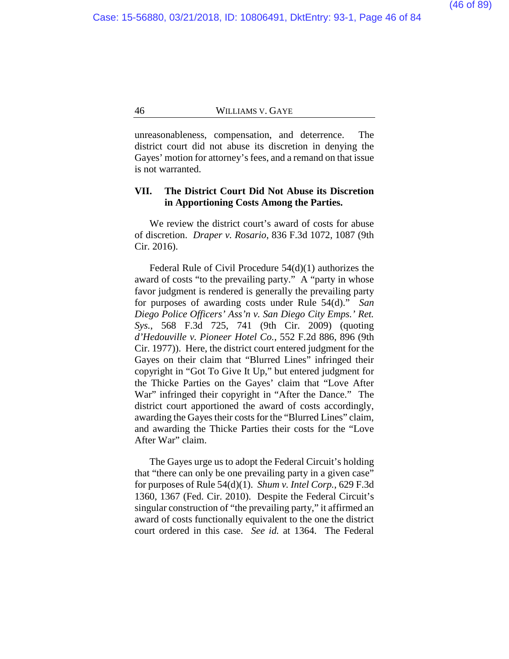unreasonableness, compensation, and deterrence. The district court did not abuse its discretion in denying the Gayes' motion for attorney's fees, and a remand on that issue is not warranted.

# **VII. The District Court Did Not Abuse its Discretion in Apportioning Costs Among the Parties.**

We review the district court's award of costs for abuse of discretion. *Draper v. Rosario*, 836 F.3d 1072, 1087 (9th Cir. 2016).

Federal Rule of Civil Procedure 54(d)(1) authorizes the award of costs "to the prevailing party." A "party in whose favor judgment is rendered is generally the prevailing party for purposes of awarding costs under Rule 54(d)." *San Diego Police Officers' Ass'n v. San Diego City Emps.' Ret. Sys.*, 568 F.3d 725, 741 (9th Cir. 2009) (quoting *d'Hedouville v. Pioneer Hotel Co.*, 552 F.2d 886, 896 (9th Cir. 1977)). Here, the district court entered judgment for the Gayes on their claim that "Blurred Lines" infringed their copyright in "Got To Give It Up," but entered judgment for the Thicke Parties on the Gayes' claim that "Love After War" infringed their copyright in "After the Dance." The district court apportioned the award of costs accordingly, awarding the Gayes their costs for the "Blurred Lines" claim, and awarding the Thicke Parties their costs for the "Love After War" claim.

The Gayes urge us to adopt the Federal Circuit's holding that "there can only be one prevailing party in a given case" for purposes of Rule 54(d)(1). *Shum v. Intel Corp.*, 629 F.3d 1360, 1367 (Fed. Cir. 2010). Despite the Federal Circuit's singular construction of "the prevailing party," it affirmed an award of costs functionally equivalent to the one the district court ordered in this case. *See id.* at 1364. The Federal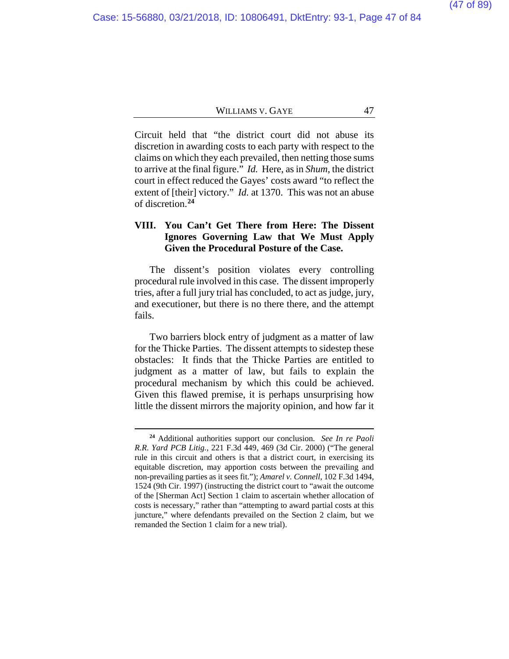Circuit held that "the district court did not abuse its discretion in awarding costs to each party with respect to the claims on which they each prevailed, then netting those sums to arrive at the final figure." *Id.* Here, as in *Shum*, the district court in effect reduced the Gayes' costs award "to reflect the extent of [their] victory." *Id.* at 1370. This was not an abuse of discretion.**[24](#page-46-0)**

# **VIII. You Can't Get There from Here: The Dissent Ignores Governing Law that We Must Apply Given the Procedural Posture of the Case.**

The dissent's position violates every controlling procedural rule involved in this case. The dissent improperly tries, after a full jury trial has concluded, to act as judge, jury, and executioner, but there is no there there, and the attempt fails.

Two barriers block entry of judgment as a matter of law for the Thicke Parties. The dissent attempts to sidestep these obstacles: It finds that the Thicke Parties are entitled to judgment as a matter of law, but fails to explain the procedural mechanism by which this could be achieved. Given this flawed premise, it is perhaps unsurprising how little the dissent mirrors the majority opinion, and how far it

<span id="page-46-0"></span>**<sup>24</sup>** Additional authorities support our conclusion. *See In re Paoli R.R. Yard PCB Litig.*, 221 F.3d 449, 469 (3d Cir. 2000) ("The general rule in this circuit and others is that a district court, in exercising its equitable discretion, may apportion costs between the prevailing and non-prevailing parties as it sees fit."); *Amarel v. Connell*, 102 F.3d 1494, 1524 (9th Cir. 1997) (instructing the district court to "await the outcome of the [Sherman Act] Section 1 claim to ascertain whether allocation of costs is necessary," rather than "attempting to award partial costs at this juncture," where defendants prevailed on the Section 2 claim, but we remanded the Section 1 claim for a new trial).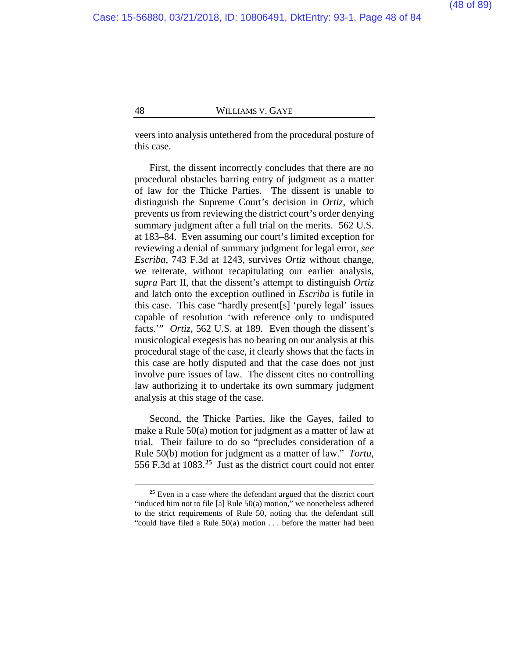veers into analysis untethered from the procedural posture of this case.

First, the dissent incorrectly concludes that there are no procedural obstacles barring entry of judgment as a matter of law for the Thicke Parties. The dissent is unable to distinguish the Supreme Court's decision in *Ortiz*, which prevents us from reviewing the district court's order denying summary judgment after a full trial on the merits. 562 U.S. at 183–84. Even assuming our court's limited exception for reviewing a denial of summary judgment for legal error, *see Escriba*, 743 F.3d at 1243, survives *Ortiz* without change, we reiterate, without recapitulating our earlier analysis, *supra* Part II, that the dissent's attempt to distinguish *Ortiz*  and latch onto the exception outlined in *Escriba* is futile in this case. This case "hardly present[s] 'purely legal' issues capable of resolution 'with reference only to undisputed facts.'" *Ortiz*, 562 U.S. at 189. Even though the dissent's musicological exegesis has no bearing on our analysis at this procedural stage of the case, it clearly shows that the facts in this case are hotly disputed and that the case does not just involve pure issues of law. The dissent cites no controlling law authorizing it to undertake its own summary judgment analysis at this stage of the case.

Second, the Thicke Parties, like the Gayes, failed to make a Rule 50(a) motion for judgment as a matter of law at trial. Their failure to do so "precludes consideration of a Rule 50(b) motion for judgment as a matter of law." *Tortu*, 556 F.3d at 1083.**[25](#page-47-0)** Just as the district court could not enter

<span id="page-47-0"></span>**<sup>25</sup>** Even in a case where the defendant argued that the district court "induced him not to file [a] Rule 50(a) motion," we nonetheless adhered to the strict requirements of Rule 50, noting that the defendant still "could have filed a Rule 50(a) motion . . . before the matter had been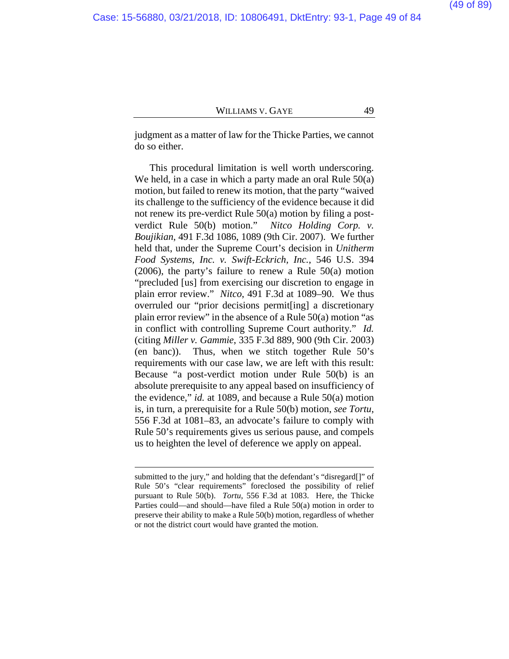judgment as a matter of law for the Thicke Parties, we cannot do so either.

This procedural limitation is well worth underscoring. We held, in a case in which a party made an oral Rule  $50(a)$ motion, but failed to renew its motion, that the party "waived its challenge to the sufficiency of the evidence because it did not renew its pre-verdict Rule 50(a) motion by filing a postverdict Rule 50(b) motion." *Nitco Holding Corp. v. Boujikian*, 491 F.3d 1086, 1089 (9th Cir. 2007). We further held that, under the Supreme Court's decision in *Unitherm Food Systems, Inc. v. Swift-Eckrich, Inc.*, 546 U.S. 394 (2006), the party's failure to renew a Rule 50(a) motion "precluded [us] from exercising our discretion to engage in plain error review." *Nitco*, 491 F.3d at 1089–90. We thus overruled our "prior decisions permit[ing] a discretionary plain error review" in the absence of a Rule 50(a) motion "as in conflict with controlling Supreme Court authority." *Id.* (citing *Miller v. Gammie*, 335 F.3d 889, 900 (9th Cir. 2003) (en banc)). Thus, when we stitch together Rule 50's requirements with our case law, we are left with this result: Because "a post-verdict motion under Rule 50(b) is an absolute prerequisite to any appeal based on insufficiency of the evidence," *id.* at 1089, and because a Rule 50(a) motion is, in turn, a prerequisite for a Rule 50(b) motion, *see Tortu*, 556 F.3d at 1081–83, an advocate's failure to comply with Rule 50's requirements gives us serious pause, and compels us to heighten the level of deference we apply on appeal.

submitted to the jury," and holding that the defendant's "disregard[]" of Rule 50's "clear requirements" foreclosed the possibility of relief pursuant to Rule 50(b). *Tortu*, 556 F.3d at 1083. Here, the Thicke Parties could—and should—have filed a Rule 50(a) motion in order to preserve their ability to make a Rule 50(b) motion, regardless of whether or not the district court would have granted the motion.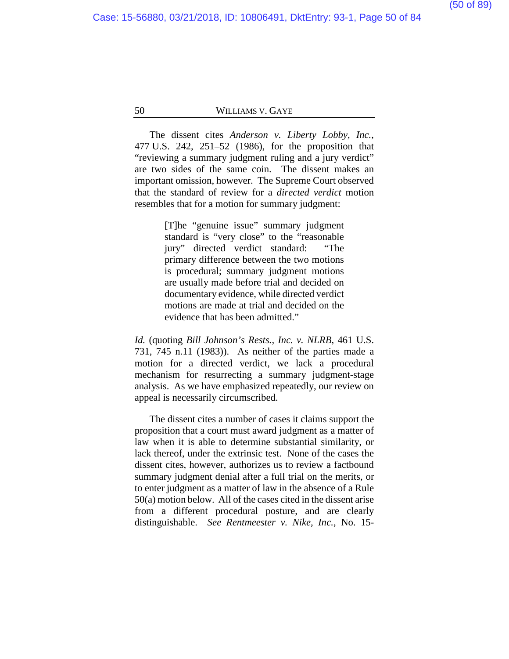The dissent cites *Anderson v. Liberty Lobby, Inc.*, 477 U.S. 242, 251–52 (1986), for the proposition that "reviewing a summary judgment ruling and a jury verdict" are two sides of the same coin. The dissent makes an important omission, however. The Supreme Court observed that the standard of review for a *directed verdict* motion resembles that for a motion for summary judgment:

> [T]he "genuine issue" summary judgment standard is "very close" to the "reasonable jury" directed verdict standard: "The primary difference between the two motions is procedural; summary judgment motions are usually made before trial and decided on documentary evidence, while directed verdict motions are made at trial and decided on the evidence that has been admitted."

*Id.* (quoting *Bill Johnson's Rests., Inc. v. NLRB*, 461 U.S. 731, 745 n.11 (1983)). As neither of the parties made a motion for a directed verdict, we lack a procedural mechanism for resurrecting a summary judgment-stage analysis. As we have emphasized repeatedly, our review on appeal is necessarily circumscribed.

The dissent cites a number of cases it claims support the proposition that a court must award judgment as a matter of law when it is able to determine substantial similarity, or lack thereof, under the extrinsic test. None of the cases the dissent cites, however, authorizes us to review a factbound summary judgment denial after a full trial on the merits, or to enter judgment as a matter of law in the absence of a Rule 50(a) motion below. All of the cases cited in the dissent arise from a different procedural posture, and are clearly distinguishable. *See Rentmeester v. Nike, Inc.*, No. 15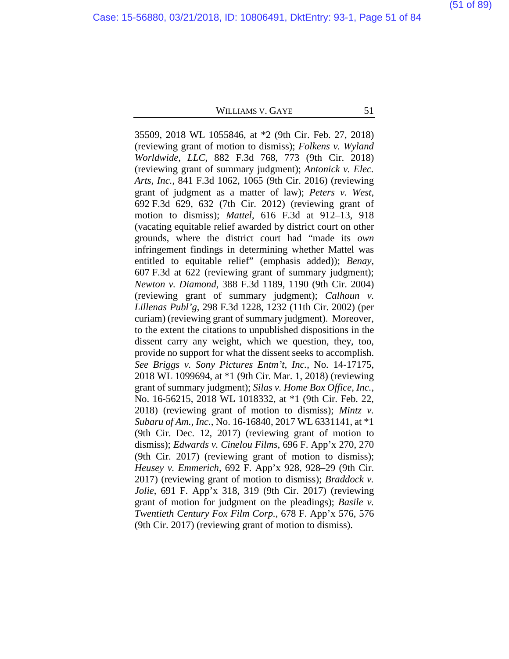Case: 15-56880, 03/21/2018, ID: 10806491, DktEntry: 93-1, Page 51 of 84

#### (51 of 89)

#### WILLIAMS V. GAYE 51

35509, 2018 WL 1055846, at \*2 (9th Cir. Feb. 27, 2018) (reviewing grant of motion to dismiss); *Folkens v. Wyland Worldwide, LLC*, 882 F.3d 768, 773 (9th Cir. 2018) (reviewing grant of summary judgment); *Antonick v. Elec. Arts, Inc.*, 841 F.3d 1062, 1065 (9th Cir. 2016) (reviewing grant of judgment as a matter of law); *Peters v. West*, 692 F.3d 629, 632 (7th Cir. 2012) (reviewing grant of motion to dismiss); *Mattel*, 616 F.3d at 912–13, 918 (vacating equitable relief awarded by district court on other grounds, where the district court had "made its *own*  infringement findings in determining whether Mattel was entitled to equitable relief" (emphasis added)); *Benay*, 607 F.3d at 622 (reviewing grant of summary judgment); *Newton v. Diamond*, 388 F.3d 1189, 1190 (9th Cir. 2004) (reviewing grant of summary judgment); *Calhoun v. Lillenas Publ'g*, 298 F.3d 1228, 1232 (11th Cir. 2002) (per curiam) (reviewing grant of summary judgment). Moreover, to the extent the citations to unpublished dispositions in the dissent carry any weight, which we question, they, too, provide no support for what the dissent seeks to accomplish. *See Briggs v. Sony Pictures Entm't, Inc.*, No. 14-17175, 2018 WL 1099694, at \*1 (9th Cir. Mar. 1, 2018) (reviewing grant of summary judgment); *Silas v. Home Box Office, Inc.*, No. 16-56215, 2018 WL 1018332, at \*1 (9th Cir. Feb. 22, 2018) (reviewing grant of motion to dismiss); *Mintz v. Subaru of Am., Inc.*, No. 16-16840, 2017 WL 6331141, at \*1 (9th Cir. Dec. 12, 2017) (reviewing grant of motion to dismiss); *Edwards v. Cinelou Films*, 696 F. App'x 270, 270 (9th Cir. 2017) (reviewing grant of motion to dismiss); *Heusey v. Emmerich*, 692 F. App'x 928, 928–29 (9th Cir. 2017) (reviewing grant of motion to dismiss); *Braddock v. Jolie*, 691 F. App'x 318, 319 (9th Cir. 2017) (reviewing grant of motion for judgment on the pleadings); *Basile v. Twentieth Century Fox Film Corp.*, 678 F. App'x 576, 576 (9th Cir. 2017) (reviewing grant of motion to dismiss).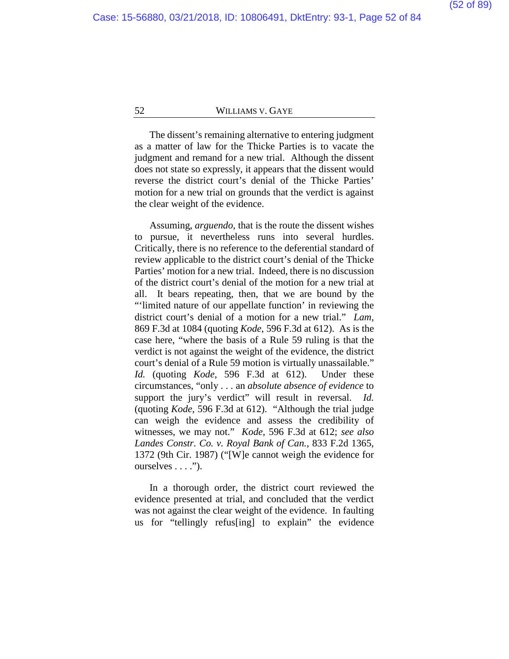The dissent's remaining alternative to entering judgment as a matter of law for the Thicke Parties is to vacate the judgment and remand for a new trial. Although the dissent does not state so expressly, it appears that the dissent would reverse the district court's denial of the Thicke Parties' motion for a new trial on grounds that the verdict is against the clear weight of the evidence.

Assuming, *arguendo*, that is the route the dissent wishes to pursue, it nevertheless runs into several hurdles. Critically, there is no reference to the deferential standard of review applicable to the district court's denial of the Thicke Parties' motion for a new trial. Indeed, there is no discussion of the district court's denial of the motion for a new trial at all. It bears repeating, then, that we are bound by the "'limited nature of our appellate function' in reviewing the district court's denial of a motion for a new trial." *Lam*, 869 F.3d at 1084 (quoting *Kode*, 596 F.3d at 612). As is the case here, "where the basis of a Rule 59 ruling is that the verdict is not against the weight of the evidence, the district court's denial of a Rule 59 motion is virtually unassailable." *Id.* (quoting *Kode*, 596 F.3d at 612). Under these circumstances, "only . . . an *absolute absence of evidence* to support the jury's verdict" will result in reversal. *Id.* (quoting *Kode*, 596 F.3d at 612). "Although the trial judge can weigh the evidence and assess the credibility of witnesses, we may not." *Kode*, 596 F.3d at 612; *see also Landes Constr. Co. v. Royal Bank of Can.*, 833 F.2d 1365, 1372 (9th Cir. 1987) ("[W]e cannot weigh the evidence for ourselves . . . .").

In a thorough order, the district court reviewed the evidence presented at trial, and concluded that the verdict was not against the clear weight of the evidence. In faulting us for "tellingly refus[ing] to explain" the evidence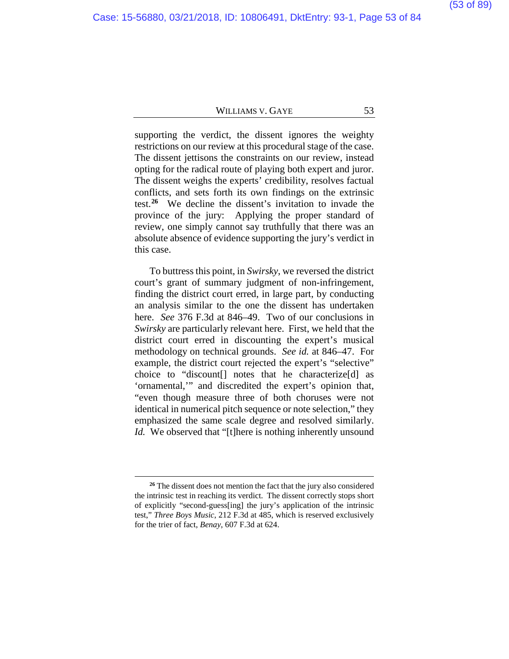supporting the verdict, the dissent ignores the weighty restrictions on our review at this procedural stage of the case. The dissent jettisons the constraints on our review, instead opting for the radical route of playing both expert and juror. The dissent weighs the experts' credibility, resolves factual conflicts, and sets forth its own findings on the extrinsic test.**[26](#page-52-0)** We decline the dissent's invitation to invade the province of the jury: Applying the proper standard of review, one simply cannot say truthfully that there was an absolute absence of evidence supporting the jury's verdict in this case.

<span id="page-52-1"></span>To buttress this point, in *Swirsky*, we reversed the district court's grant of summary judgment of non-infringement, finding the district court erred, in large part, by conducting an analysis similar to the one the dissent has undertaken here. *See* 376 F.3d at 846–49. Two of our conclusions in *Swirsky* are particularly relevant here. First, we held that the district court erred in discounting the expert's musical methodology on technical grounds. *See id.* at 846–47. For example, the district court rejected the expert's "selective" choice to "discount[] notes that he characterize[d] as 'ornamental,'" and discredited the expert's opinion that, "even though measure three of both choruses were not identical in numerical pitch sequence or note selection," they emphasized the same scale degree and resolved similarly. *Id.* We observed that "[t]here is nothing inherently unsound

<span id="page-52-0"></span>**<sup>26</sup>** The dissent does not mention the fact that the jury also considered the intrinsic test in reaching its verdict. The dissent correctly stops short of explicitly "second-guess[ing] the jury's application of the intrinsic test," *Three Boys Music*, 212 F.3d at 485, which is reserved exclusively for the trier of fact, *Benay*, 607 F.3d at 624.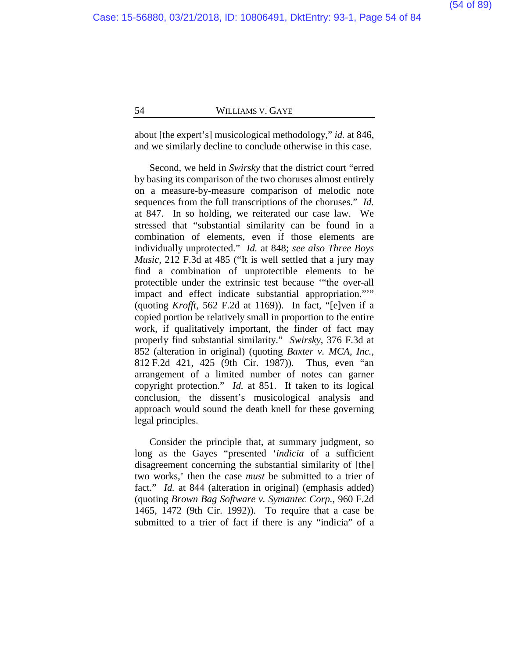about [the expert's] musicological methodology," *id.* at 846, and we similarly decline to conclude otherwise in this case.

Second, we held in *Swirsky* that the district court "erred by basing its comparison of the two choruses almost entirely on a measure-by-measure comparison of melodic note sequences from the full transcriptions of the choruses." *Id.* at 847. In so holding, we reiterated our case law. We stressed that "substantial similarity can be found in a combination of elements, even if those elements are individually unprotected." *Id.* at 848; *see also Three Boys Music*, 212 F.3d at 485 ("It is well settled that a jury may find a combination of unprotectible elements to be protectible under the extrinsic test because '"the over-all impact and effect indicate substantial appropriation."'" (quoting *Krofft*, 562 F.2d at 1169)). In fact, "[e]ven if a copied portion be relatively small in proportion to the entire work, if qualitatively important, the finder of fact may properly find substantial similarity." *Swirsky*, 376 F.3d at 852 (alteration in original) (quoting *Baxter v. MCA, Inc.*, 812 F.2d 421, 425 (9th Cir. 1987)). Thus, even "an arrangement of a limited number of notes can garner copyright protection." *Id.* at 851. If taken to its logical conclusion, the dissent's musicological analysis and approach would sound the death knell for these governing legal principles.

<span id="page-53-0"></span>Consider the principle that, at summary judgment, so long as the Gayes "presented '*indicia* of a sufficient disagreement concerning the substantial similarity of [the] two works,' then the case *must* be submitted to a trier of fact." *Id.* at 844 (alteration in original) (emphasis added) (quoting *Brown Bag Software v. Symantec Corp.*, 960 F.2d 1465, 1472 (9th Cir. 1992)). To require that a case be submitted to a trier of fact if there is any "indicia" of a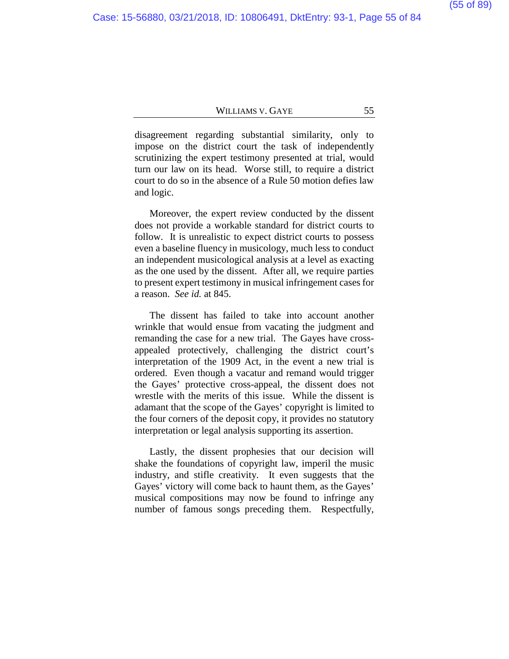disagreement regarding substantial similarity, only to impose on the district court the task of independently scrutinizing the expert testimony presented at trial, would turn our law on its head. Worse still, to require a district court to do so in the absence of a Rule 50 motion defies law and logic.

Moreover, the expert review conducted by the dissent does not provide a workable standard for district courts to follow. It is unrealistic to expect district courts to possess even a baseline fluency in musicology, much less to conduct an independent musicological analysis at a level as exacting as the one used by the dissent. After all, we require parties to present expert testimony in musical infringement cases for a reason. *See id.* at 845.

The dissent has failed to take into account another wrinkle that would ensue from vacating the judgment and remanding the case for a new trial. The Gayes have crossappealed protectively, challenging the district court's interpretation of the 1909 Act, in the event a new trial is ordered. Even though a vacatur and remand would trigger the Gayes' protective cross-appeal, the dissent does not wrestle with the merits of this issue. While the dissent is adamant that the scope of the Gayes' copyright is limited to the four corners of the deposit copy, it provides no statutory interpretation or legal analysis supporting its assertion.

Lastly, the dissent prophesies that our decision will shake the foundations of copyright law, imperil the music industry, and stifle creativity. It even suggests that the Gayes' victory will come back to haunt them, as the Gayes' musical compositions may now be found to infringe any number of famous songs preceding them. Respectfully,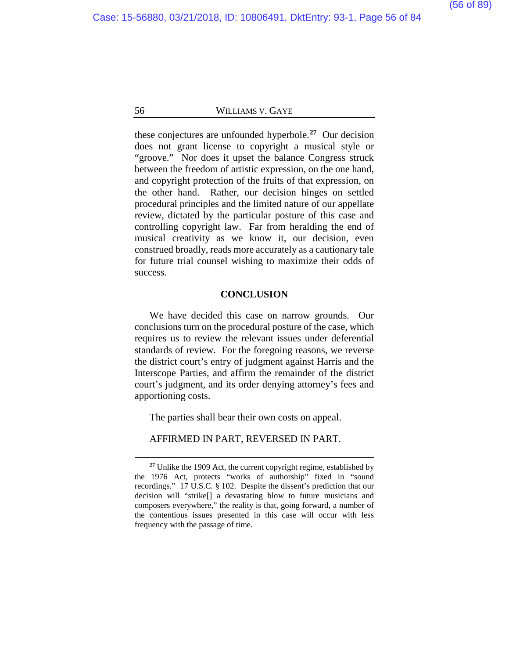these conjectures are unfounded hyperbole.**[27](#page-55-0)** Our decision does not grant license to copyright a musical style or "groove." Nor does it upset the balance Congress struck between the freedom of artistic expression, on the one hand, and copyright protection of the fruits of that expression, on the other hand. Rather, our decision hinges on settled procedural principles and the limited nature of our appellate review, dictated by the particular posture of this case and controlling copyright law. Far from heralding the end of musical creativity as we know it, our decision, even construed broadly, reads more accurately as a cautionary tale for future trial counsel wishing to maximize their odds of success.

#### **CONCLUSION**

We have decided this case on narrow grounds. Our conclusions turn on the procedural posture of the case, which requires us to review the relevant issues under deferential standards of review. For the foregoing reasons, we reverse the district court's entry of judgment against Harris and the Interscope Parties, and affirm the remainder of the district court's judgment, and its order denying attorney's fees and apportioning costs.

The parties shall bear their own costs on appeal.

AFFIRMED IN PART, REVERSED IN PART.

<span id="page-55-0"></span>**<sup>27</sup>** Unlike the 1909 Act, the current copyright regime, established by the 1976 Act, protects "works of authorship" fixed in "sound recordings." 17 U.S.C. § 102. Despite the dissent's prediction that our decision will "strike[] a devastating blow to future musicians and composers everywhere," the reality is that, going forward, a number of the contentious issues presented in this case will occur with less frequency with the passage of time.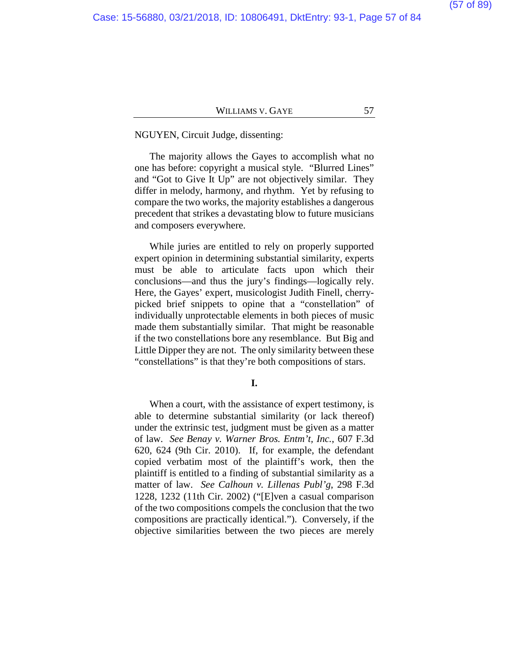#### NGUYEN, Circuit Judge, dissenting:

The majority allows the Gayes to accomplish what no one has before: copyright a musical style. "Blurred Lines" and "Got to Give It Up" are not objectively similar. They differ in melody, harmony, and rhythm. Yet by refusing to compare the two works, the majority establishes a dangerous precedent that strikes a devastating blow to future musicians and composers everywhere.

While juries are entitled to rely on properly supported expert opinion in determining substantial similarity, experts must be able to articulate facts upon which their conclusions—and thus the jury's findings—logically rely. Here, the Gayes' expert, musicologist Judith Finell, cherrypicked brief snippets to opine that a "constellation" of individually unprotectable elements in both pieces of music made them substantially similar. That might be reasonable if the two constellations bore any resemblance. But Big and Little Dipper they are not. The only similarity between these "constellations" is that they're both compositions of stars.

**I.**

When a court, with the assistance of expert testimony, is able to determine substantial similarity (or lack thereof) under the extrinsic test, judgment must be given as a matter of law. *See Benay v. Warner Bros. Entm't, Inc.*, 607 F.3d 620, 624 (9th Cir. 2010). If, for example, the defendant copied verbatim most of the plaintiff's work, then the plaintiff is entitled to a finding of substantial similarity as a matter of law. *See Calhoun v. Lillenas Publ'g*, 298 F.3d 1228, 1232 (11th Cir. 2002) ("[E]ven a casual comparison of the two compositions compels the conclusion that the two compositions are practically identical."). Conversely, if the objective similarities between the two pieces are merely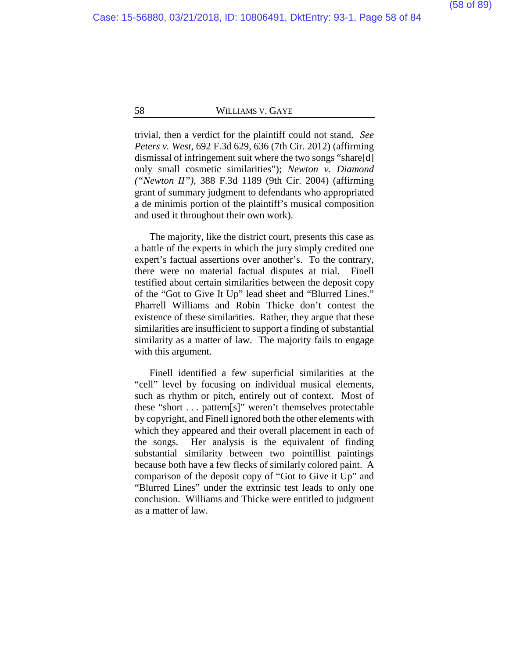trivial, then a verdict for the plaintiff could not stand. *See Peters v. West*, 692 F.3d 629, 636 (7th Cir. 2012) (affirming dismissal of infringement suit where the two songs "share[d] only small cosmetic similarities"); *Newton v. Diamond ("Newton II")*, 388 F.3d 1189 (9th Cir. 2004) (affirming grant of summary judgment to defendants who appropriated a de minimis portion of the plaintiff's musical composition and used it throughout their own work).

The majority, like the district court, presents this case as a battle of the experts in which the jury simply credited one expert's factual assertions over another's. To the contrary, there were no material factual disputes at trial. Finell testified about certain similarities between the deposit copy of the "Got to Give It Up" lead sheet and "Blurred Lines." Pharrell Williams and Robin Thicke don't contest the existence of these similarities. Rather, they argue that these similarities are insufficient to support a finding of substantial similarity as a matter of law. The majority fails to engage with this argument.

Finell identified a few superficial similarities at the "cell" level by focusing on individual musical elements, such as rhythm or pitch, entirely out of context. Most of these "short . . . pattern[s]" weren't themselves protectable by copyright, and Finell ignored both the other elements with which they appeared and their overall placement in each of the songs. Her analysis is the equivalent of finding substantial similarity between two pointillist paintings because both have a few flecks of similarly colored paint. A comparison of the deposit copy of "Got to Give it Up" and "Blurred Lines" under the extrinsic test leads to only one conclusion. Williams and Thicke were entitled to judgment as a matter of law.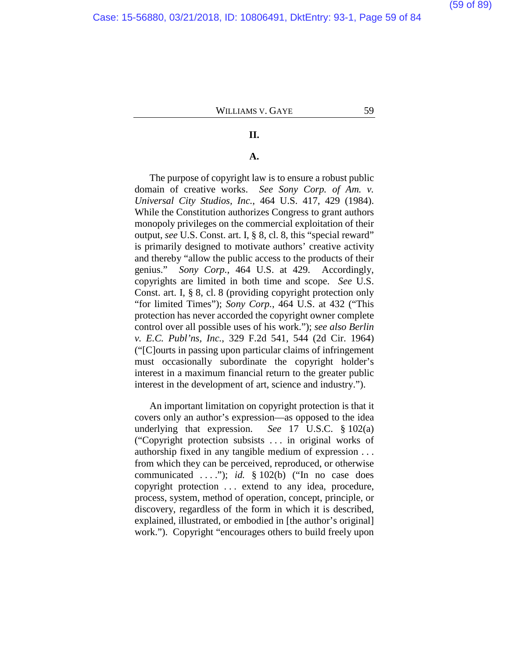#### Case: 15-56880, 03/21/2018, ID: 10806491, DktEntry: 93-1, Page 59 of 84

# WILLIAMS V. GAYE 59

# **II.**

# **A.**

The purpose of copyright law is to ensure a robust public domain of creative works. *See Sony Corp. of Am. v. Universal City Studios, Inc.*, 464 U.S. 417, 429 (1984). While the Constitution authorizes Congress to grant authors monopoly privileges on the commercial exploitation of their output, *see* U.S. Const. art. I, § 8, cl. 8, this "special reward" is primarily designed to motivate authors' creative activity and thereby "allow the public access to the products of their genius." *Sony Corp.*, 464 U.S. at 429. Accordingly, copyrights are limited in both time and scope. *See* U.S. Const. art. I, § 8, cl. 8 (providing copyright protection only "for limited Times"); *Sony Corp.*, 464 U.S. at 432 ("This protection has never accorded the copyright owner complete control over all possible uses of his work."); *see also Berlin v. E.C. Publ'ns, Inc.*, 329 F.2d 541, 544 (2d Cir. 1964) ("[C]ourts in passing upon particular claims of infringement must occasionally subordinate the copyright holder's interest in a maximum financial return to the greater public interest in the development of art, science and industry.").

An important limitation on copyright protection is that it covers only an author's expression—as opposed to the idea underlying that expression. *See* 17 U.S.C. § 102(a) ("Copyright protection subsists . . . in original works of authorship fixed in any tangible medium of expression . . . from which they can be perceived, reproduced, or otherwise communicated . . . ."); *id.* § 102(b) ("In no case does copyright protection . . . extend to any idea, procedure, process, system, method of operation, concept, principle, or discovery, regardless of the form in which it is described, explained, illustrated, or embodied in [the author's original] work."). Copyright "encourages others to build freely upon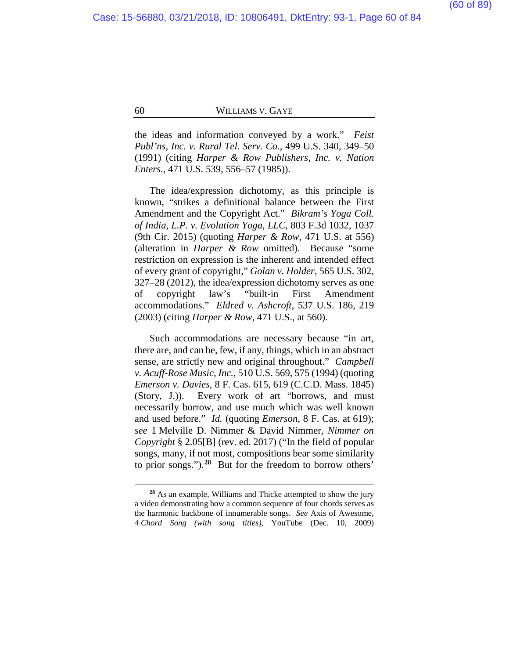the ideas and information conveyed by a work." *Feist Publ'ns, Inc. v. Rural Tel. Serv. Co.*, 499 U.S. 340, 349–50 (1991) (citing *Harper & Row Publishers, Inc. v. Nation Enters.*, 471 U.S. 539, 556–57 (1985)).

The idea/expression dichotomy, as this principle is known, "strikes a definitional balance between the First Amendment and the Copyright Act." *Bikram's Yoga Coll. of India, L.P. v. Evolation Yoga, LLC*, 803 F.3d 1032, 1037 (9th Cir. 2015) (quoting *Harper & Row*, 471 U.S. at 556) (alteration in *Harper & Row* omitted). Because "some restriction on expression is the inherent and intended effect of every grant of copyright," *Golan v. Holder*, 565 U.S. 302, 327–28 (2012), the idea/expression dichotomy serves as one of copyright law's "built-in First Amendment accommodations." *Eldred v. Ashcroft*, 537 U.S. 186, 219 (2003) (citing *Harper & Row*, 471 U.S., at 560).

Such accommodations are necessary because "in art, there are, and can be, few, if any, things, which in an abstract sense, are strictly new and original throughout." *Campbell v. Acuff-Rose Music, Inc.*, 510 U.S. 569, 575 (1994) (quoting *Emerson v. Davies*, 8 F. Cas. 615, 619 (C.C.D. Mass. 1845) (Story, J.)). Every work of art "borrows, and must necessarily borrow, and use much which was well known and used before." *Id.* (quoting *Emerson*, 8 F. Cas. at 619); *see* 1 Melville D. Nimmer & David Nimmer, *Nimmer on Copyright* § 2.05[B] (rev. ed. 2017) ("In the field of popular songs, many, if not most, compositions bear some similarity to prior songs.").**[28](#page-59-0)** But for the freedom to borrow others'

<span id="page-59-0"></span>**<sup>28</sup>** As an example, Williams and Thicke attempted to show the jury a video demonstrating how a common sequence of four chords serves as the harmonic backbone of innumerable songs. *See* Axis of Awesome, *4 Chord Song (with song titles)*, YouTube (Dec. 10, 2009)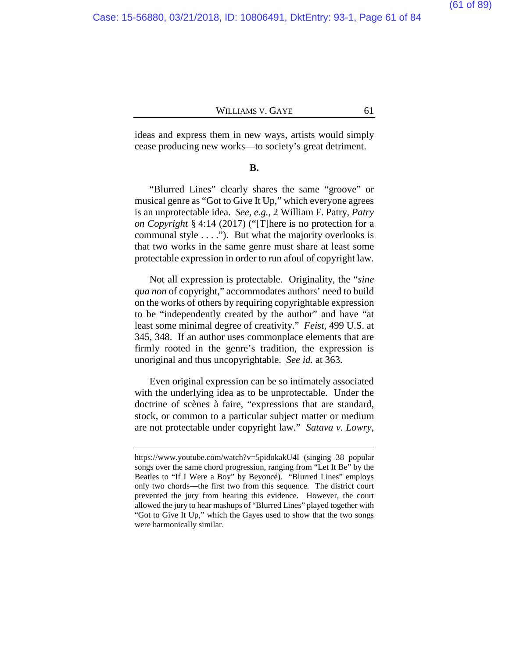ideas and express them in new ways, artists would simply cease producing new works—to society's great detriment.

#### **B.**

"Blurred Lines" clearly shares the same "groove" or musical genre as "Got to Give It Up," which everyone agrees is an unprotectable idea. *See, e.g.*, 2 William F. Patry, *Patry on Copyright* § 4:14 (2017) ("[T]here is no protection for a communal style . . . ."). But what the majority overlooks is that two works in the same genre must share at least some protectable expression in order to run afoul of copyright law.

Not all expression is protectable. Originality, the "*sine qua non* of copyright," accommodates authors' need to build on the works of others by requiring copyrightable expression to be "independently created by the author" and have "at least some minimal degree of creativity." *Feist*, 499 U.S. at 345, 348. If an author uses commonplace elements that are firmly rooted in the genre's tradition, the expression is unoriginal and thus uncopyrightable. *See id.* at 363.

Even original expression can be so intimately associated with the underlying idea as to be unprotectable. Under the doctrine of scènes à faire, "expressions that are standard, stock, or common to a particular subject matter or medium are not protectable under copyright law." *Satava v. Lowry*,

https://www.youtube.com/watch?v=5pidokakU4I (singing 38 popular songs over the same chord progression, ranging from "Let It Be" by the Beatles to "If I Were a Boy" by Beyoncé). "Blurred Lines" employs only two chords—the first two from this sequence. The district court prevented the jury from hearing this evidence. However, the court allowed the jury to hear mashups of "Blurred Lines" played together with "Got to Give It Up," which the Gayes used to show that the two songs were harmonically similar.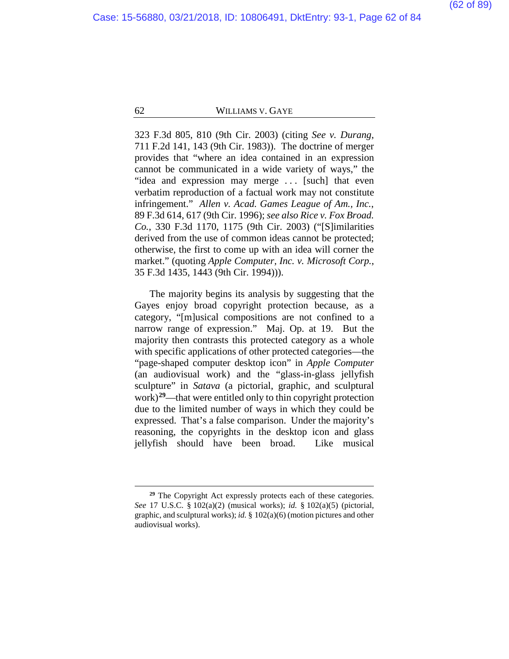323 F.3d 805, 810 (9th Cir. 2003) (citing *See v. Durang*, 711 F.2d 141, 143 (9th Cir. 1983)). The doctrine of merger provides that "where an idea contained in an expression cannot be communicated in a wide variety of ways," the "idea and expression may merge . . . [such] that even verbatim reproduction of a factual work may not constitute infringement." *Allen v. Acad. Games League of Am., Inc.*, 89 F.3d 614, 617 (9th Cir. 1996); *see also Rice v. Fox Broad. Co.*, 330 F.3d 1170, 1175 (9th Cir. 2003) ("[S]imilarities derived from the use of common ideas cannot be protected; otherwise, the first to come up with an idea will corner the market." (quoting *Apple Computer, Inc. v. Microsoft Corp.*, 35 F.3d 1435, 1443 (9th Cir. 1994))).

The majority begins its analysis by suggesting that the Gayes enjoy broad copyright protection because, as a category, "[m]usical compositions are not confined to a narrow range of expression." Maj. Op. at [19.](#page-18-0) But the majority then contrasts this protected category as a whole with specific applications of other protected categories—the "page-shaped computer desktop icon" in *Apple Computer* (an audiovisual work) and the "glass-in-glass jellyfish sculpture" in *Satava* (a pictorial, graphic, and sculptural work)**[29](#page-61-0)**—that were entitled only to thin copyright protection due to the limited number of ways in which they could be expressed. That's a false comparison. Under the majority's reasoning, the copyrights in the desktop icon and glass jellyfish should have been broad. Like musical

<span id="page-61-0"></span><sup>&</sup>lt;sup>29</sup> The Copyright Act expressly protects each of these categories. *See* 17 U.S.C. § 102(a)(2) (musical works); *id.* § 102(a)(5) (pictorial, graphic, and sculptural works); *id.* § 102(a)(6) (motion pictures and other audiovisual works).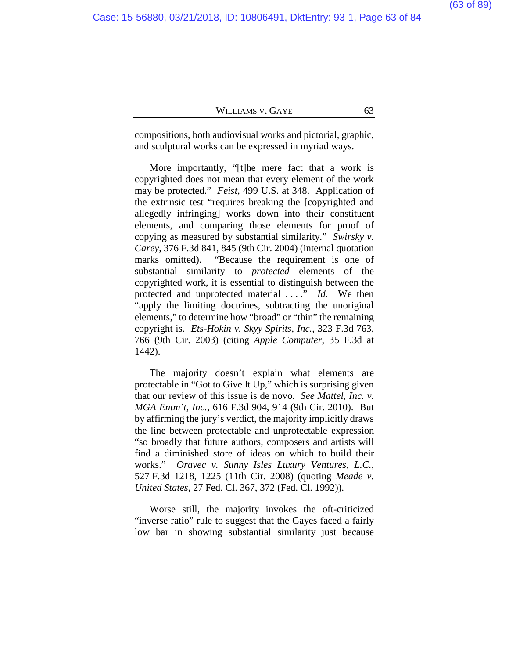compositions, both audiovisual works and pictorial, graphic, and sculptural works can be expressed in myriad ways.

More importantly, "[t]he mere fact that a work is copyrighted does not mean that every element of the work may be protected." *Feist*, 499 U.S. at 348. Application of the extrinsic test "requires breaking the [copyrighted and allegedly infringing] works down into their constituent elements, and comparing those elements for proof of copying as measured by substantial similarity." *Swirsky v. Carey*, 376 F.3d 841, 845 (9th Cir. 2004) (internal quotation marks omitted). "Because the requirement is one of substantial similarity to *protected* elements of the copyrighted work, it is essential to distinguish between the protected and unprotected material . . . ." *Id.* We then "apply the limiting doctrines, subtracting the unoriginal elements," to determine how "broad" or "thin" the remaining copyright is. *Ets-Hokin v. Skyy Spirits, Inc.*, 323 F.3d 763, 766 (9th Cir. 2003) (citing *Apple Computer*, 35 F.3d at 1442).

The majority doesn't explain what elements are protectable in "Got to Give It Up," which is surprising given that our review of this issue is de novo. *See Mattel, Inc. v. MGA Entm't, Inc.*, 616 F.3d 904, 914 (9th Cir. 2010). But by affirming the jury's verdict, the majority implicitly draws the line between protectable and unprotectable expression "so broadly that future authors, composers and artists will find a diminished store of ideas on which to build their works." *Oravec v. Sunny Isles Luxury Ventures, L.C.*, 527 F.3d 1218, 1225 (11th Cir. 2008) (quoting *Meade v. United States*, 27 Fed. Cl. 367, 372 (Fed. Cl. 1992)).

Worse still, the majority invokes the oft-criticized "inverse ratio" rule to suggest that the Gayes faced a fairly low bar in showing substantial similarity just because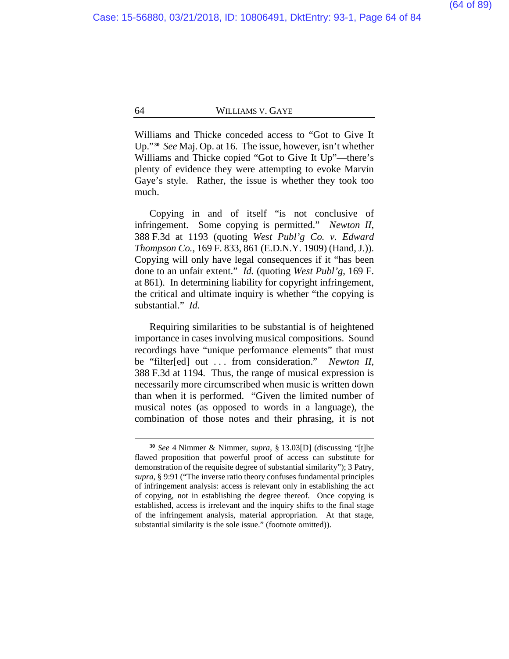Williams and Thicke conceded access to "Got to Give It Up."**[30](#page-63-0)** *See* Maj. Op. at [16.](#page-15-0) The issue, however, isn't whether Williams and Thicke copied "Got to Give It Up"—there's plenty of evidence they were attempting to evoke Marvin Gaye's style. Rather, the issue is whether they took too much.

Copying in and of itself "is not conclusive of infringement. Some copying is permitted." *Newton II*, 388 F.3d at 1193 (quoting *West Publ'g Co. v. Edward Thompson Co.*, 169 F. 833, 861 (E.D.N.Y. 1909) (Hand, J.)). Copying will only have legal consequences if it "has been done to an unfair extent." *Id.* (quoting *West Publ'g*, 169 F. at 861). In determining liability for copyright infringement, the critical and ultimate inquiry is whether "the copying is substantial." *Id.*

Requiring similarities to be substantial is of heightened importance in cases involving musical compositions. Sound recordings have "unique performance elements" that must be "filter[ed] out . . . from consideration." *Newton II*, 388 F.3d at 1194. Thus, the range of musical expression is necessarily more circumscribed when music is written down than when it is performed. "Given the limited number of musical notes (as opposed to words in a language), the combination of those notes and their phrasing, it is not

<span id="page-63-0"></span>**<sup>30</sup>** *See* 4 Nimmer & Nimmer, *supra*, § 13.03[D] (discussing "[t]he flawed proposition that powerful proof of access can substitute for demonstration of the requisite degree of substantial similarity"); 3 Patry, *supra*, § 9:91 ("The inverse ratio theory confuses fundamental principles of infringement analysis: access is relevant only in establishing the act of copying, not in establishing the degree thereof. Once copying is established, access is irrelevant and the inquiry shifts to the final stage of the infringement analysis, material appropriation. At that stage, substantial similarity is the sole issue." (footnote omitted)).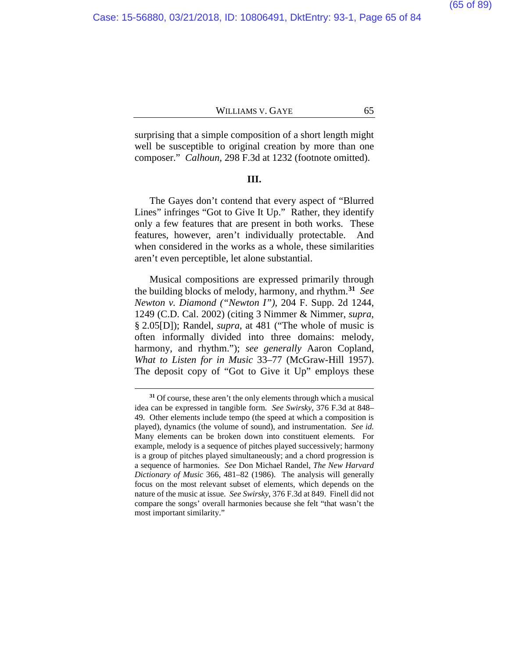surprising that a simple composition of a short length might well be susceptible to original creation by more than one composer." *Calhoun*, 298 F.3d at 1232 (footnote omitted).

#### **III.**

The Gayes don't contend that every aspect of "Blurred Lines" infringes "Got to Give It Up." Rather, they identify only a few features that are present in both works. These features, however, aren't individually protectable. And when considered in the works as a whole, these similarities aren't even perceptible, let alone substantial.

Musical compositions are expressed primarily through the building blocks of melody, harmony, and rhythm.**[31](#page-64-0)** *See Newton v. Diamond ("Newton I")*, 204 F. Supp. 2d 1244, 1249 (C.D. Cal. 2002) (citing 3 Nimmer & Nimmer, *supra*, § 2.05[D]); Randel, *supra*, at 481 ("The whole of music is often informally divided into three domains: melody, harmony, and rhythm."); *see generally* Aaron Copland, *What to Listen for in Music* 33–77 (McGraw-Hill 1957). The deposit copy of "Got to Give it Up" employs these

<span id="page-64-0"></span>**<sup>31</sup>** Of course, these aren't the only elements through which a musical idea can be expressed in tangible form. *See Swirsky*, 376 F.3d at 848– 49. Other elements include tempo (the speed at which a composition is played), dynamics (the volume of sound), and instrumentation. *See id.* Many elements can be broken down into constituent elements. For example, melody is a sequence of pitches played successively; harmony is a group of pitches played simultaneously; and a chord progression is a sequence of harmonies. *See* Don Michael Randel, *The New Harvard Dictionary of Music* 366, 481–82 (1986). The analysis will generally focus on the most relevant subset of elements, which depends on the nature of the music at issue. *See Swirsky*, 376 F.3d at 849. Finell did not compare the songs' overall harmonies because she felt "that wasn't the most important similarity."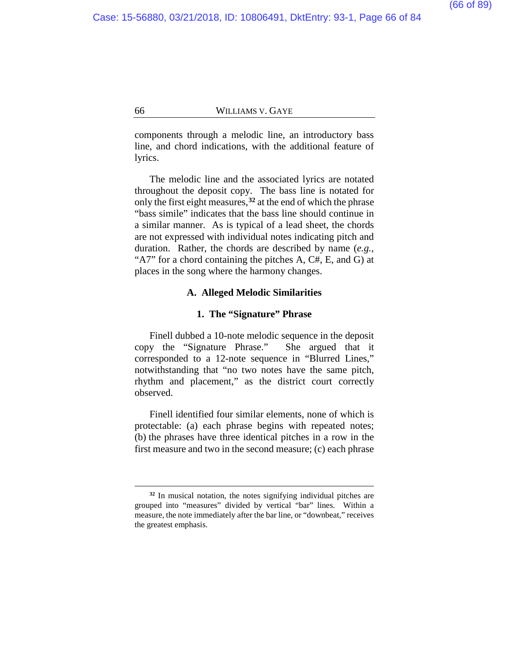components through a melodic line, an introductory bass line, and chord indications, with the additional feature of lyrics.

The melodic line and the associated lyrics are notated throughout the deposit copy. The bass line is notated for only the first eight measures,**[32](#page-65-0)** at the end of which the phrase "bass simile" indicates that the bass line should continue in a similar manner. As is typical of a lead sheet, the chords are not expressed with individual notes indicating pitch and duration. Rather, the chords are described by name (*e.g.*, "A7" for a chord containing the pitches A, C#, E, and G) at places in the song where the harmony changes.

# **A. Alleged Melodic Similarities**

#### **1. The "Signature" Phrase**

Finell dubbed a 10-note melodic sequence in the deposit copy the "Signature Phrase." She argued that it corresponded to a 12-note sequence in "Blurred Lines," notwithstanding that "no two notes have the same pitch, rhythm and placement," as the district court correctly observed.

Finell identified four similar elements, none of which is protectable: (a) each phrase begins with repeated notes; (b) the phrases have three identical pitches in a row in the first measure and two in the second measure; (c) each phrase

<span id="page-65-0"></span>**<sup>32</sup>** In musical notation, the notes signifying individual pitches are grouped into "measures" divided by vertical "bar" lines. Within a measure, the note immediately after the bar line, or "downbeat," receives the greatest emphasis.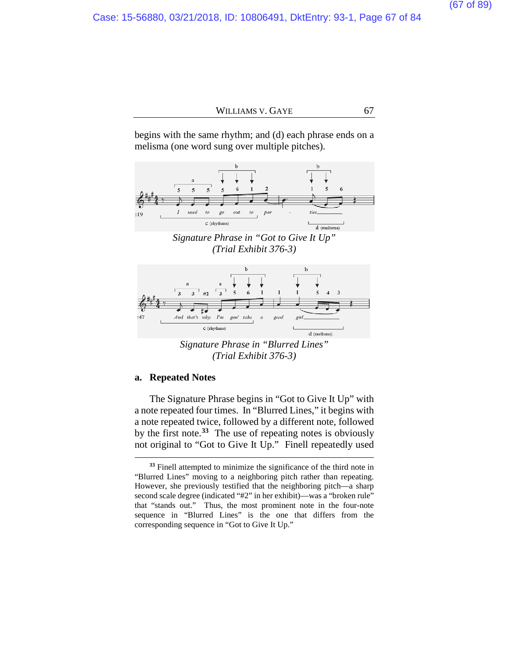begins with the same rhythm; and (d) each phrase ends on a melisma (one word sung over multiple pitches).



*Signature Phrase in "Got to Give It Up" (Trial Exhibit 376-3)*



*Signature Phrase in "Blurred Lines" (Trial Exhibit 376-3)*

#### **a. Repeated Notes**

 $\overline{a}$ 

The Signature Phrase begins in "Got to Give It Up" with a note repeated four times. In "Blurred Lines," it begins with a note repeated twice, followed by a different note, followed by the first note.**[33](#page-66-0)** The use of repeating notes is obviously not original to "Got to Give It Up." Finell repeatedly used

<span id="page-66-0"></span>**<sup>33</sup>** Finell attempted to minimize the significance of the third note in "Blurred Lines" moving to a neighboring pitch rather than repeating. However, she previously testified that the neighboring pitch—a sharp second scale degree (indicated "#2" in her exhibit)—was a "broken rule" that "stands out." Thus, the most prominent note in the four-note sequence in "Blurred Lines" is the one that differs from the corresponding sequence in "Got to Give It Up."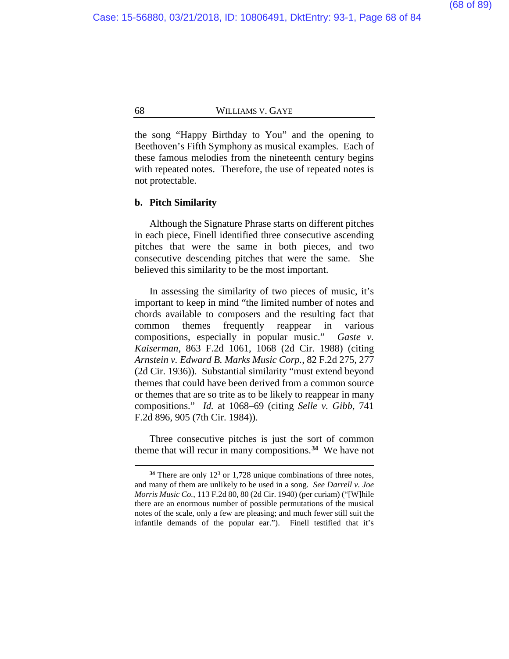the song "Happy Birthday to You" and the opening to Beethoven's Fifth Symphony as musical examples. Each of these famous melodies from the nineteenth century begins with repeated notes. Therefore, the use of repeated notes is not protectable.

#### **b. Pitch Similarity**

 $\overline{a}$ 

Although the Signature Phrase starts on different pitches in each piece, Finell identified three consecutive ascending pitches that were the same in both pieces, and two consecutive descending pitches that were the same. She believed this similarity to be the most important.

In assessing the similarity of two pieces of music, it's important to keep in mind "the limited number of notes and chords available to composers and the resulting fact that common themes frequently reappear in various compositions, especially in popular music." *Gaste v. Kaiserman*, 863 F.2d 1061, 1068 (2d Cir. 1988) (citing *Arnstein v. Edward B. Marks Music Corp.*, 82 F.2d 275, 277 (2d Cir. 1936)). Substantial similarity "must extend beyond themes that could have been derived from a common source or themes that are so trite as to be likely to reappear in many compositions." *Id.* at 1068–69 (citing *Selle v. Gibb*, 741 F.2d 896, 905 (7th Cir. 1984)).

Three consecutive pitches is just the sort of common theme that will recur in many compositions.**[34](#page-67-0)** We have not

<span id="page-67-0"></span><sup>&</sup>lt;sup>34</sup> There are only 12<sup>3</sup> or 1,728 unique combinations of three notes, and many of them are unlikely to be used in a song. *See Darrell v. Joe Morris Music Co.*, 113 F.2d 80, 80 (2d Cir. 1940) (per curiam) ("[W]hile there are an enormous number of possible permutations of the musical notes of the scale, only a few are pleasing; and much fewer still suit the infantile demands of the popular ear."). Finell testified that it's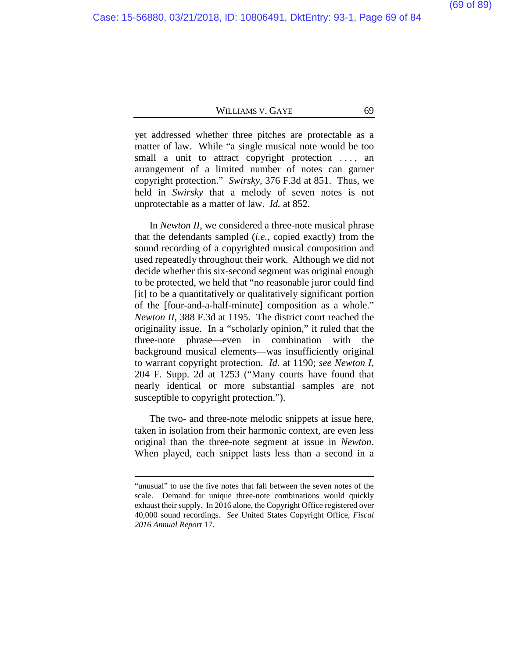yet addressed whether three pitches are protectable as a matter of law. While "a single musical note would be too small a unit to attract copyright protection ..., an arrangement of a limited number of notes can garner copyright protection." *Swirsky*, 376 F.3d at 851. Thus, we held in *Swirsky* that a melody of seven notes is not unprotectable as a matter of law. *Id.* at 852.

In *Newton II*, we considered a three-note musical phrase that the defendants sampled (*i.e.*, copied exactly) from the sound recording of a copyrighted musical composition and used repeatedly throughout their work. Although we did not decide whether this six-second segment was original enough to be protected, we held that "no reasonable juror could find [it] to be a quantitatively or qualitatively significant portion of the [four-and-a-half-minute] composition as a whole." *Newton II*, 388 F.3d at 1195. The district court reached the originality issue. In a "scholarly opinion," it ruled that the three-note phrase—even in combination with the background musical elements—was insufficiently original to warrant copyright protection. *Id.* at 1190; *see Newton I*, 204 F. Supp. 2d at 1253 ("Many courts have found that nearly identical or more substantial samples are not susceptible to copyright protection.").

The two- and three-note melodic snippets at issue here, taken in isolation from their harmonic context, are even less original than the three-note segment at issue in *Newton*. When played, each snippet lasts less than a second in a

<sup>&</sup>quot;unusual" to use the five notes that fall between the seven notes of the scale. Demand for unique three-note combinations would quickly exhaust their supply. In 2016 alone, the Copyright Office registered over 40,000 sound recordings. *See* United States Copyright Office, *Fiscal 2016 Annual Report* 17.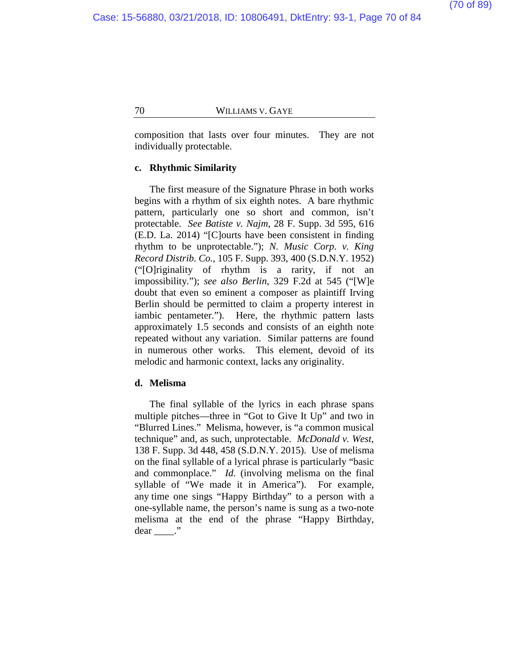composition that lasts over four minutes. They are not individually protectable.

### **c. Rhythmic Similarity**

The first measure of the Signature Phrase in both works begins with a rhythm of six eighth notes. A bare rhythmic pattern, particularly one so short and common, isn't protectable. *See Batiste v. Najm*, 28 F. Supp. 3d 595, 616 (E.D. La. 2014) "[C]ourts have been consistent in finding rhythm to be unprotectable."); *N. Music Corp. v. King Record Distrib. Co.*, 105 F. Supp. 393, 400 (S.D.N.Y. 1952) ("[O]riginality of rhythm is a rarity, if not an impossibility."); *see also Berlin*, 329 F.2d at 545 ("[W]e doubt that even so eminent a composer as plaintiff Irving Berlin should be permitted to claim a property interest in iambic pentameter."). Here, the rhythmic pattern lasts approximately 1.5 seconds and consists of an eighth note repeated without any variation. Similar patterns are found in numerous other works. This element, devoid of its melodic and harmonic context, lacks any originality.

#### **d. Melisma**

The final syllable of the lyrics in each phrase spans multiple pitches—three in "Got to Give It Up" and two in "Blurred Lines." Melisma, however, is "a common musical technique" and, as such, unprotectable. *McDonald v. West*, 138 F. Supp. 3d 448, 458 (S.D.N.Y. 2015). Use of melisma on the final syllable of a lyrical phrase is particularly "basic and commonplace." *Id.* (involving melisma on the final syllable of "We made it in America"). For example, any time one sings "Happy Birthday" to a person with a one-syllable name, the person's name is sung as a two-note melisma at the end of the phrase "Happy Birthday,  $dear$  \_\_\_\_."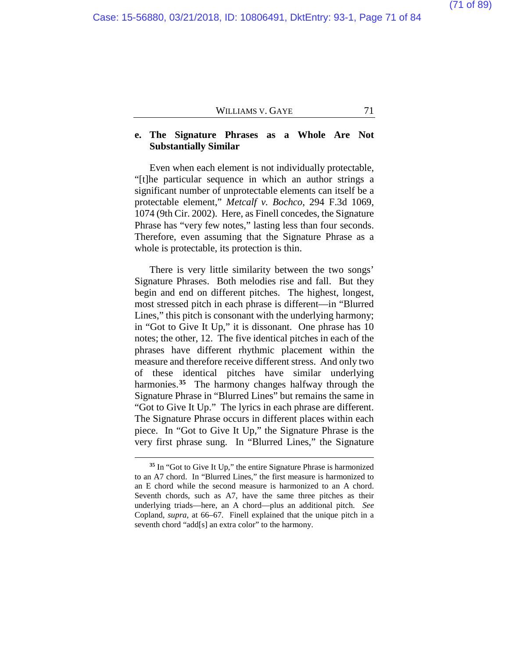# **e. The Signature Phrases as a Whole Are Not Substantially Similar**

Even when each element is not individually protectable, "[t]he particular sequence in which an author strings a significant number of unprotectable elements can itself be a protectable element," *Metcalf v. Bochco*, 294 F.3d 1069, 1074 (9th Cir. 2002). Here, as Finell concedes, the Signature Phrase has "very few notes," lasting less than four seconds. Therefore, even assuming that the Signature Phrase as a whole is protectable, its protection is thin.

There is very little similarity between the two songs' Signature Phrases. Both melodies rise and fall. But they begin and end on different pitches. The highest, longest, most stressed pitch in each phrase is different—in "Blurred Lines," this pitch is consonant with the underlying harmony; in "Got to Give It Up," it is dissonant. One phrase has 10 notes; the other, 12. The five identical pitches in each of the phrases have different rhythmic placement within the measure and therefore receive different stress. And only two of these identical pitches have similar underlying harmonies.**[35](#page-70-0)** The harmony changes halfway through the Signature Phrase in "Blurred Lines" but remains the same in "Got to Give It Up." The lyrics in each phrase are different. The Signature Phrase occurs in different places within each piece. In "Got to Give It Up," the Signature Phrase is the very first phrase sung. In "Blurred Lines," the Signature

<span id="page-70-0"></span>**<sup>35</sup>** In "Got to Give It Up," the entire Signature Phrase is harmonized to an A7 chord. In "Blurred Lines," the first measure is harmonized to an E chord while the second measure is harmonized to an A chord. Seventh chords, such as A7, have the same three pitches as their underlying triads—here, an A chord—plus an additional pitch. *See* Copland, *supra*, at 66–67. Finell explained that the unique pitch in a seventh chord "add[s] an extra color" to the harmony.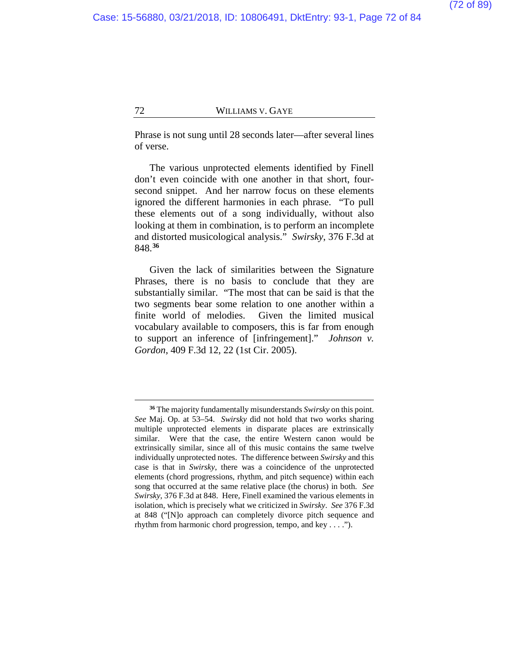Phrase is not sung until 28 seconds later—after several lines of verse.

The various unprotected elements identified by Finell don't even coincide with one another in that short, foursecond snippet. And her narrow focus on these elements ignored the different harmonies in each phrase. "To pull these elements out of a song individually, without also looking at them in combination, is to perform an incomplete and distorted musicological analysis." *Swirsky*, 376 F.3d at 848. **[36](#page-71-0)**

Given the lack of similarities between the Signature Phrases, there is no basis to conclude that they are substantially similar. "The most that can be said is that the two segments bear some relation to one another within a finite world of melodies. Given the limited musical vocabulary available to composers, this is far from enough to support an inference of [infringement]." *Johnson v. Gordon*, 409 F.3d 12, 22 (1st Cir. 2005).

<span id="page-71-0"></span>**<sup>36</sup>** The majority fundamentally misunderstands *Swirsky* on this point. *See* Maj. Op. at [53](#page-52-1)[–54.](#page-53-0) *Swirsky* did not hold that two works sharing multiple unprotected elements in disparate places are extrinsically similar. Were that the case, the entire Western canon would be extrinsically similar, since all of this music contains the same twelve individually unprotected notes. The difference between *Swirsky* and this case is that in *Swirsky*, there was a coincidence of the unprotected elements (chord progressions, rhythm, and pitch sequence) within each song that occurred at the same relative place (the chorus) in both. *See Swirsky*, 376 F.3d at 848. Here, Finell examined the various elements in isolation, which is precisely what we criticized in *Swirsky*. *See* 376 F.3d at 848 ("[N]o approach can completely divorce pitch sequence and rhythm from harmonic chord progression, tempo, and key . . . .").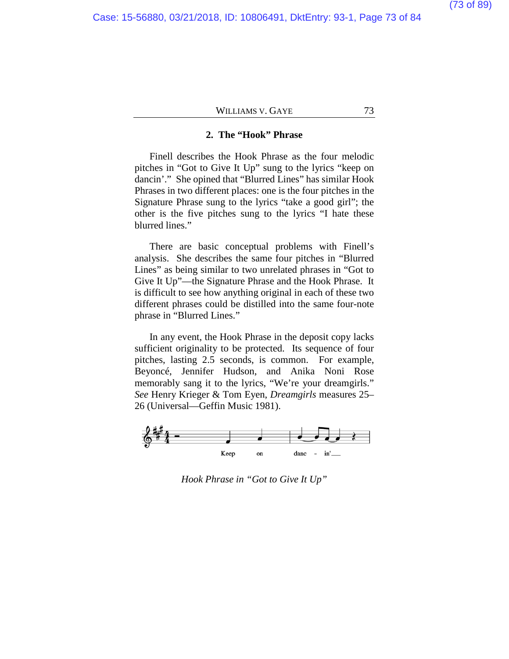### **2. The "Hook" Phrase**

Finell describes the Hook Phrase as the four melodic pitches in "Got to Give It Up" sung to the lyrics "keep on dancin'." She opined that "Blurred Lines" has similar Hook Phrases in two different places: one is the four pitches in the Signature Phrase sung to the lyrics "take a good girl"; the other is the five pitches sung to the lyrics "I hate these blurred lines."

There are basic conceptual problems with Finell's analysis. She describes the same four pitches in "Blurred Lines" as being similar to two unrelated phrases in "Got to Give It Up"—the Signature Phrase and the Hook Phrase. It is difficult to see how anything original in each of these two different phrases could be distilled into the same four-note phrase in "Blurred Lines."

In any event, the Hook Phrase in the deposit copy lacks sufficient originality to be protected. Its sequence of four pitches, lasting 2.5 seconds, is common. For example, Beyoncé, Jennifer Hudson, and Anika Noni Rose memorably sang it to the lyrics, "We're your dreamgirls." *See* Henry Krieger & Tom Eyen, *Dreamgirls* measures 25– 26 (Universal—Geffin Music 1981).



*Hook Phrase in "Got to Give It Up"*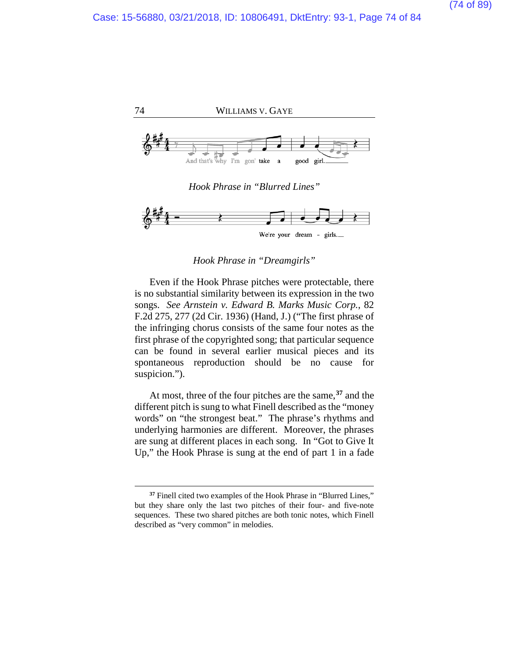



*Hook Phrase in "Dreamgirls"*

Even if the Hook Phrase pitches were protectable, there is no substantial similarity between its expression in the two songs. *See Arnstein v. Edward B. Marks Music Corp.*, 82 F.2d 275, 277 (2d Cir. 1936) (Hand, J.) ("The first phrase of the infringing chorus consists of the same four notes as the first phrase of the copyrighted song; that particular sequence can be found in several earlier musical pieces and its spontaneous reproduction should be no cause for suspicion.").

At most, three of the four pitches are the same,**[37](#page-73-0)** and the different pitch is sung to what Finell described as the "money words" on "the strongest beat." The phrase's rhythms and underlying harmonies are different. Moreover, the phrases are sung at different places in each song. In "Got to Give It Up," the Hook Phrase is sung at the end of part 1 in a fade

<span id="page-73-0"></span>**<sup>37</sup>** Finell cited two examples of the Hook Phrase in "Blurred Lines," but they share only the last two pitches of their four- and five-note sequences. These two shared pitches are both tonic notes, which Finell described as "very common" in melodies.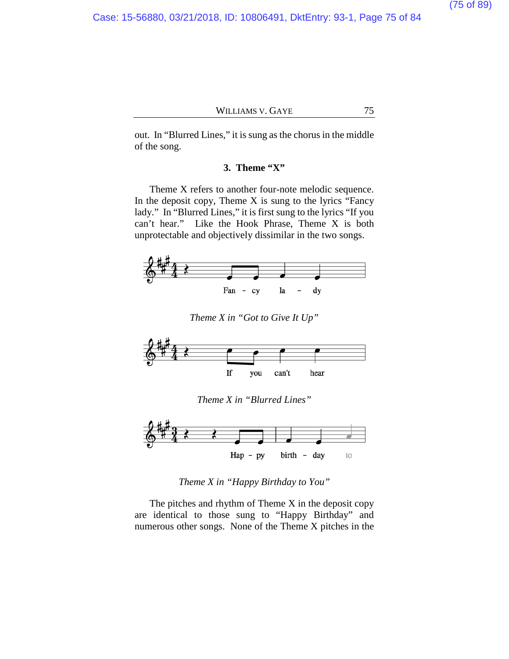out. In "Blurred Lines," it is sung as the chorus in the middle of the song.

### **3. Theme "X"**

Theme X refers to another four-note melodic sequence. In the deposit copy, Theme  $X$  is sung to the lyrics "Fancy" lady." In "Blurred Lines," it is first sung to the lyrics "If you can't hear." Like the Hook Phrase, Theme X is both unprotectable and objectively dissimilar in the two songs.



*Theme X in "Got to Give It Up"*



*Theme X in "Blurred Lines"*



*Theme X in "Happy Birthday to You"*

The pitches and rhythm of Theme X in the deposit copy are identical to those sung to "Happy Birthday" and numerous other songs. None of the Theme X pitches in the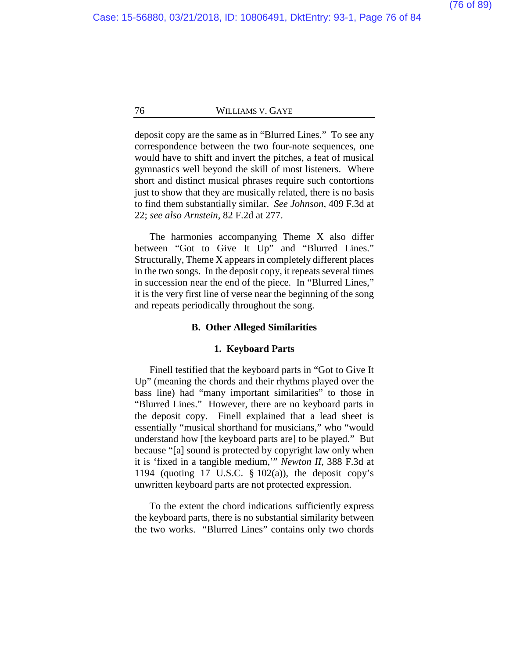deposit copy are the same as in "Blurred Lines." To see any correspondence between the two four-note sequences, one would have to shift and invert the pitches, a feat of musical gymnastics well beyond the skill of most listeners. Where short and distinct musical phrases require such contortions just to show that they are musically related, there is no basis to find them substantially similar. *See Johnson*, 409 F.3d at 22; *see also Arnstein*, 82 F.2d at 277.

The harmonies accompanying Theme X also differ between "Got to Give It Up" and "Blurred Lines." Structurally, Theme X appears in completely different places in the two songs. In the deposit copy, it repeats several times in succession near the end of the piece. In "Blurred Lines," it is the very first line of verse near the beginning of the song and repeats periodically throughout the song.

#### **B. Other Alleged Similarities**

#### **1. Keyboard Parts**

Finell testified that the keyboard parts in "Got to Give It Up" (meaning the chords and their rhythms played over the bass line) had "many important similarities" to those in "Blurred Lines." However, there are no keyboard parts in the deposit copy. Finell explained that a lead sheet is essentially "musical shorthand for musicians," who "would understand how [the keyboard parts are] to be played." But because "[a] sound is protected by copyright law only when it is 'fixed in a tangible medium,'" *Newton II*, 388 F.3d at 1194 (quoting 17 U.S.C.  $\S$  102(a)), the deposit copy's unwritten keyboard parts are not protected expression.

To the extent the chord indications sufficiently express the keyboard parts, there is no substantial similarity between the two works. "Blurred Lines" contains only two chords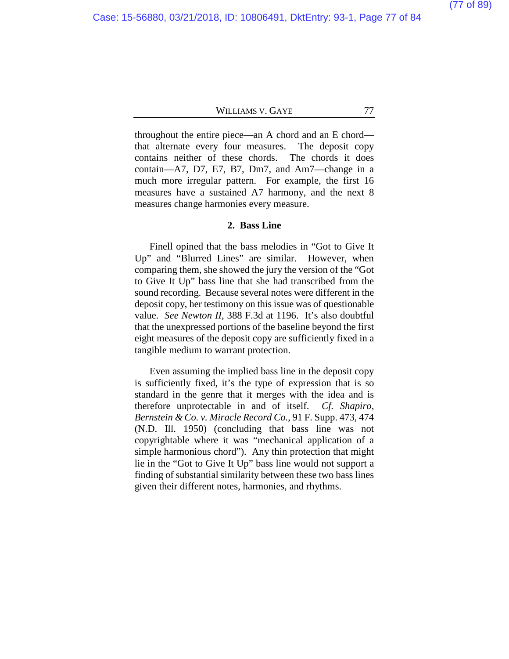throughout the entire piece—an A chord and an E chord that alternate every four measures. The deposit copy contains neither of these chords. The chords it does contain—A7, D7, E7, B7, Dm7, and Am7—change in a much more irregular pattern. For example, the first 16 measures have a sustained A7 harmony, and the next 8 measures change harmonies every measure.

### **2. Bass Line**

Finell opined that the bass melodies in "Got to Give It Up" and "Blurred Lines" are similar. However, when comparing them, she showed the jury the version of the "Got to Give It Up" bass line that she had transcribed from the sound recording. Because several notes were different in the deposit copy, her testimony on this issue was of questionable value. *See Newton II*, 388 F.3d at 1196. It's also doubtful that the unexpressed portions of the baseline beyond the first eight measures of the deposit copy are sufficiently fixed in a tangible medium to warrant protection.

Even assuming the implied bass line in the deposit copy is sufficiently fixed, it's the type of expression that is so standard in the genre that it merges with the idea and is therefore unprotectable in and of itself. *Cf. Shapiro, Bernstein & Co. v. Miracle Record Co.*, 91 F. Supp. 473, 474 (N.D. Ill. 1950) (concluding that bass line was not copyrightable where it was "mechanical application of a simple harmonious chord"). Any thin protection that might lie in the "Got to Give It Up" bass line would not support a finding of substantial similarity between these two bass lines given their different notes, harmonies, and rhythms.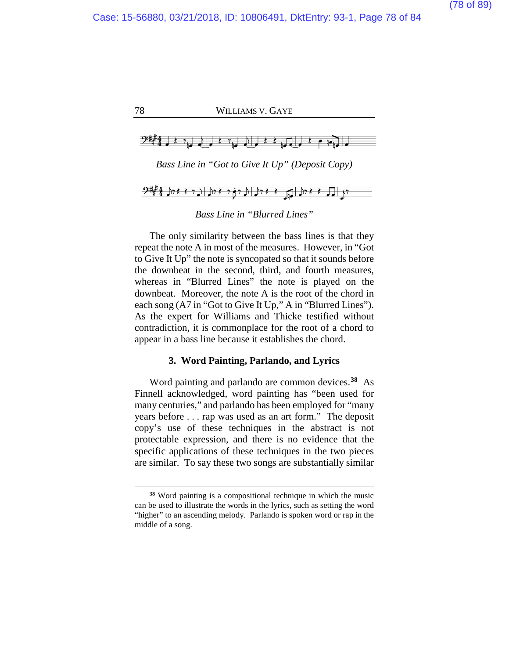

*Bass Line in "Got to Give It Up" (Deposit Copy)*



### *Bass Line in "Blurred Lines"*

The only similarity between the bass lines is that they repeat the note A in most of the measures. However, in "Got to Give It Up" the note is syncopated so that it sounds before the downbeat in the second, third, and fourth measures, whereas in "Blurred Lines" the note is played on the downbeat. Moreover, the note A is the root of the chord in each song (A7 in "Got to Give It Up," A in "Blurred Lines"). As the expert for Williams and Thicke testified without contradiction, it is commonplace for the root of a chord to appear in a bass line because it establishes the chord.

### **3. Word Painting, Parlando, and Lyrics**

Word painting and parlando are common devices.**[38](#page-77-0)** As Finnell acknowledged, word painting has "been used for many centuries," and parlando has been employed for "many years before . . . rap was used as an art form." The deposit copy's use of these techniques in the abstract is not protectable expression, and there is no evidence that the specific applications of these techniques in the two pieces are similar. To say these two songs are substantially similar

<span id="page-77-0"></span>**<sup>38</sup>** Word painting is a compositional technique in which the music can be used to illustrate the words in the lyrics, such as setting the word "higher" to an ascending melody. Parlando is spoken word or rap in the middle of a song.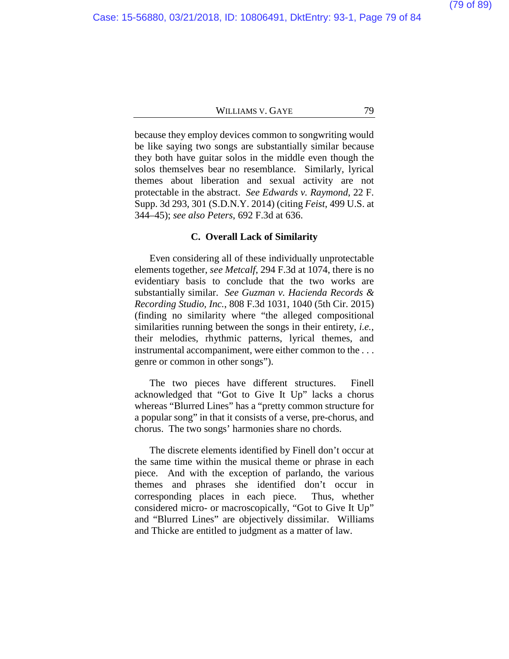because they employ devices common to songwriting would be like saying two songs are substantially similar because they both have guitar solos in the middle even though the solos themselves bear no resemblance. Similarly, lyrical themes about liberation and sexual activity are not protectable in the abstract. *See Edwards v. Raymond*, 22 F. Supp. 3d 293, 301 (S.D.N.Y. 2014) (citing *Feist*, 499 U.S. at 344–45); *see also Peters*, 692 F.3d at 636.

#### **C. Overall Lack of Similarity**

Even considering all of these individually unprotectable elements together, *see Metcalf*, 294 F.3d at 1074, there is no evidentiary basis to conclude that the two works are substantially similar. *See Guzman v. Hacienda Records & Recording Studio, Inc.*, 808 F.3d 1031, 1040 (5th Cir. 2015) (finding no similarity where "the alleged compositional similarities running between the songs in their entirety, *i.e.*, their melodies, rhythmic patterns, lyrical themes, and instrumental accompaniment, were either common to the . . . genre or common in other songs").

The two pieces have different structures. Finell acknowledged that "Got to Give It Up" lacks a chorus whereas "Blurred Lines" has a "pretty common structure for a popular song" in that it consists of a verse, pre-chorus, and chorus. The two songs' harmonies share no chords.

The discrete elements identified by Finell don't occur at the same time within the musical theme or phrase in each piece. And with the exception of parlando, the various themes and phrases she identified don't occur in corresponding places in each piece. Thus, whether considered micro- or macroscopically, "Got to Give It Up" and "Blurred Lines" are objectively dissimilar. Williams and Thicke are entitled to judgment as a matter of law.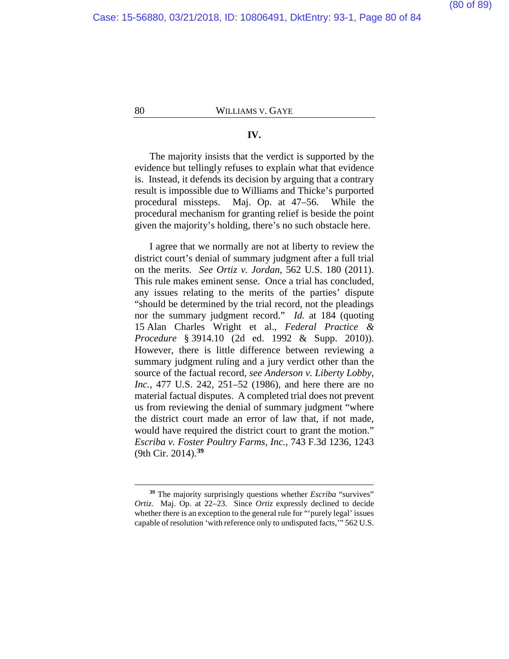### **IV.**

The majority insists that the verdict is supported by the evidence but tellingly refuses to explain what that evidence is. Instead, it defends its decision by arguing that a contrary result is impossible due to Williams and Thicke's purported procedural missteps. Maj. Op. at [47–](#page-46-0)[56.](#page-55-0) While the procedural mechanism for granting relief is beside the point given the majority's holding, there's no such obstacle here.

I agree that we normally are not at liberty to review the district court's denial of summary judgment after a full trial on the merits. *See Ortiz v. Jordan*, 562 U.S. 180 (2011). This rule makes eminent sense. Once a trial has concluded, any issues relating to the merits of the parties' dispute "should be determined by the trial record, not the pleadings nor the summary judgment record." *Id.* at 184 (quoting 15 Alan Charles Wright et al., *Federal Practice & Procedure* § 3914.10 (2d ed. 1992 & Supp. 2010)). However, there is little difference between reviewing a summary judgment ruling and a jury verdict other than the source of the factual record, *see Anderson v. Liberty Lobby, Inc.*, 477 U.S. 242, 251–52 (1986), and here there are no material factual disputes. A completed trial does not prevent us from reviewing the denial of summary judgment "where the district court made an error of law that, if not made, would have required the district court to grant the motion." *Escriba v. Foster Poultry Farms, Inc.*, 743 F.3d 1236, 1243 (9th Cir. 2014). **[39](#page-79-0)**

<span id="page-79-0"></span>**<sup>39</sup>** The majority surprisingly questions whether *Escriba* "survives" *Ortiz*. Maj. Op. at [22–](#page-21-0)[23.](#page-22-0) Since *Ortiz* expressly declined to decide whether there is an exception to the general rule for "'purely legal' issues capable of resolution 'with reference only to undisputed facts,'" 562 U.S.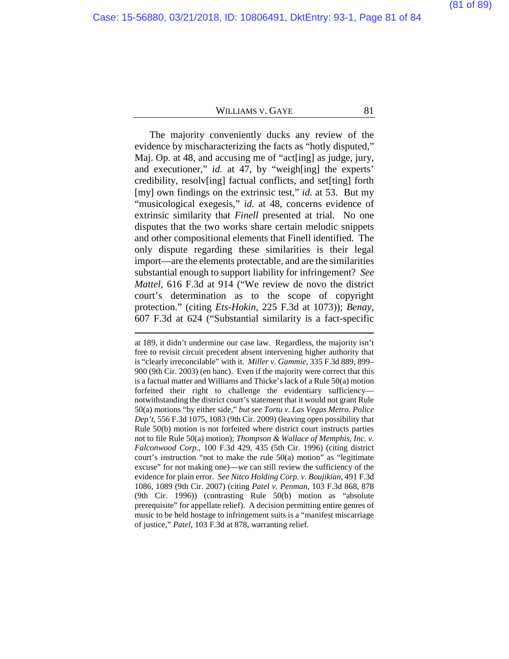The majority conveniently ducks any review of the evidence by mischaracterizing the facts as "hotly disputed," Maj. Op. at [48,](#page-47-0) and accusing me of "act[ing] as judge, jury, and executioner," *id.* at [47,](#page-46-1) by "weigh[ing] the experts' credibility, resolv[ing] factual conflicts, and set[ting] forth [my] own findings on the extrinsic test," *id.* at [53.](#page-52-0) But my "musicological exegesis," *id.* at [48,](#page-47-0) concerns evidence of extrinsic similarity that *Finell* presented at trial. No one disputes that the two works share certain melodic snippets and other compositional elements that Finell identified. The only dispute regarding these similarities is their legal import—are the elements protectable, and are the similarities substantial enough to support liability for infringement? *See Mattel*, 616 F.3d at 914 ("We review de novo the district court's determination as to the scope of copyright protection." (citing *Ets-Hokin*, 225 F.3d at 1073)); *Benay*, 607 F.3d at 624 ("Substantial similarity is a fact-specific

at 189, it didn't undermine our case law. Regardless, the majority isn't free to revisit circuit precedent absent intervening higher authority that is "clearly irreconcilable" with it. *Miller v. Gammie*, 335 F.3d 889, 899– 900 (9th Cir. 2003) (en banc). Even if the majority were correct that this is a factual matter and Williams and Thicke's lack of a Rule 50(a) motion forfeited their right to challenge the evidentiary sufficiency notwithstanding the district court's statement that it would not grant Rule 50(a) motions "by either side," *but see Tortu v. Las Vegas Metro. Police Dep't*, 556 F.3d 1075, 1083 (9th Cir. 2009) (leaving open possibility that Rule 50(b) motion is not forfeited where district court instructs parties not to file Rule 50(a) motion); *Thompson & Wallace of Memphis, Inc. v. Falconwood Corp.*, 100 F.3d 429, 435 (5th Cir. 1996) (citing district court's instruction "not to make the rule 50(a) motion" as "legitimate excuse" for not making one)—we can still review the sufficiency of the evidence for plain error. *See Nitco Holding Corp. v. Boujikian*, 491 F.3d 1086, 1089 (9th Cir. 2007) (citing *Patel v. Penman*, 103 F.3d 868, 878 (9th Cir. 1996)) (contrasting Rule 50(b) motion as "absolute prerequisite" for appellate relief). A decision permitting entire genres of music to be held hostage to infringement suits is a "manifest miscarriage of justice," *Patel*, 103 F.3d at 878, warranting relief.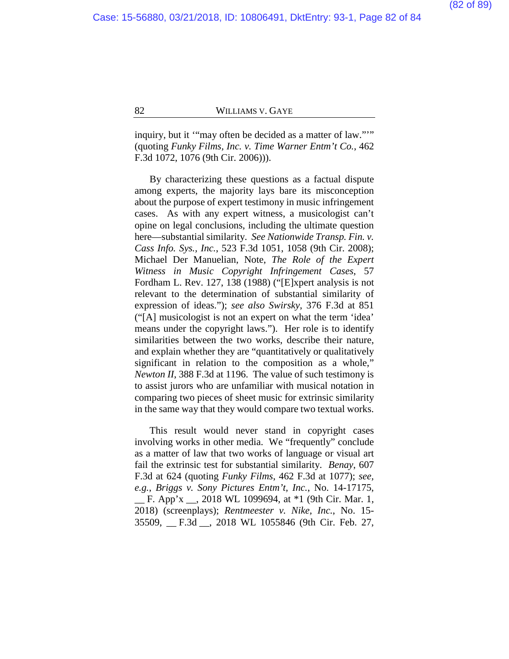inquiry, but it "may often be decided as a matter of law.""" (quoting *Funky Films, Inc. v. Time Warner Entm't Co.*, 462 F.3d 1072, 1076 (9th Cir. 2006))).

By characterizing these questions as a factual dispute among experts, the majority lays bare its misconception about the purpose of expert testimony in music infringement cases. As with any expert witness, a musicologist can't opine on legal conclusions, including the ultimate question here—substantial similarity. *See Nationwide Transp. Fin. v. Cass Info. Sys., Inc.*, 523 F.3d 1051, 1058 (9th Cir. 2008); Michael Der Manuelian, Note, *The Role of the Expert Witness in Music Copyright Infringement Cases*, 57 Fordham L. Rev. 127, 138 (1988) ("[E]xpert analysis is not relevant to the determination of substantial similarity of expression of ideas."); *see also Swirsky*, 376 F.3d at 851 ("[A] musicologist is not an expert on what the term 'idea' means under the copyright laws."). Her role is to identify similarities between the two works, describe their nature, and explain whether they are "quantitatively or qualitatively significant in relation to the composition as a whole," *Newton II*, 388 F.3d at 1196. The value of such testimony is to assist jurors who are unfamiliar with musical notation in comparing two pieces of sheet music for extrinsic similarity in the same way that they would compare two textual works.

This result would never stand in copyright cases involving works in other media. We "frequently" conclude as a matter of law that two works of language or visual art fail the extrinsic test for substantial similarity. *Benay*, 607 F.3d at 624 (quoting *Funky Films*, 462 F.3d at 1077); *see, e.g.*, *Briggs v. Sony Pictures Entm't, Inc.*, No. 14-17175, \_\_ F. App'x \_\_, 2018 WL 1099694, at \*1 (9th Cir. Mar. 1, 2018) (screenplays); *Rentmeester v. Nike, Inc.*, No. 15- 35509, \_\_ F.3d \_\_, 2018 WL 1055846 (9th Cir. Feb. 27,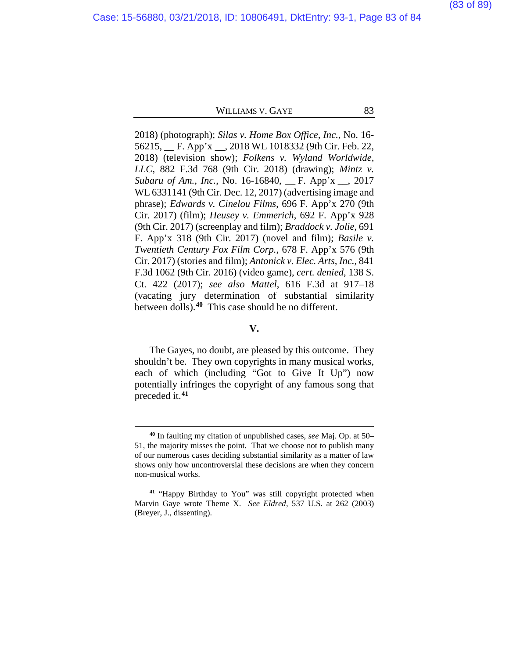2018) (photograph); *Silas v. Home Box Office, Inc.*, No. 16- 56215, \_\_ F. App'x \_\_, 2018 WL 1018332 (9th Cir. Feb. 22, 2018) (television show); *Folkens v. Wyland Worldwide, LLC*, 882 F.3d 768 (9th Cir. 2018) (drawing); *Mintz v. Subaru of Am., Inc.*, No. 16-16840, \_\_ F. App'x \_\_, 2017 WL 6331141 (9th Cir. Dec. 12, 2017) (advertising image and phrase); *Edwards v. Cinelou Films*, 696 F. App'x 270 (9th Cir. 2017) (film); *Heusey v. Emmerich*, 692 F. App'x 928 (9th Cir. 2017) (screenplay and film); *Braddock v. Jolie*, 691 F. App'x 318 (9th Cir. 2017) (novel and film); *Basile v. Twentieth Century Fox Film Corp.*, 678 F. App'x 576 (9th Cir. 2017) (stories and film); *Antonick v. Elec. Arts, Inc.*, 841 F.3d 1062 (9th Cir. 2016) (video game), *cert. denied*, 138 S. Ct. 422 (2017); *see also Mattel*, 616 F.3d at 917–18 (vacating jury determination of substantial similarity between dolls). **[40](#page-82-0)** This case should be no different.

### **V.**

The Gayes, no doubt, are pleased by this outcome. They shouldn't be. They own copyrights in many musical works, each of which (including "Got to Give It Up") now potentially infringes the copyright of any famous song that preceded it.**[41](#page-82-1)**

**<sup>40</sup>** In faulting my citation of unpublished cases, *see* Maj. Op. at [50–](#page-49-0) [51,](#page-50-0) the majority misses the point. That we choose not to publish many of our numerous cases deciding substantial similarity as a matter of law shows only how uncontroversial these decisions are when they concern non-musical works.

<span id="page-82-1"></span><span id="page-82-0"></span>**<sup>41</sup>** "Happy Birthday to You" was still copyright protected when Marvin Gaye wrote Theme X. *See Eldred*, 537 U.S. at 262 (2003) (Breyer, J., dissenting).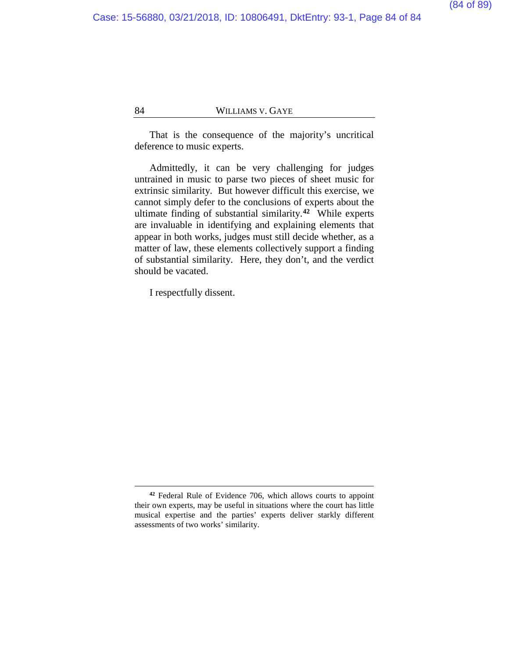That is the consequence of the majority's uncritical deference to music experts.

Admittedly, it can be very challenging for judges untrained in music to parse two pieces of sheet music for extrinsic similarity. But however difficult this exercise, we cannot simply defer to the conclusions of experts about the ultimate finding of substantial similarity.**[42](#page-83-0)** While experts are invaluable in identifying and explaining elements that appear in both works, judges must still decide whether, as a matter of law, these elements collectively support a finding of substantial similarity. Here, they don't, and the verdict should be vacated.

I respectfully dissent.

<span id="page-83-0"></span>**<sup>42</sup>** Federal Rule of Evidence 706, which allows courts to appoint their own experts, may be useful in situations where the court has little musical expertise and the parties' experts deliver starkly different assessments of two works' similarity.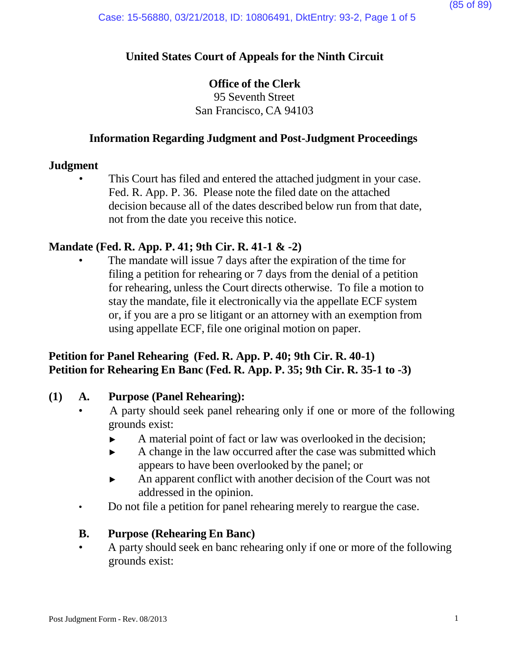# **United States Court of Appeals for the Ninth Circuit**

# **Office of the Clerk**

95 Seventh Street San Francisco, CA 94103

# **Information Regarding Judgment and Post-Judgment Proceedings**

### **Judgment**

This Court has filed and entered the attached judgment in your case. Fed. R. App. P. 36. Please note the filed date on the attached decision because all of the dates described below run from that date, not from the date you receive this notice.

# **Mandate (Fed. R. App. P. 41; 9th Cir. R. 41-1 & -2)**

The mandate will issue 7 days after the expiration of the time for filing a petition for rehearing or 7 days from the denial of a petition for rehearing, unless the Court directs otherwise. To file a motion to stay the mandate, file it electronically via the appellate ECF system or, if you are a pro se litigant or an attorney with an exemption from using appellate ECF, file one original motion on paper.

# **Petition for Panel Rehearing (Fed. R. App. P. 40; 9th Cir. R. 40-1) Petition for Rehearing En Banc (Fed. R. App. P. 35; 9th Cir. R. 35-1 to -3)**

# **(1) A. Purpose (Panel Rehearing):**

- A party should seek panel rehearing only if one or more of the following grounds exist:
	- ► A material point of fact or law was overlooked in the decision;
	- ► A change in the law occurred after the case was submitted which appears to have been overlooked by the panel; or
	- ► An apparent conflict with another decision of the Court was not addressed in the opinion.
- Do not file a petition for panel rehearing merely to reargue the case.

# **B. Purpose (Rehearing En Banc)**

• A party should seek en banc rehearing only if one or more of the following grounds exist: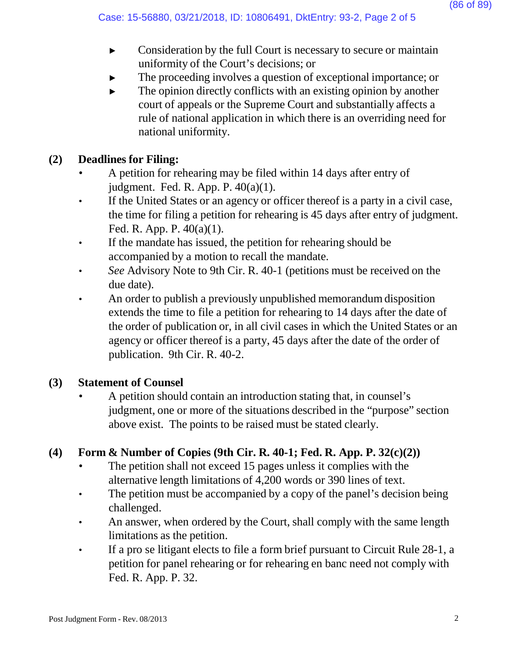- ► Consideration by the full Court is necessary to secure or maintain uniformity of the Court's decisions; or
- The proceeding involves a question of exceptional importance; or
- $\blacktriangleright$  The opinion directly conflicts with an existing opinion by another court of appeals or the Supreme Court and substantially affects a rule of national application in which there is an overriding need for national uniformity.

# **(2) Deadlines for Filing:**

- A petition for rehearing may be filed within 14 days after entry of judgment. Fed. R. App. P. 40(a)(1).
- If the United States or an agency or officer thereof is a party in a civil case, the time for filing a petition for rehearing is 45 days after entry of judgment. Fed. R. App. P. 40(a)(1).
- If the mandate has issued, the petition for rehearing should be accompanied by a motion to recall the mandate.
- *See* Advisory Note to 9th Cir. R. 40-1 (petitions must be received on the due date).
- An order to publish a previously unpublished memorandum disposition extends the time to file a petition for rehearing to 14 days after the date of the order of publication or, in all civil cases in which the United States or an agency or officer thereof is a party, 45 days after the date of the order of publication. 9th Cir. R. 40-2.

# **(3) Statement of Counsel**

• A petition should contain an introduction stating that, in counsel's judgment, one or more of the situations described in the "purpose" section above exist. The points to be raised must be stated clearly.

# **(4) Form & Number of Copies (9th Cir. R. 40-1; Fed. R. App. P. 32(c)(2))**

- The petition shall not exceed 15 pages unless it complies with the alternative length limitations of 4,200 words or 390 lines of text.
- The petition must be accompanied by a copy of the panel's decision being challenged.
- An answer, when ordered by the Court, shall comply with the same length limitations as the petition.
- If a pro se litigant elects to file a form brief pursuant to Circuit Rule 28-1, a petition for panel rehearing or for rehearing en banc need not comply with Fed. R. App. P. 32.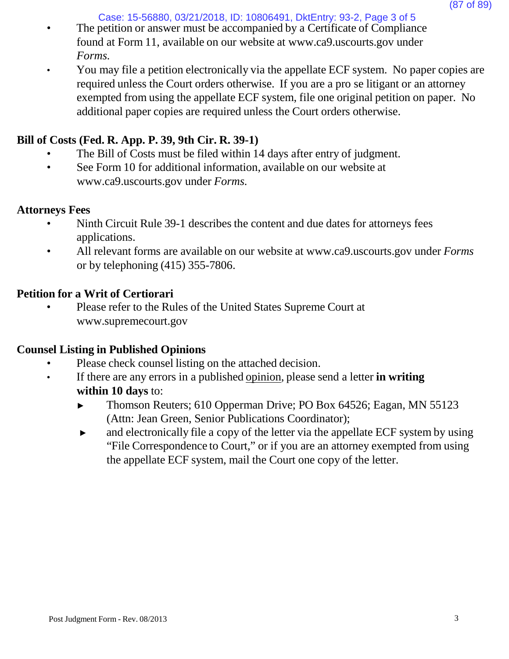Case: 15-56880, 03/21/2018, ID: 10806491, DktEntry: 93-2, Page 3 of 5

- The petition or answer must be accompanied by a Certificate of Compliance found at Form 11, available on our website [at www.ca9.uscourts.gov](http://www.ca9.uscourts.gov/) under *Forms.*
- You may file a petition electronically via the appellate ECF system. No paper copies are required unless the Court orders otherwise. If you are a pro se litigant or an attorney exempted from using the appellate ECF system, file one original petition on paper. No additional paper copies are required unless the Court orders otherwise.

# **Bill of Costs (Fed. R. App. P. 39, 9th Cir. R. 39-1)**

- The Bill of Costs must be filed within 14 days after entry of judgment.
- See Form 10 for addi[t](http://www.ca9.uscourts.gov/)ional information, available on our website at [www.ca9.uscourts.gov](http://www.ca9.uscourts.gov/) under *Forms.*

# **Attorneys Fees**

- Ninth Circuit Rule 39-1 describes the content and due dates for attorneys fees applications.
- All relevant forms are available on our website at [www.ca9.uscourts.gov](http://www.ca9.uscourts.gov/) under *Forms* or by telephoning (415) 355-7806.

# **Petition for a Writ of Certiorari**

• Please refer to the Rules of the United States Supreme Court a[t](http://www.supremecourt.gov/) [www.supremecourt.gov](http://www.supremecourt.gov/)

# **Counsel Listing in Published Opinions**

- Please check counsel listing on the attached decision.
- If there are any errors in a published opinion, please send a letter **in writing within 10 days** to:
	- ► Thomson Reuters; 610 Opperman Drive; PO Box 64526; Eagan, MN 55123 (Attn: Jean Green, Senior Publications Coordinator);
	- ► and electronically file a copy of the letter via the appellate ECF system by using "File Correspondence to Court," or if you are an attorney exempted from using the appellate ECF system, mail the Court one copy of the letter.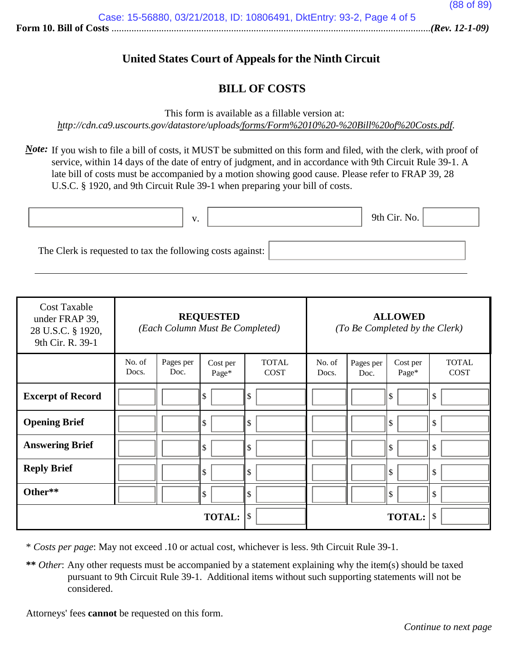# **United States Court of Appeals for the Ninth Circuit**

### **BILL OF COSTS**

This form is available as a fillable version at:

*<http://cdn.ca9.uscourts.gov/datastore/uploads/forms/Form%2010%20-%20Bill%20of%20Costs.pdf>*.

*Note*: If you wish to file a bill of costs, it MUST be submitted on this form and filed, with the clerk, with proof of service, within 14 days of the date of entry of judgment, and in accordance with 9th Circuit Rule 39-1. A late bill of costs must be accompanied by a motion showing good cause. Please refer to FRAP 39, 28 U.S.C. § 1920, and 9th Circuit Rule 39-1 when preparing your bill of costs.

|                                                            | $\mathbf{V}$<br>. . | 9th Cir. No. |  |
|------------------------------------------------------------|---------------------|--------------|--|
| The Clerk is requested to tax the following costs against: |                     |              |  |

| <b>Cost Taxable</b><br>under FRAP 39,<br>28 U.S.C. § 1920,<br>9th Cir. R. 39-1 | <b>REQUESTED</b><br>(Each Column Must Be Completed) |                   | <b>ALLOWED</b><br>(To Be Completed by the Clerk) |                             |                 |                   |                   |                             |
|--------------------------------------------------------------------------------|-----------------------------------------------------|-------------------|--------------------------------------------------|-----------------------------|-----------------|-------------------|-------------------|-----------------------------|
|                                                                                | No. of<br>Docs.                                     | Pages per<br>Doc. | Cost per<br>Page*                                | <b>TOTAL</b><br><b>COST</b> | No. of<br>Docs. | Pages per<br>Doc. | Cost per<br>Page* | <b>TOTAL</b><br><b>COST</b> |
| <b>Excerpt of Record</b>                                                       |                                                     |                   | \$                                               | \$                          |                 |                   | ll \$             | \$                          |
| <b>Opening Brief</b>                                                           |                                                     |                   | \$                                               | \$                          |                 |                   | l \$              | \$                          |
| <b>Answering Brief</b>                                                         |                                                     |                   | \$                                               | \$                          |                 |                   | l \$              | \$                          |
| <b>Reply Brief</b>                                                             |                                                     |                   | \$                                               | $\sqrt{3}$                  |                 |                   | ll \$             | \$                          |
| Other**                                                                        |                                                     |                   | \$                                               | $\mathcal{S}$               |                 |                   | ll \$             | \$                          |
|                                                                                |                                                     |                   | <b>TOTAL:</b>                                    | \$                          |                 |                   | <b>TOTAL:</b>     | \$                          |

\* *Costs per page*: May not exceed .10 or actual cost, whichever is less. 9th Circuit Rule 39-1.

**\*\*** *Other*: Any other requests must be accompanied by a statement explaining why the item(s) should be taxed pursuant to 9th Circuit Rule 39-1. Additional items without such supporting statements will not be considered.

Attorneys' fees **cannot** be requested on this form.